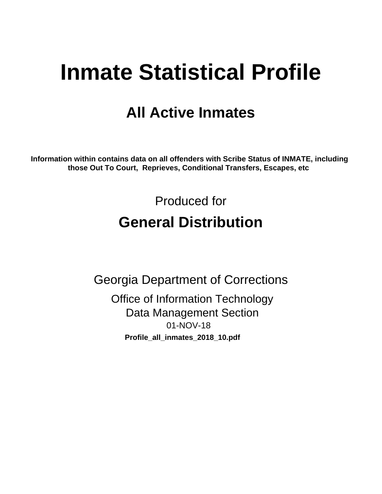# **Inmate Statistical Profile**

## **All Active Inmates**

Information within contains data on all offenders with Scribe Status of INMATE, including those Out To Court, Reprieves, Conditional Transfers, Escapes, etc

> Produced for **General Distribution**

**Georgia Department of Corrections Office of Information Technology** 

**Data Management Section** 01-NOV-18 Profile\_all\_inmates\_2018\_10.pdf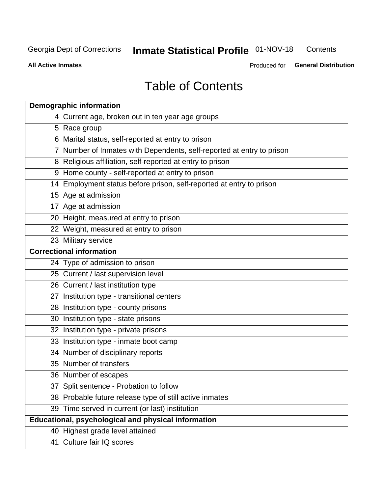#### **Inmate Statistical Profile 01-NOV-18** Contents

**All Active Inmates** 

Produced for General Distribution

## **Table of Contents**

| <b>Demographic information</b>                                        |
|-----------------------------------------------------------------------|
| 4 Current age, broken out in ten year age groups                      |
| 5 Race group                                                          |
| 6 Marital status, self-reported at entry to prison                    |
| 7 Number of Inmates with Dependents, self-reported at entry to prison |
| 8 Religious affiliation, self-reported at entry to prison             |
| 9 Home county - self-reported at entry to prison                      |
| 14 Employment status before prison, self-reported at entry to prison  |
| 15 Age at admission                                                   |
| 17 Age at admission                                                   |
| 20 Height, measured at entry to prison                                |
| 22 Weight, measured at entry to prison                                |
| 23 Military service                                                   |
| <b>Correctional information</b>                                       |
| 24 Type of admission to prison                                        |
| 25 Current / last supervision level                                   |
| 26 Current / last institution type                                    |
| 27 Institution type - transitional centers                            |
| 28 Institution type - county prisons                                  |
| 30 Institution type - state prisons                                   |
| 32 Institution type - private prisons                                 |
| 33 Institution type - inmate boot camp                                |
| 34 Number of disciplinary reports                                     |
| 35 Number of transfers                                                |
| 36 Number of escapes                                                  |
| 37 Split sentence - Probation to follow                               |
| 38 Probable future release type of still active inmates               |
| 39 Time served in current (or last) institution                       |
| Educational, psychological and physical information                   |
| 40 Highest grade level attained                                       |
| 41 Culture fair IQ scores                                             |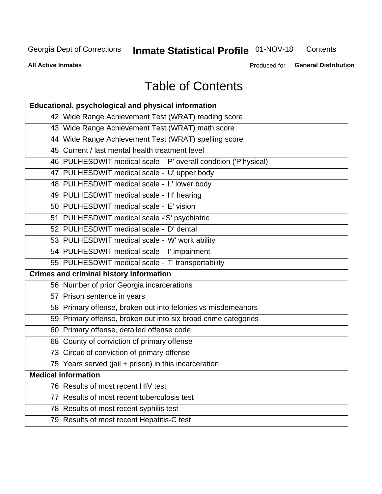## **Inmate Statistical Profile 01-NOV-18**

Contents

**All Active Inmates** 

Produced for General Distribution

## **Table of Contents**

| Educational, psychological and physical information              |
|------------------------------------------------------------------|
| 42 Wide Range Achievement Test (WRAT) reading score              |
| 43 Wide Range Achievement Test (WRAT) math score                 |
| 44 Wide Range Achievement Test (WRAT) spelling score             |
| 45 Current / last mental health treatment level                  |
| 46 PULHESDWIT medical scale - 'P' overall condition ('P'hysical) |
| 47 PULHESDWIT medical scale - 'U' upper body                     |
| 48 PULHESDWIT medical scale - 'L' lower body                     |
| 49 PULHESDWIT medical scale - 'H' hearing                        |
| 50 PULHESDWIT medical scale - 'E' vision                         |
| 51 PULHESDWIT medical scale -'S' psychiatric                     |
| 52 PULHESDWIT medical scale - 'D' dental                         |
| 53 PULHESDWIT medical scale - 'W' work ability                   |
| 54 PULHESDWIT medical scale - 'I' impairment                     |
| 55 PULHESDWIT medical scale - 'T' transportability               |
| <b>Crimes and criminal history information</b>                   |
| 56 Number of prior Georgia incarcerations                        |
| 57 Prison sentence in years                                      |
| 58 Primary offense, broken out into felonies vs misdemeanors     |
| 59 Primary offense, broken out into six broad crime categories   |
| 60 Primary offense, detailed offense code                        |
| 68 County of conviction of primary offense                       |
| 73 Circuit of conviction of primary offense                      |
| 75 Years served (jail + prison) in this incarceration            |
| <b>Medical information</b>                                       |
| 76 Results of most recent HIV test                               |
| 77 Results of most recent tuberculosis test                      |
| 78 Results of most recent syphilis test                          |
| 79 Results of most recent Hepatitis-C test                       |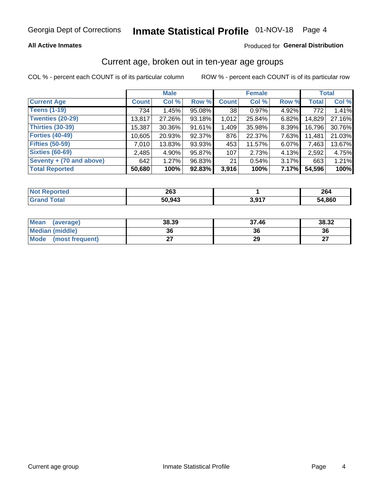### **All Active Inmates**

### Produced for General Distribution

### Current age, broken out in ten-year age groups

COL % - percent each COUNT is of its particular column

|                            |              | <b>Male</b> |        |              | <b>Female</b> | <b>Total</b> |              |        |
|----------------------------|--------------|-------------|--------|--------------|---------------|--------------|--------------|--------|
| <b>Current Age</b>         | <b>Count</b> | Col %       | Row %  | <b>Count</b> | Col %         | Row %        | <b>Total</b> | Col %  |
| <b>Teens (1-19)</b>        | 734          | 1.45%       | 95.08% | 38           | 0.97%         | 4.92%        | 772          | 1.41%  |
| <b>Twenties (20-29)</b>    | 13,817       | 27.26%      | 93.18% | 1,012        | 25.84%        | 6.82%        | 14,829       | 27.16% |
| <b>Thirties (30-39)</b>    | 15,387       | $30.36\%$   | 91.61% | 1,409        | 35.98%        | 8.39%        | 16,796       | 30.76% |
| <b>Forties (40-49)</b>     | 10,605       | 20.93%      | 92.37% | 876          | 22.37%        | 7.63%        | 11,481       | 21.03% |
| <b>Fifties (50-59)</b>     | 7,010        | 13.83%      | 93.93% | 453          | 11.57%        | 6.07%        | 7,463        | 13.67% |
| <b>Sixties (60-69)</b>     | 2,485        | 4.90%       | 95.87% | 107          | 2.73%         | 4.13%        | 2,592        | 4.75%  |
| Seventy $+$ (70 and above) | 642          | 1.27%       | 96.83% | 21           | 0.54%         | 3.17%        | 663          | 1.21%  |
| <b>Total Reported</b>      | 50,680       | 100%        | 92.83% | 3,916        | 100%          | 7.17%        | 54,596       | 100%   |

| <b>Not</b>    | າຂາ    |            | $\sim$ |
|---------------|--------|------------|--------|
| <b>ported</b> | ZUJ    |            | 264    |
| <b>Total</b>  | 50,943 | 2.017<br>. | 54,860 |

| <b>Mean</b><br>(average) | 38.39 | 37.46 | 38.32     |
|--------------------------|-------|-------|-----------|
| Median (middle)          | 36    | 36    | 36        |
| Mode<br>(most frequent)  |       | 29    | ^7<br>. . |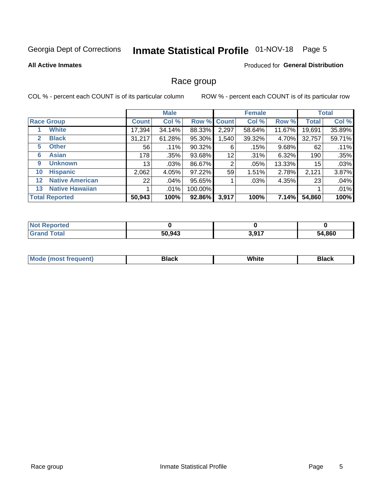## Inmate Statistical Profile 01-NOV-18 Page 5

### **All Active Inmates**

#### Produced for General Distribution

### Race group

COL % - percent each COUNT is of its particular column

|                   |                        |                 | <b>Male</b> |             |       | <b>Female</b> |        |              | <b>Total</b> |  |
|-------------------|------------------------|-----------------|-------------|-------------|-------|---------------|--------|--------------|--------------|--|
|                   | <b>Race Group</b>      | <b>Count</b>    | Col %       | Row % Count |       | Col %         | Row %  | <b>Total</b> | Col %        |  |
|                   | <b>White</b>           | 17,394          | 34.14%      | 88.33%      | 2,297 | 58.64%        | 11.67% | 19,691       | 35.89%       |  |
| 2                 | <b>Black</b>           | 31,217          | 61.28%      | 95.30%      | .540  | 39.32%        | 4.70%  | 32,757       | 59.71%       |  |
| 5                 | <b>Other</b>           | 56              | .11%        | 90.32%      | 6     | .15%          | 9.68%  | 62           | .11%         |  |
| 6                 | <b>Asian</b>           | 178             | $.35\%$     | 93.68%      | 12    | .31%          | 6.32%  | 190          | .35%         |  |
| 9                 | <b>Unknown</b>         | 13 <sub>1</sub> | $.03\%$     | 86.67%      | 2     | .05%          | 13.33% | 15           | .03%         |  |
| 10                | <b>Hispanic</b>        | 2,062           | 4.05%       | 97.22%      | 59    | 1.51%         | 2.78%  | 2,121        | 3.87%        |  |
| $12 \overline{ }$ | <b>Native American</b> | 22              | .04%        | 95.65%      |       | .03%          | 4.35%  | 23           | .04%         |  |
| 13                | <b>Native Hawaiian</b> |                 | $.01\%$     | 100.00%     |       |               |        |              | .01%         |  |
|                   | <b>Total Reported</b>  | 50,943          | 100%        | 92.86%      | 3,917 | 100%          | 7.14%  | 54,860       | 100%         |  |

| <b>Not Reported</b> |        |       |        |
|---------------------|--------|-------|--------|
| <b>Grand Total</b>  | 50,943 | 3,917 | 54,860 |

| <b>Mode</b><br>---<br>most frequent) | Black | White | <b>Black</b> |
|--------------------------------------|-------|-------|--------------|
|                                      |       |       |              |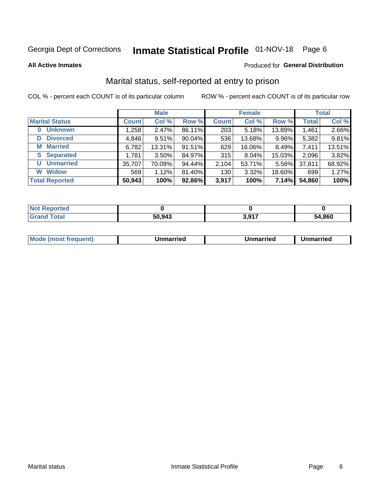## Inmate Statistical Profile 01-NOV-18 Page 6

**All Active Inmates** 

#### Produced for General Distribution

## Marital status, self-reported at entry to prison

COL % - percent each COUNT is of its particular column

|                            | <b>Male</b>  |        |        |              | <b>Female</b> | <b>Total</b> |              |        |
|----------------------------|--------------|--------|--------|--------------|---------------|--------------|--------------|--------|
| <b>Marital Status</b>      | <b>Count</b> | Col %  | Row %  | <b>Count</b> | Col %         | Row %        | <b>Total</b> | Col %  |
| <b>Unknown</b><br>$\bf{0}$ | 1,258        | 2.47%  | 86.11% | 203          | 5.18%         | 13.89%       | 1,461        | 2.66%  |
| <b>Divorced</b><br>D       | 4,846        | 9.51%  | 90.04% | 536          | 13.68%        | 9.96%        | 5,382        | 9.81%  |
| <b>Married</b><br>М        | 6,782        | 13.31% | 91.51% | 629          | 16.06%        | 8.49%        | 7,411        | 13.51% |
| <b>Separated</b><br>S      | 1,781        | 3.50%  | 84.97% | 315          | 8.04%         | 15.03%       | 2,096        | 3.82%  |
| <b>Unmarried</b><br>U      | 35,707       | 70.09% | 94.44% | 2,104        | 53.71%        | 5.56%        | 37,811       | 68.92% |
| <b>Widow</b><br>W          | 569          | 1.12%  | 81.40% | 130          | 3.32%         | 18.60%       | 699          | 1.27%  |
| <b>Total Reported</b>      | 50,943       | 100%   | 92.86% | 3,917        | 100%          | 7.14%        | 54,860       | 100%   |

| $^{\dagger}$ Not $\cdot$<br>norted |        |      |        |
|------------------------------------|--------|------|--------|
| Total                              | 50.943 | 2017 | 54.860 |

|--|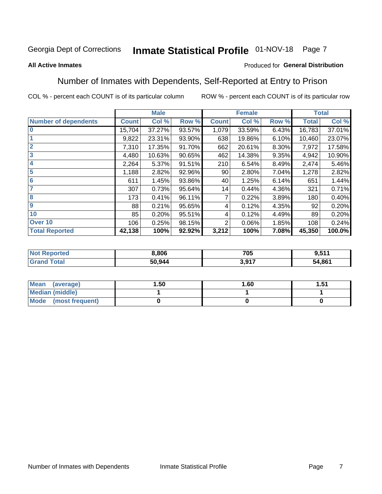#### Inmate Statistical Profile 01-NOV-18 Page 7

#### **All Active Inmates**

### Produced for General Distribution

### Number of Inmates with Dependents, Self-Reported at Entry to Prison

COL % - percent each COUNT is of its particular column

|                             |              | <b>Male</b> |        |              | <b>Female</b> |       |              | <b>Total</b> |
|-----------------------------|--------------|-------------|--------|--------------|---------------|-------|--------------|--------------|
| <b>Number of dependents</b> | <b>Count</b> | Col %       | Row %  | <b>Count</b> | Col %         | Row % | <b>Total</b> | Col %        |
| 10                          | 15,704       | 37.27%      | 93.57% | 1,079        | 33.59%        | 6.43% | 16,783       | 37.01%       |
|                             | 9,822        | 23.31%      | 93.90% | 638          | 19.86%        | 6.10% | 10,460       | 23.07%       |
| $\overline{2}$              | 7,310        | 17.35%      | 91.70% | 662          | 20.61%        | 8.30% | 7,972        | 17.58%       |
| $\overline{\mathbf{3}}$     | 4,480        | 10.63%      | 90.65% | 462          | 14.38%        | 9.35% | 4,942        | 10.90%       |
| 4                           | 2,264        | 5.37%       | 91.51% | 210          | 6.54%         | 8.49% | 2,474        | 5.46%        |
| 5                           | 1,188        | 2.82%       | 92.96% | 90           | 2.80%         | 7.04% | 1,278        | 2.82%        |
| 6                           | 611          | 1.45%       | 93.86% | 40           | 1.25%         | 6.14% | 651          | 1.44%        |
| 7                           | 307          | 0.73%       | 95.64% | 14           | 0.44%         | 4.36% | 321          | 0.71%        |
| $\overline{\mathbf{8}}$     | 173          | 0.41%       | 96.11% |              | 0.22%         | 3.89% | 180          | 0.40%        |
| 9                           | 88           | 0.21%       | 95.65% | 4            | 0.12%         | 4.35% | 92           | 0.20%        |
| 10                          | 85           | 0.20%       | 95.51% | 4            | 0.12%         | 4.49% | 89           | 0.20%        |
| Over 10                     | 106          | 0.25%       | 98.15% | 2            | 0.06%         | 1.85% | 108          | 0.24%        |
| <b>Total Reported</b>       | 42,138       | 100%        | 92.92% | 3,212        | 100%          | 7.08% | 45,350       | 100.0%       |

| 8,806  | 705      | <b>511</b> |
|--------|----------|------------|
| 50 944 | 017<br>. | 54,861     |

| Mean (average)          | 1.50 | 1.60 | 51.، |
|-------------------------|------|------|------|
| <b>Median (middle)</b>  |      |      |      |
| Mode<br>(most frequent) |      |      |      |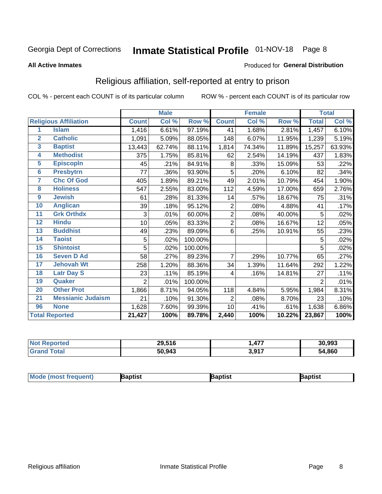## Inmate Statistical Profile 01-NOV-18 Page 8

#### **All Active Inmates**

#### Produced for General Distribution

## Religious affiliation, self-reported at entry to prison

COL % - percent each COUNT is of its particular column

|                         |                              |              | <b>Male</b> |         |                | <b>Female</b>              |        |                | <b>Total</b> |
|-------------------------|------------------------------|--------------|-------------|---------|----------------|----------------------------|--------|----------------|--------------|
|                         | <b>Religious Affiliation</b> | <b>Count</b> | Col %       | Row %   | <b>Count</b>   | $\overline{\text{Col }^9}$ | Row %  | <b>Total</b>   | Col %        |
| 1                       | <b>Islam</b>                 | 1,416        | 6.61%       | 97.19%  | 41             | 1.68%                      | 2.81%  | 1,457          | 6.10%        |
| $\overline{2}$          | <b>Catholic</b>              | 1,091        | 5.09%       | 88.05%  | 148            | 6.07%                      | 11.95% | 1,239          | 5.19%        |
| $\mathbf{3}$            | <b>Baptist</b>               | 13,443       | 62.74%      | 88.11%  | 1,814          | 74.34%                     | 11.89% | 15,257         | 63.93%       |
| $\overline{\mathbf{4}}$ | <b>Methodist</b>             | 375          | 1.75%       | 85.81%  | 62             | 2.54%                      | 14.19% | 437            | 1.83%        |
| $\overline{5}$          | <b>EpiscopIn</b>             | 45           | .21%        | 84.91%  | 8              | .33%                       | 15.09% | 53             | .22%         |
| $6\phantom{a}$          | <b>Presbytrn</b>             | 77           | .36%        | 93.90%  | 5              | .20%                       | 6.10%  | 82             | .34%         |
| 7                       | <b>Chc Of God</b>            | 405          | 1.89%       | 89.21%  | 49             | 2.01%                      | 10.79% | 454            | 1.90%        |
| 8                       | <b>Holiness</b>              | 547          | 2.55%       | 83.00%  | 112            | 4.59%                      | 17.00% | 659            | 2.76%        |
| 9                       | <b>Jewish</b>                | 61           | .28%        | 81.33%  | 14             | .57%                       | 18.67% | 75             | .31%         |
| 10                      | <b>Anglican</b>              | 39           | .18%        | 95.12%  | $\overline{2}$ | .08%                       | 4.88%  | 41             | .17%         |
| 11                      | <b>Grk Orthdx</b>            | 3            | .01%        | 60.00%  | $\overline{2}$ | .08%                       | 40.00% | 5              | .02%         |
| 12                      | <b>Hindu</b>                 | 10           | .05%        | 83.33%  | $\overline{2}$ | .08%                       | 16.67% | 12             | .05%         |
| 13                      | <b>Buddhist</b>              | 49           | .23%        | 89.09%  | 6              | .25%                       | 10.91% | 55             | .23%         |
| 14                      | <b>Taoist</b>                | 5            | .02%        | 100.00% |                |                            |        | 5              | .02%         |
| 15                      | <b>Shintoist</b>             | 5            | .02%        | 100.00% |                |                            |        | 5              | .02%         |
| 16                      | <b>Seven D Ad</b>            | 58           | .27%        | 89.23%  | 7              | .29%                       | 10.77% | 65             | .27%         |
| 17                      | <b>Jehovah Wt</b>            | 258          | 1.20%       | 88.36%  | 34             | 1.39%                      | 11.64% | 292            | 1.22%        |
| 18                      | <b>Latr Day S</b>            | 23           | .11%        | 85.19%  | 4              | .16%                       | 14.81% | 27             | .11%         |
| 19                      | Quaker                       | 2            | .01%        | 100.00% |                |                            |        | $\overline{2}$ | .01%         |
| 20                      | <b>Other Prot</b>            | 1,866        | 8.71%       | 94.05%  | 118            | 4.84%                      | 5.95%  | 1,984          | 8.31%        |
| 21                      | <b>Messianic Judaism</b>     | 21           | .10%        | 91.30%  | 2              | .08%                       | 8.70%  | 23             | .10%         |
| 96                      | <b>None</b>                  | 1,628        | 7.60%       | 99.39%  | 10             | .41%                       | .61%   | 1,638          | 6.86%        |
|                         | <b>Total Reported</b>        | 21,427       | 100%        | 89.78%  | 2,440          | 100%                       | 10.22% | 23,867         | 100%         |

| <b>rteo</b><br>n a | 29,516 | $\overline{a}$  | 30.993 |
|--------------------|--------|-----------------|--------|
| ' Gra              | 50,943 | 2017<br>J.J I 1 | 54,860 |

| Mode (most frequent) | Baptist | aptist | Baptist |
|----------------------|---------|--------|---------|
|----------------------|---------|--------|---------|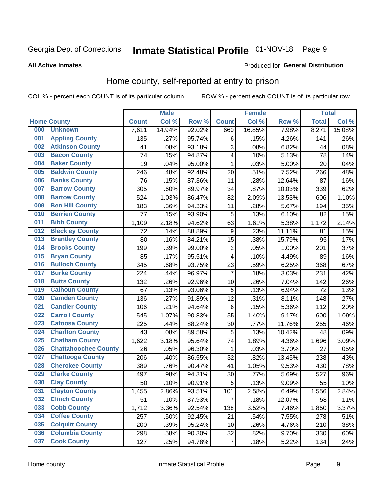## Inmate Statistical Profile 01-NOV-18 Page 9

#### **All Active Inmates**

### **Produced for General Distribution**

## Home county, self-reported at entry to prison

COL % - percent each COUNT is of its particular column

|     |                             |              | <b>Male</b> |                  |                         | <b>Female</b> |        | <b>Total</b> |        |
|-----|-----------------------------|--------------|-------------|------------------|-------------------------|---------------|--------|--------------|--------|
|     | <b>Home County</b>          | <b>Count</b> | Col %       | Row <sup>%</sup> | <b>Count</b>            | Col %         | Row %  | <b>Total</b> | Col %  |
| 000 | <b>Unknown</b>              | 7,611        | 14.94%      | 92.02%           | 660                     | 16.85%        | 7.98%  | 8,271        | 15.08% |
| 001 | <b>Appling County</b>       | 135          | .27%        | 95.74%           | 6                       | .15%          | 4.26%  | 141          | .26%   |
| 002 | <b>Atkinson County</b>      | 41           | .08%        | 93.18%           | 3                       | .08%          | 6.82%  | 44           | .08%   |
| 003 | <b>Bacon County</b>         | 74           | .15%        | 94.87%           | 4                       | .10%          | 5.13%  | 78           | .14%   |
| 004 | <b>Baker County</b>         | 19           | .04%        | 95.00%           | 1                       | .03%          | 5.00%  | 20           | .04%   |
| 005 | <b>Baldwin County</b>       | 246          | .48%        | 92.48%           | 20                      | .51%          | 7.52%  | 266          | .48%   |
| 006 | <b>Banks County</b>         | 76           | .15%        | 87.36%           | 11                      | .28%          | 12.64% | 87           | .16%   |
| 007 | <b>Barrow County</b>        | 305          | .60%        | 89.97%           | 34                      | .87%          | 10.03% | 339          | .62%   |
| 008 | <b>Bartow County</b>        | 524          | 1.03%       | 86.47%           | 82                      | 2.09%         | 13.53% | 606          | 1.10%  |
| 009 | <b>Ben Hill County</b>      | 183          | .36%        | 94.33%           | 11                      | .28%          | 5.67%  | 194          | .35%   |
| 010 | <b>Berrien County</b>       | 77           | .15%        | 93.90%           | 5                       | .13%          | 6.10%  | 82           | .15%   |
| 011 | <b>Bibb County</b>          | 1,109        | 2.18%       | 94.62%           | 63                      | 1.61%         | 5.38%  | 1,172        | 2.14%  |
| 012 | <b>Bleckley County</b>      | 72           | .14%        | 88.89%           | 9                       | .23%          | 11.11% | 81           | .15%   |
| 013 | <b>Brantley County</b>      | 80           | .16%        | 84.21%           | 15                      | .38%          | 15.79% | 95           | .17%   |
| 014 | <b>Brooks County</b>        | 199          | .39%        | 99.00%           | $\overline{2}$          | .05%          | 1.00%  | 201          | .37%   |
| 015 | <b>Bryan County</b>         | 85           | .17%        | 95.51%           | $\overline{\mathbf{4}}$ | .10%          | 4.49%  | 89           | .16%   |
| 016 | <b>Bulloch County</b>       | 345          | .68%        | 93.75%           | 23                      | .59%          | 6.25%  | 368          | .67%   |
| 017 | <b>Burke County</b>         | 224          | .44%        | 96.97%           | $\overline{7}$          | .18%          | 3.03%  | 231          | .42%   |
| 018 | <b>Butts County</b>         | 132          | .26%        | 92.96%           | 10                      | .26%          | 7.04%  | 142          | .26%   |
| 019 | <b>Calhoun County</b>       | 67           | .13%        | 93.06%           | 5                       | .13%          | 6.94%  | 72           | .13%   |
| 020 | <b>Camden County</b>        | 136          | .27%        | 91.89%           | 12                      | .31%          | 8.11%  | 148          | .27%   |
| 021 | <b>Candler County</b>       | 106          | .21%        | 94.64%           | $\,6$                   | .15%          | 5.36%  | 112          | .20%   |
| 022 | <b>Carroll County</b>       | 545          | 1.07%       | 90.83%           | 55                      | 1.40%         | 9.17%  | 600          | 1.09%  |
| 023 | <b>Catoosa County</b>       | 225          | .44%        | 88.24%           | 30                      | .77%          | 11.76% | 255          | .46%   |
| 024 | <b>Charlton County</b>      | 43           | .08%        | 89.58%           | 5                       | .13%          | 10.42% | 48           | .09%   |
| 025 | <b>Chatham County</b>       | 1,622        | 3.18%       | 95.64%           | 74                      | 1.89%         | 4.36%  | 1,696        | 3.09%  |
| 026 | <b>Chattahoochee County</b> | 26           | .05%        | 96.30%           | 1                       | .03%          | 3.70%  | 27           | .05%   |
| 027 | <b>Chattooga County</b>     | 206          | .40%        | 86.55%           | 32                      | .82%          | 13.45% | 238          | .43%   |
| 028 | <b>Cherokee County</b>      | 389          | .76%        | 90.47%           | 41                      | 1.05%         | 9.53%  | 430          | .78%   |
| 029 | <b>Clarke County</b>        | 497          | .98%        | 94.31%           | 30                      | .77%          | 5.69%  | 527          | .96%   |
| 030 | <b>Clay County</b>          | 50           | .10%        | 90.91%           | 5                       | .13%          | 9.09%  | 55           | .10%   |
| 031 | <b>Clayton County</b>       | 1,455        | 2.86%       | 93.51%           | 101                     | 2.58%         | 6.49%  | 1,556        | 2.84%  |
| 032 | <b>Clinch County</b>        | 51           | .10%        | 87.93%           | 7                       | .18%          | 12.07% | 58           | .11%   |
| 033 | <b>Cobb County</b>          | 1,712        | 3.36%       | 92.54%           | 138                     | 3.52%         | 7.46%  | 1,850        | 3.37%  |
| 034 | <b>Coffee County</b>        | 257          | .50%        | 92.45%           | 21                      | .54%          | 7.55%  | 278          | .51%   |
| 035 | <b>Colquitt County</b>      | 200          | .39%        | 95.24%           | 10                      | .26%          | 4.76%  | 210          | .38%   |
| 036 | <b>Columbia County</b>      | 298          | .58%        | 90.30%           | 32                      | .82%          | 9.70%  | 330          | .60%   |
| 037 | <b>Cook County</b>          | 127          | .25%        | 94.78%           | $\boldsymbol{7}$        | .18%          | 5.22%  | 134          | .24%   |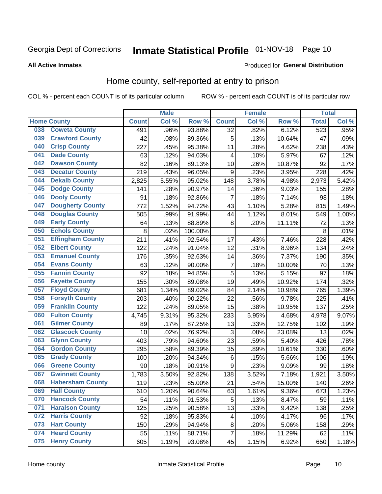## Inmate Statistical Profile 01-NOV-18 Page 10

#### **All Active Inmates**

#### Produced for General Distribution

### Home county, self-reported at entry to prison

COL % - percent each COUNT is of its particular column

|     |                         |              | <b>Male</b> |         |                         | <b>Female</b> |        | <b>Total</b>     |       |
|-----|-------------------------|--------------|-------------|---------|-------------------------|---------------|--------|------------------|-------|
|     | <b>Home County</b>      | <b>Count</b> | Col%        | Row %   | <b>Count</b>            | Col %         | Row %  | <b>Total</b>     | Col % |
| 038 | <b>Coweta County</b>    | 491          | .96%        | 93.88%  | $\overline{32}$         | .82%          | 6.12%  | $\overline{523}$ | .95%  |
| 039 | <b>Crawford County</b>  | 42           | .08%        | 89.36%  | 5                       | .13%          | 10.64% | 47               | .09%  |
| 040 | <b>Crisp County</b>     | 227          | .45%        | 95.38%  | 11                      | .28%          | 4.62%  | 238              | .43%  |
| 041 | <b>Dade County</b>      | 63           | .12%        | 94.03%  | 4                       | .10%          | 5.97%  | 67               | .12%  |
| 042 | <b>Dawson County</b>    | 82           | .16%        | 89.13%  | 10                      | .26%          | 10.87% | 92               | .17%  |
| 043 | <b>Decatur County</b>   | 219          | .43%        | 96.05%  | $\boldsymbol{9}$        | .23%          | 3.95%  | 228              | .42%  |
| 044 | <b>Dekalb County</b>    | 2,825        | 5.55%       | 95.02%  | 148                     | 3.78%         | 4.98%  | 2,973            | 5.42% |
| 045 | <b>Dodge County</b>     | 141          | .28%        | 90.97%  | 14                      | .36%          | 9.03%  | 155              | .28%  |
| 046 | <b>Dooly County</b>     | 91           | .18%        | 92.86%  | 7                       | .18%          | 7.14%  | 98               | .18%  |
| 047 | <b>Dougherty County</b> | 772          | 1.52%       | 94.72%  | 43                      | 1.10%         | 5.28%  | 815              | 1.49% |
| 048 | <b>Douglas County</b>   | 505          | .99%        | 91.99%  | 44                      | 1.12%         | 8.01%  | 549              | 1.00% |
| 049 | <b>Early County</b>     | 64           | .13%        | 88.89%  | 8                       | .20%          | 11.11% | 72               | .13%  |
| 050 | <b>Echols County</b>    | 8            | .02%        | 100.00% |                         |               |        | 8                | .01%  |
| 051 | <b>Effingham County</b> | 211          | .41%        | 92.54%  | 17                      | .43%          | 7.46%  | 228              | .42%  |
| 052 | <b>Elbert County</b>    | 122          | .24%        | 91.04%  | 12                      | .31%          | 8.96%  | 134              | .24%  |
| 053 | <b>Emanuel County</b>   | 176          | .35%        | 92.63%  | 14                      | .36%          | 7.37%  | 190              | .35%  |
| 054 | <b>Evans County</b>     | 63           | .12%        | 90.00%  | $\overline{7}$          | .18%          | 10.00% | 70               | .13%  |
| 055 | <b>Fannin County</b>    | 92           | .18%        | 94.85%  | 5                       | .13%          | 5.15%  | 97               | .18%  |
| 056 | <b>Fayette County</b>   | 155          | .30%        | 89.08%  | 19                      | .49%          | 10.92% | 174              | .32%  |
| 057 | <b>Floyd County</b>     | 681          | 1.34%       | 89.02%  | 84                      | 2.14%         | 10.98% | 765              | 1.39% |
| 058 | <b>Forsyth County</b>   | 203          | .40%        | 90.22%  | 22                      | .56%          | 9.78%  | 225              | .41%  |
| 059 | <b>Franklin County</b>  | 122          | .24%        | 89.05%  | 15                      | .38%          | 10.95% | 137              | .25%  |
| 060 | <b>Fulton County</b>    | 4,745        | 9.31%       | 95.32%  | 233                     | 5.95%         | 4.68%  | 4,978            | 9.07% |
| 061 | <b>Gilmer County</b>    | 89           | .17%        | 87.25%  | 13                      | .33%          | 12.75% | 102              | .19%  |
| 062 | <b>Glascock County</b>  | 10           | .02%        | 76.92%  | 3                       | .08%          | 23.08% | 13               | .02%  |
| 063 | <b>Glynn County</b>     | 403          | .79%        | 94.60%  | 23                      | .59%          | 5.40%  | 426              | .78%  |
| 064 | <b>Gordon County</b>    | 295          | .58%        | 89.39%  | 35                      | .89%          | 10.61% | 330              | .60%  |
| 065 | <b>Grady County</b>     | 100          | .20%        | 94.34%  | $\,6$                   | .15%          | 5.66%  | 106              | .19%  |
| 066 | <b>Greene County</b>    | 90           | .18%        | 90.91%  | 9                       | .23%          | 9.09%  | 99               | .18%  |
| 067 | <b>Gwinnett County</b>  | 1,783        | 3.50%       | 92.82%  | 138                     | 3.52%         | 7.18%  | 1,921            | 3.50% |
| 068 | <b>Habersham County</b> | 119          | .23%        | 85.00%  | 21                      | .54%          | 15.00% | 140              | .26%  |
| 069 | <b>Hall County</b>      | 610          | 1.20%       | 90.64%  | 63                      | 1.61%         | 9.36%  | 673              | 1.23% |
| 070 | <b>Hancock County</b>   | 54           | .11%        | 91.53%  | 5                       | .13%          | 8.47%  | 59               | .11%  |
| 071 | <b>Haralson County</b>  | 125          | .25%        | 90.58%  | 13                      | .33%          | 9.42%  | 138              | .25%  |
| 072 | <b>Harris County</b>    | 92           | .18%        | 95.83%  | $\overline{\mathbf{4}}$ | .10%          | 4.17%  | 96               | .17%  |
| 073 | <b>Hart County</b>      | 150          | .29%        | 94.94%  | 8                       | .20%          | 5.06%  | 158              | .29%  |
| 074 | <b>Heard County</b>     | 55           | .11%        | 88.71%  | $\overline{7}$          | .18%          | 11.29% | 62               | .11%  |
| 075 | <b>Henry County</b>     | 605          | 1.19%       | 93.08%  | 45                      | 1.15%         | 6.92%  | 650              | 1.18% |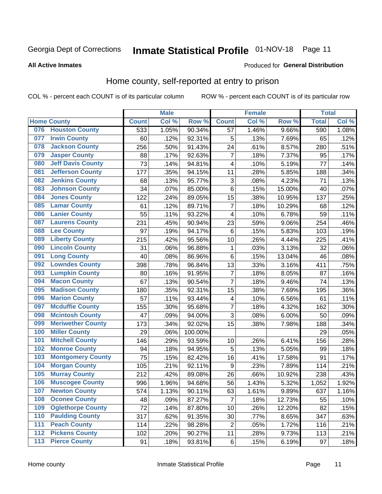## Inmate Statistical Profile 01-NOV-18 Page 11

**All Active Inmates** 

#### Produced for General Distribution

### Home county, self-reported at entry to prison

COL % - percent each COUNT is of its particular column

|     |                          |              | <b>Male</b> |                  |                         | <b>Female</b> |        | <b>Total</b> |       |
|-----|--------------------------|--------------|-------------|------------------|-------------------------|---------------|--------|--------------|-------|
|     | <b>Home County</b>       | <b>Count</b> | Col %       | Row <sup>%</sup> | <b>Count</b>            | Col %         | Row %  | <b>Total</b> | Col % |
|     | 076 Houston County       | 533          | 1.05%       | 90.34%           | 57                      | 1.46%         | 9.66%  | 590          | 1.08% |
| 077 | <b>Irwin County</b>      | 60           | .12%        | 92.31%           | 5                       | .13%          | 7.69%  | 65           | .12%  |
| 078 | <b>Jackson County</b>    | 256          | .50%        | 91.43%           | 24                      | .61%          | 8.57%  | 280          | .51%  |
| 079 | <b>Jasper County</b>     | 88           | .17%        | 92.63%           | $\overline{7}$          | .18%          | 7.37%  | 95           | .17%  |
| 080 | <b>Jeff Davis County</b> | 73           | .14%        | 94.81%           | $\overline{\mathbf{4}}$ | .10%          | 5.19%  | 77           | .14%  |
| 081 | <b>Jefferson County</b>  | 177          | .35%        | 94.15%           | 11                      | .28%          | 5.85%  | 188          | .34%  |
| 082 | <b>Jenkins County</b>    | 68           | .13%        | 95.77%           | 3                       | .08%          | 4.23%  | 71           | .13%  |
| 083 | <b>Johnson County</b>    | 34           | .07%        | 85.00%           | $\,6$                   | .15%          | 15.00% | 40           | .07%  |
| 084 | <b>Jones County</b>      | 122          | .24%        | 89.05%           | 15                      | .38%          | 10.95% | 137          | .25%  |
| 085 | <b>Lamar County</b>      | 61           | .12%        | 89.71%           | $\overline{7}$          | .18%          | 10.29% | 68           | .12%  |
| 086 | <b>Lanier County</b>     | 55           | .11%        | 93.22%           | 4                       | .10%          | 6.78%  | 59           | .11%  |
| 087 | <b>Laurens County</b>    | 231          | .45%        | 90.94%           | 23                      | .59%          | 9.06%  | 254          | .46%  |
| 088 | <b>Lee County</b>        | 97           | .19%        | 94.17%           | $\,6$                   | .15%          | 5.83%  | 103          | .19%  |
| 089 | <b>Liberty County</b>    | 215          | .42%        | 95.56%           | 10                      | .26%          | 4.44%  | 225          | .41%  |
| 090 | <b>Lincoln County</b>    | 31           | .06%        | 96.88%           | 1                       | .03%          | 3.13%  | 32           | .06%  |
| 091 | <b>Long County</b>       | 40           | .08%        | 86.96%           | $\,6$                   | .15%          | 13.04% | 46           | .08%  |
| 092 | <b>Lowndes County</b>    | 398          | .78%        | 96.84%           | 13                      | .33%          | 3.16%  | 411          | .75%  |
| 093 | <b>Lumpkin County</b>    | 80           | .16%        | 91.95%           | $\overline{7}$          | .18%          | 8.05%  | 87           | .16%  |
| 094 | <b>Macon County</b>      | 67           | .13%        | 90.54%           | $\overline{7}$          | .18%          | 9.46%  | 74           | .13%  |
| 095 | <b>Madison County</b>    | 180          | .35%        | 92.31%           | 15                      | .38%          | 7.69%  | 195          | .36%  |
| 096 | <b>Marion County</b>     | 57           | .11%        | 93.44%           | $\overline{\mathbf{4}}$ | .10%          | 6.56%  | 61           | .11%  |
| 097 | <b>Mcduffie County</b>   | 155          | .30%        | 95.68%           | $\overline{7}$          | .18%          | 4.32%  | 162          | .30%  |
| 098 | <b>Mcintosh County</b>   | 47           | .09%        | 94.00%           | 3                       | .08%          | 6.00%  | 50           | .09%  |
| 099 | <b>Meriwether County</b> | 173          | .34%        | 92.02%           | 15                      | .38%          | 7.98%  | 188          | .34%  |
| 100 | <b>Miller County</b>     | 29           | .06%        | 100.00%          |                         |               |        | 29           | .05%  |
| 101 | <b>Mitchell County</b>   | 146          | .29%        | 93.59%           | 10                      | .26%          | 6.41%  | 156          | .28%  |
| 102 | <b>Monroe County</b>     | 94           | .18%        | 94.95%           | 5                       | .13%          | 5.05%  | 99           | .18%  |
| 103 | <b>Montgomery County</b> | 75           | .15%        | 82.42%           | 16                      | .41%          | 17.58% | 91           | .17%  |
| 104 | <b>Morgan County</b>     | 105          | .21%        | 92.11%           | $\boldsymbol{9}$        | .23%          | 7.89%  | 114          | .21%  |
| 105 | <b>Murray County</b>     | 212          | .42%        | 89.08%           | 26                      | .66%          | 10.92% | 238          | .43%  |
| 106 | <b>Muscogee County</b>   | 996          | 1.96%       | 94.68%           | 56                      | 1.43%         | 5.32%  | 1,052        | 1.92% |
| 107 | <b>Newton County</b>     | 574          | 1.13%       | 90.11%           | 63                      | 1.61%         | 9.89%  | 637          | 1.16% |
| 108 | <b>Oconee County</b>     | 48           | .09%        | 87.27%           | 7                       | .18%          | 12.73% | 55           | .10%  |
| 109 | <b>Oglethorpe County</b> | 72           | .14%        | 87.80%           | 10                      | .26%          | 12.20% | 82           | .15%  |
| 110 | <b>Paulding County</b>   | 317          | .62%        | 91.35%           | 30                      | .77%          | 8.65%  | 347          | .63%  |
| 111 | <b>Peach County</b>      | 114          | .22%        | 98.28%           | $\overline{2}$          | .05%          | 1.72%  | 116          | .21%  |
| 112 | <b>Pickens County</b>    | 102          | .20%        | 90.27%           | 11                      | .28%          | 9.73%  | 113          | .21%  |
| 113 | <b>Pierce County</b>     | 91           | .18%        | 93.81%           | $\,6$                   | .15%          | 6.19%  | 97           | .18%  |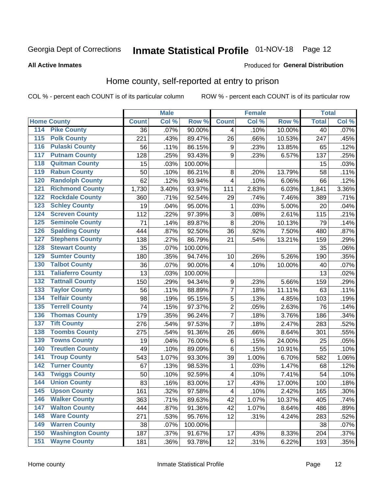## Inmate Statistical Profile 01-NOV-18 Page 12

#### **All Active Inmates**

#### Produced for General Distribution

## Home county, self-reported at entry to prison

COL % - percent each COUNT is of its particular column

|                  |                          |              | <b>Male</b> |                  |                         | <b>Female</b> |        | <b>Total</b> |       |
|------------------|--------------------------|--------------|-------------|------------------|-------------------------|---------------|--------|--------------|-------|
|                  | <b>Home County</b>       | <b>Count</b> | Col %       | Row <sup>%</sup> | <b>Count</b>            | Col %         | Row %  | <b>Total</b> | Col % |
| 114              | <b>Pike County</b>       | 36           | .07%        | 90.00%           | 4                       | .10%          | 10.00% | 40           | .07%  |
| 115              | <b>Polk County</b>       | 221          | .43%        | 89.47%           | 26                      | .66%          | 10.53% | 247          | .45%  |
| 116              | <b>Pulaski County</b>    | 56           | .11%        | 86.15%           | $\boldsymbol{9}$        | .23%          | 13.85% | 65           | .12%  |
| 117              | <b>Putnam County</b>     | 128          | .25%        | 93.43%           | 9                       | .23%          | 6.57%  | 137          | .25%  |
| 118              | <b>Quitman County</b>    | 15           | .03%        | 100.00%          |                         |               |        | 15           | .03%  |
| 119              | <b>Rabun County</b>      | 50           | .10%        | 86.21%           | $\bf 8$                 | .20%          | 13.79% | 58           | .11%  |
| 120              | <b>Randolph County</b>   | 62           | .12%        | 93.94%           | $\overline{\mathbf{4}}$ | .10%          | 6.06%  | 66           | .12%  |
| 121              | <b>Richmond County</b>   | 1,730        | 3.40%       | 93.97%           | 111                     | 2.83%         | 6.03%  | 1,841        | 3.36% |
| 122              | <b>Rockdale County</b>   | 360          | .71%        | 92.54%           | 29                      | .74%          | 7.46%  | 389          | .71%  |
| 123              | <b>Schley County</b>     | 19           | .04%        | 95.00%           | $\mathbf{1}$            | .03%          | 5.00%  | 20           | .04%  |
| 124              | <b>Screven County</b>    | 112          | .22%        | 97.39%           | $\overline{3}$          | .08%          | 2.61%  | 115          | .21%  |
| 125              | <b>Seminole County</b>   | 71           | .14%        | 89.87%           | 8                       | .20%          | 10.13% | 79           | .14%  |
| 126              | <b>Spalding County</b>   | 444          | .87%        | 92.50%           | 36                      | .92%          | 7.50%  | 480          | .87%  |
| 127              | <b>Stephens County</b>   | 138          | .27%        | 86.79%           | 21                      | .54%          | 13.21% | 159          | .29%  |
| 128              | <b>Stewart County</b>    | 35           | .07%        | 100.00%          |                         |               |        | 35           | .06%  |
| 129              | <b>Sumter County</b>     | 180          | .35%        | 94.74%           | 10                      | .26%          | 5.26%  | 190          | .35%  |
| 130              | <b>Talbot County</b>     | 36           | .07%        | 90.00%           | 4                       | .10%          | 10.00% | 40           | .07%  |
| 131              | <b>Taliaferro County</b> | 13           | .03%        | 100.00%          |                         |               |        | 13           | .02%  |
| 132              | <b>Tattnall County</b>   | 150          | .29%        | 94.34%           | 9                       | .23%          | 5.66%  | 159          | .29%  |
| 133              | <b>Taylor County</b>     | 56           | .11%        | 88.89%           | 7                       | .18%          | 11.11% | 63           | .11%  |
| 134              | <b>Telfair County</b>    | 98           | .19%        | 95.15%           | 5                       | .13%          | 4.85%  | 103          | .19%  |
| $\overline{135}$ | <b>Terrell County</b>    | 74           | .15%        | 97.37%           | $\overline{c}$          | .05%          | 2.63%  | 76           | .14%  |
| 136              | <b>Thomas County</b>     | 179          | .35%        | 96.24%           | $\overline{7}$          | .18%          | 3.76%  | 186          | .34%  |
| 137              | <b>Tift County</b>       | 276          | .54%        | 97.53%           | $\overline{7}$          | .18%          | 2.47%  | 283          | .52%  |
| 138              | <b>Toombs County</b>     | 275          | .54%        | 91.36%           | 26                      | .66%          | 8.64%  | 301          | .55%  |
| 139              | <b>Towns County</b>      | 19           | .04%        | 76.00%           | $\,6$                   | .15%          | 24.00% | 25           | .05%  |
| 140              | <b>Treutlen County</b>   | 49           | .10%        | 89.09%           | $\,6$                   | .15%          | 10.91% | 55           | .10%  |
| 141              | <b>Troup County</b>      | 543          | 1.07%       | 93.30%           | 39                      | 1.00%         | 6.70%  | 582          | 1.06% |
| $\overline{142}$ | <b>Turner County</b>     | 67           | .13%        | 98.53%           | 1                       | .03%          | 1.47%  | 68           | .12%  |
| 143              | <b>Twiggs County</b>     | 50           | .10%        | 92.59%           | 4                       | .10%          | 7.41%  | 54           | .10%  |
| 144              | <b>Union County</b>      | 83           | .16%        | 83.00%           | 17                      | .43%          | 17.00% | 100          | .18%  |
| 145              | <b>Upson County</b>      | 161          | .32%        | 97.58%           | 4                       | .10%          | 2.42%  | 165          | .30%  |
| 146              | <b>Walker County</b>     | 363          | .71%        | 89.63%           | 42                      | 1.07%         | 10.37% | 405          | .74%  |
| 147              | <b>Walton County</b>     | 444          | .87%        | 91.36%           | 42                      | 1.07%         | 8.64%  | 486          | .89%  |
| 148              | <b>Ware County</b>       | 271          | .53%        | 95.76%           | 12                      | .31%          | 4.24%  | 283          | .52%  |
| 149              | <b>Warren County</b>     | 38           | .07%        | 100.00%          |                         |               |        | 38           | .07%  |
| 150              | <b>Washington County</b> | 187          | .37%        | 91.67%           | 17                      | .43%          | 8.33%  | 204          | .37%  |
| 151              | <b>Wayne County</b>      | 181          | .36%        | 93.78%           | 12                      | .31%          | 6.22%  | 193          | .35%  |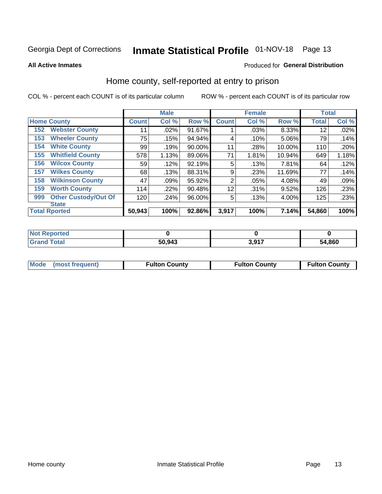## Inmate Statistical Profile 01-NOV-18 Page 13

**All Active Inmates** 

#### Produced for General Distribution

### Home county, self-reported at entry to prison

COL % - percent each COUNT is of its particular column

|     |                             |              | <b>Male</b> |        |              | <b>Female</b> |        | <b>Total</b> |       |
|-----|-----------------------------|--------------|-------------|--------|--------------|---------------|--------|--------------|-------|
|     | <b>Home County</b>          | <b>Count</b> | Col %       | Row %  | <b>Count</b> | Col %         | Row %  | <b>Total</b> | Col % |
| 152 | <b>Webster County</b>       | 11           | .02%        | 91.67% |              | .03%          | 8.33%  | 12           | .02%  |
| 153 | <b>Wheeler County</b>       | 75           | .15%        | 94.94% | 4            | .10%          | 5.06%  | 79           | .14%  |
| 154 | <b>White County</b>         | 99           | .19%        | 90.00% | 11           | .28%          | 10.00% | 110          | .20%  |
| 155 | <b>Whitfield County</b>     | 578          | 1.13%       | 89.06% | 71           | 1.81%         | 10.94% | 649          | 1.18% |
| 156 | <b>Wilcox County</b>        | 59           | .12%        | 92.19% | 5            | .13%          | 7.81%  | 64           | .12%  |
| 157 | <b>Wilkes County</b>        | 68           | .13%        | 88.31% | 9            | .23%          | 11.69% | 77           | .14%  |
| 158 | <b>Wilkinson County</b>     | 47           | .09%        | 95.92% | 2            | .05%          | 4.08%  | 49           | .09%  |
| 159 | <b>Worth County</b>         | 114          | .22%        | 90.48% | 12           | .31%          | 9.52%  | 126          | .23%  |
| 999 | <b>Other Custody/Out Of</b> | 120          | .24%        | 96.00% | 5            | .13%          | 4.00%  | 125          | .23%  |
|     | <b>State</b>                |              |             |        |              |               |        |              |       |
|     | <b>Total Rported</b>        | 50,943       | 100%        | 92.86% | 3,917        | 100%          | 7.14%  | 54,860       | 100%  |

| <b>Not</b><br>Reported |        |      |        |
|------------------------|--------|------|--------|
| Total<br><b>Grand</b>  | 50,943 | 2017 | 54,860 |

| Mode (most frequent) | <b>Fulton County</b> | <b>Fulton County</b> | <b>Fulton County</b> |
|----------------------|----------------------|----------------------|----------------------|
|                      |                      |                      |                      |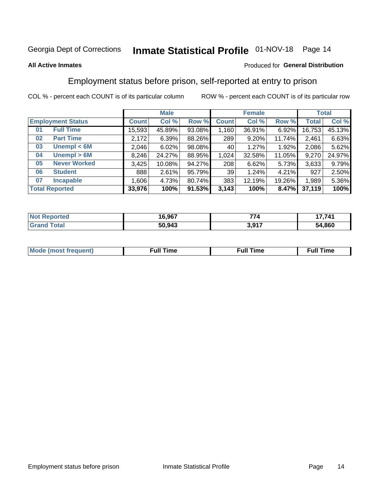## Inmate Statistical Profile 01-NOV-18 Page 14

#### **All Active Inmates**

#### Produced for General Distribution

## Employment status before prison, self-reported at entry to prison

COL % - percent each COUNT is of its particular column

|                           |         | <b>Male</b> |        |              | <b>Female</b> |        |        | <b>Total</b> |
|---------------------------|---------|-------------|--------|--------------|---------------|--------|--------|--------------|
| <b>Employment Status</b>  | Count l | Col %       | Row %  | <b>Count</b> | Col %         | Row %  | Total  | Col %        |
| <b>Full Time</b><br>01    | 15,593  | 45.89%      | 93.08% | ا 160.ا      | 36.91%        | 6.92%  | 16,753 | 45.13%       |
| <b>Part Time</b><br>02    | 2,172   | 6.39%       | 88.26% | 289          | 9.20%         | 11.74% | 2,461  | 6.63%        |
| Unempl $<$ 6M<br>03       | 2,046   | 6.02%       | 98.08% | 40           | 1.27%         | 1.92%  | 2,086  | 5.62%        |
| Unempl > 6M<br>04         | 8,246   | 24.27%      | 88.95% | 1,024        | 32.58%        | 11.05% | 9,270  | 24.97%       |
| <b>Never Worked</b><br>05 | 3,425   | 10.08%      | 94.27% | 208          | 6.62%         | 5.73%  | 3,633  | 9.79%        |
| <b>Student</b><br>06      | 888     | 2.61%       | 95.79% | 39           | 1.24%         | 4.21%  | 927    | 2.50%        |
| <b>Incapable</b><br>07    | 1,606   | 4.73%       | 80.74% | 383          | 12.19%        | 19.26% | 1,989  | 5.36%        |
| <b>Total Reported</b>     | 33,976  | 100%        | 91.53% | 3,143        | 100%          | 8.47%  | 37,119 | 100%         |

| <b>orted</b><br>NO | 16,967 | ––           | 7,741  |
|--------------------|--------|--------------|--------|
| T <sub>1</sub>     | 50,943 | 2 Q17<br>J.J | 54,860 |

| Mc | ----<br>me<br>ш | nc<br>. |
|----|-----------------|---------|
|    |                 |         |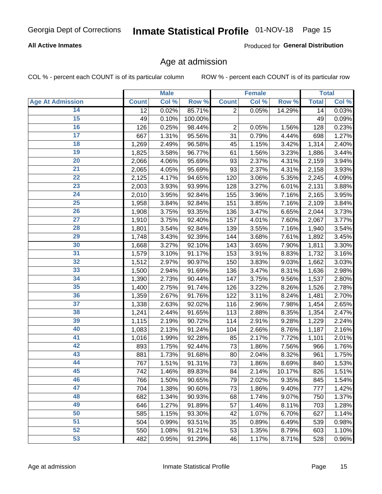### **All Active Inmates**

Produced for General Distribution

### Age at admission

COL % - percent each COUNT is of its particular column

|                         |              | <b>Male</b> |         |                | <b>Female</b> |        |              | <b>Total</b> |
|-------------------------|--------------|-------------|---------|----------------|---------------|--------|--------------|--------------|
| <b>Age At Admission</b> | <b>Count</b> | Col %       | Row %   | <b>Count</b>   | Col %         | Row %  | <b>Total</b> | Col %        |
| 14                      | 12           | 0.02%       | 85.71%  | $\overline{2}$ | 0.05%         | 14.29% | 14           | 0.03%        |
| $\overline{15}$         | 49           | 0.10%       | 100.00% |                |               |        | 49           | 0.09%        |
| 16                      | 126          | 0.25%       | 98.44%  | $\mathbf 2$    | 0.05%         | 1.56%  | 128          | 0.23%        |
| $\overline{17}$         | 667          | 1.31%       | 95.56%  | 31             | 0.79%         | 4.44%  | 698          | 1.27%        |
| $\overline{18}$         | 1,269        | 2.49%       | 96.58%  | 45             | 1.15%         | 3.42%  | 1,314        | 2.40%        |
| 19                      | 1,825        | 3.58%       | 96.77%  | 61             | 1.56%         | 3.23%  | 1,886        | 3.44%        |
| 20                      | 2,066        | 4.06%       | 95.69%  | 93             | 2.37%         | 4.31%  | 2,159        | 3.94%        |
| $\overline{21}$         | 2,065        | 4.05%       | 95.69%  | 93             | 2.37%         | 4.31%  | 2,158        | 3.93%        |
| $\overline{22}$         | 2,125        | 4.17%       | 94.65%  | 120            | 3.06%         | 5.35%  | 2,245        | 4.09%        |
| $\overline{23}$         | 2,003        | 3.93%       | 93.99%  | 128            | 3.27%         | 6.01%  | 2,131        | 3.88%        |
| 24                      | 2,010        | 3.95%       | 92.84%  | 155            | 3.96%         | 7.16%  | 2,165        | 3.95%        |
| $\overline{25}$         | 1,958        | 3.84%       | 92.84%  | 151            | 3.85%         | 7.16%  | 2,109        | 3.84%        |
| $\overline{26}$         | 1,908        | 3.75%       | 93.35%  | 136            | 3.47%         | 6.65%  | 2,044        | 3.73%        |
| $\overline{27}$         | 1,910        | 3.75%       | 92.40%  | 157            | 4.01%         | 7.60%  | 2,067        | 3.77%        |
| 28                      | 1,801        | 3.54%       | 92.84%  | 139            | 3.55%         | 7.16%  | 1,940        | 3.54%        |
| 29                      | 1,748        | 3.43%       | 92.39%  | 144            | 3.68%         | 7.61%  | 1,892        | 3.45%        |
| 30                      | 1,668        | 3.27%       | 92.10%  | 143            | 3.65%         | 7.90%  | 1,811        | 3.30%        |
| 31                      | 1,579        | 3.10%       | 91.17%  | 153            | 3.91%         | 8.83%  | 1,732        | 3.16%        |
| 32                      | 1,512        | 2.97%       | 90.97%  | 150            | 3.83%         | 9.03%  | 1,662        | 3.03%        |
| 33                      | 1,500        | 2.94%       | 91.69%  | 136            | 3.47%         | 8.31%  | 1,636        | 2.98%        |
| 34                      | 1,390        | 2.73%       | 90.44%  | 147            | 3.75%         | 9.56%  | 1,537        | 2.80%        |
| 35                      | 1,400        | 2.75%       | 91.74%  | 126            | 3.22%         | 8.26%  | 1,526        | 2.78%        |
| 36                      | 1,359        | 2.67%       | 91.76%  | 122            | 3.11%         | 8.24%  | 1,481        | 2.70%        |
| $\overline{37}$         | 1,338        | 2.63%       | 92.02%  | 116            | 2.96%         | 7.98%  | 1,454        | 2.65%        |
| 38                      | 1,241        | 2.44%       | 91.65%  | 113            | 2.88%         | 8.35%  | 1,354        | 2.47%        |
| 39                      | 1,115        | 2.19%       | 90.72%  | 114            | 2.91%         | 9.28%  | 1,229        | 2.24%        |
| 40                      | 1,083        | 2.13%       | 91.24%  | 104            | 2.66%         | 8.76%  | 1,187        | 2.16%        |
| 41                      | 1,016        | 1.99%       | 92.28%  | 85             | 2.17%         | 7.72%  | 1,101        | 2.01%        |
| 42                      | 893          | 1.75%       | 92.44%  | 73             | 1.86%         | 7.56%  | 966          | 1.76%        |
| 43                      | 881          | 1.73%       | 91.68%  | 80             | 2.04%         | 8.32%  | 961          | 1.75%        |
| 44                      | 767          | 1.51%       | 91.31%  | 73             | 1.86%         | 8.69%  | 840          | 1.53%        |
| 45                      | 742          | 1.46%       | 89.83%  | 84             | 2.14%         | 10.17% | 826          | 1.51%        |
| 46                      | 766          | 1.50%       | 90.65%  | 79             | 2.02%         | 9.35%  | 845          | 1.54%        |
| 47                      | 704          | 1.38%       | 90.60%  | 73             | 1.86%         | 9.40%  | 777          | 1.42%        |
| 48                      | 682          | 1.34%       | 90.93%  | 68             | 1.74%         | 9.07%  | 750          | 1.37%        |
| 49                      | 646          | 1.27%       | 91.89%  | 57             | 1.46%         | 8.11%  | 703          | 1.28%        |
| 50                      | 585          | 1.15%       | 93.30%  | 42             | 1.07%         | 6.70%  | 627          | 1.14%        |
| 51                      | 504          | 0.99%       | 93.51%  | 35             | 0.89%         | 6.49%  | 539          | 0.98%        |
| 52                      | 550          | 1.08%       | 91.21%  | 53             | 1.35%         | 8.79%  | 603          | 1.10%        |
| 53                      | 482          | 0.95%       | 91.29%  | 46             | 1.17%         | 8.71%  | 528          | 0.96%        |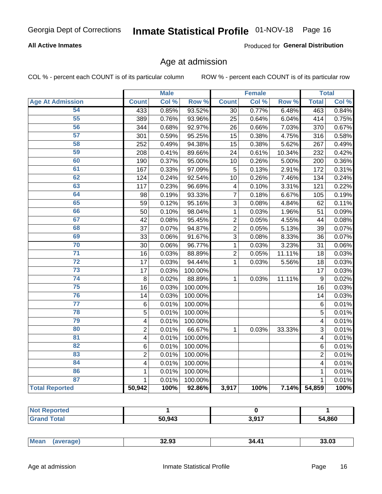### **All Active Inmates**

Produced for General Distribution

### Age at admission

COL % - percent each COUNT is of its particular column

|                         |                         | <b>Male</b> |         |                | <b>Female</b> |                  | <b>Total</b>   |       |
|-------------------------|-------------------------|-------------|---------|----------------|---------------|------------------|----------------|-------|
| <b>Age At Admission</b> | <b>Count</b>            | Col %       | Row %   | <b>Count</b>   | Col %         | Row <sup>%</sup> | <b>Total</b>   | Col % |
| 54                      | 433                     | 0.85%       | 93.52%  | 30             | 0.77%         | 6.48%            | 463            | 0.84% |
| 55                      | 389                     | 0.76%       | 93.96%  | 25             | 0.64%         | 6.04%            | 414            | 0.75% |
| 56                      | 344                     | 0.68%       | 92.97%  | 26             | 0.66%         | 7.03%            | 370            | 0.67% |
| 57                      | 301                     | 0.59%       | 95.25%  | 15             | 0.38%         | 4.75%            | 316            | 0.58% |
| 58                      | 252                     | 0.49%       | 94.38%  | 15             | 0.38%         | 5.62%            | 267            | 0.49% |
| 59                      | 208                     | 0.41%       | 89.66%  | 24             | 0.61%         | 10.34%           | 232            | 0.42% |
| 60                      | 190                     | 0.37%       | 95.00%  | 10             | 0.26%         | 5.00%            | 200            | 0.36% |
| 61                      | 167                     | 0.33%       | 97.09%  | 5              | 0.13%         | 2.91%            | 172            | 0.31% |
| 62                      | 124                     | 0.24%       | 92.54%  | 10             | 0.26%         | 7.46%            | 134            | 0.24% |
| 63                      | 117                     | 0.23%       | 96.69%  | 4              | 0.10%         | 3.31%            | 121            | 0.22% |
| 64                      | 98                      | 0.19%       | 93.33%  | $\overline{7}$ | 0.18%         | 6.67%            | 105            | 0.19% |
| 65                      | 59                      | 0.12%       | 95.16%  | 3              | 0.08%         | 4.84%            | 62             | 0.11% |
| 66                      | 50                      | 0.10%       | 98.04%  | $\mathbf{1}$   | 0.03%         | 1.96%            | 51             | 0.09% |
| 67                      | 42                      | 0.08%       | 95.45%  | $\overline{2}$ | 0.05%         | 4.55%            | 44             | 0.08% |
| 68                      | 37                      | 0.07%       | 94.87%  | $\overline{2}$ | 0.05%         | 5.13%            | 39             | 0.07% |
| 69                      | 33                      | 0.06%       | 91.67%  | 3              | 0.08%         | 8.33%            | 36             | 0.07% |
| 70                      | 30                      | 0.06%       | 96.77%  | $\mathbf{1}$   | 0.03%         | 3.23%            | 31             | 0.06% |
| $\overline{71}$         | 16                      | 0.03%       | 88.89%  | $\overline{2}$ | 0.05%         | 11.11%           | 18             | 0.03% |
| $\overline{72}$         | 17                      | 0.03%       | 94.44%  | $\mathbf{1}$   | 0.03%         | 5.56%            | 18             | 0.03% |
| 73                      | 17                      | 0.03%       | 100.00% |                |               |                  | 17             | 0.03% |
| 74                      | 8                       | 0.02%       | 88.89%  | $\mathbf{1}$   | 0.03%         | 11.11%           | 9              | 0.02% |
| 75                      | 16                      | 0.03%       | 100.00% |                |               |                  | 16             | 0.03% |
| 76                      | 14                      | 0.03%       | 100.00% |                |               |                  | 14             | 0.03% |
| $\overline{77}$         | $\,6$                   | 0.01%       | 100.00% |                |               |                  | 6              | 0.01% |
| 78                      | $\overline{5}$          | 0.01%       | 100.00% |                |               |                  | $\overline{5}$ | 0.01% |
| 79                      | $\overline{\mathbf{4}}$ | 0.01%       | 100.00% |                |               |                  | 4              | 0.01% |
| 80                      | $\overline{c}$          | 0.01%       | 66.67%  | $\mathbf{1}$   | 0.03%         | 33.33%           | $\overline{3}$ | 0.01% |
| 81                      | $\overline{\mathbf{4}}$ | 0.01%       | 100.00% |                |               |                  | 4              | 0.01% |
| 82                      | 6                       | 0.01%       | 100.00% |                |               |                  | 6              | 0.01% |
| 83                      | $\overline{c}$          | 0.01%       | 100.00% |                |               |                  | $\overline{2}$ | 0.01% |
| 84                      | $\overline{\mathbf{4}}$ | 0.01%       | 100.00% |                |               |                  | 4              | 0.01% |
| 86                      | $\mathbf{1}$            | 0.01%       | 100.00% |                |               |                  | 1              | 0.01% |
| 87                      | $\mathbf{1}$            | 0.01%       | 100.00% |                |               |                  | $\mathbf{1}$   | 0.01% |
| <b>Total Reported</b>   | 50,942                  | 100%        | 92.86%  | 3,917          | 100%          | 7.14%            | 54,859         | 100%  |

| 50.943 | 2017<br>u,u<br>,,, | 54,860 |
|--------|--------------------|--------|

| ---<br>$\sim$ $\sim$ $\sim$ $\sim$ $\sim$ | $^{\circ}$ Me | 20 ממ<br>32.YJ | . A.<br>34 | 3.U3 |
|-------------------------------------------|---------------|----------------|------------|------|
|-------------------------------------------|---------------|----------------|------------|------|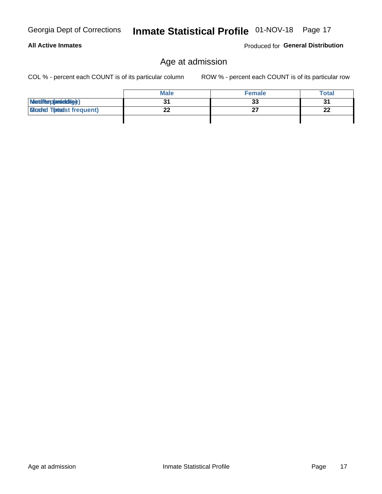|  | Georgia Dept of Corrections |  |
|--|-----------------------------|--|
|  |                             |  |

### **All Active Inmates**

Produced for General Distribution

## Age at admission

COL % - percent each COUNT is of its particular column

|                                  | <b>Male</b> | <b>Female</b> | Total |
|----------------------------------|-------------|---------------|-------|
| MetiRap(aniektig)                |             | 33            | 31    |
| <b>Cloaded Tomadst frequent)</b> |             |               | 22    |
|                                  |             |               |       |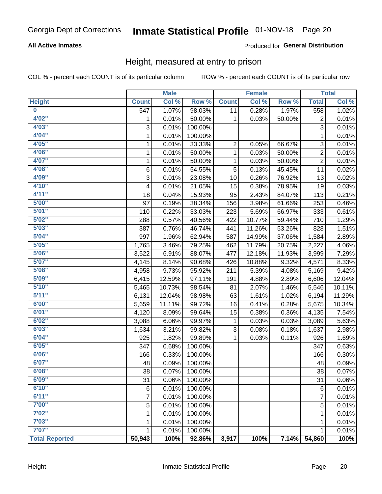### **All Active Inmates**

### Produced for General Distribution

### Height, measured at entry to prison

COL % - percent each COUNT is of its particular column

|                         |                  | <b>Male</b> |         |              | <b>Female</b> |                  |                  | <b>Total</b>  |
|-------------------------|------------------|-------------|---------|--------------|---------------|------------------|------------------|---------------|
| <b>Height</b>           | <b>Count</b>     | Col %       | Row %   | <b>Count</b> | Col %         | Row <sup>%</sup> | <b>Total</b>     | Col %         |
| $\overline{\mathbf{0}}$ | $\overline{547}$ | 1.07%       | 98.03%  | 11           | 0.28%         | 1.97%            | 558              | 1.02%         |
| 4'02"                   | 1                | 0.01%       | 50.00%  | 1            | 0.03%         | 50.00%           | 2                | 0.01%         |
| 4'03''                  | 3                | 0.01%       | 100.00% |              |               |                  | $\overline{3}$   | 0.01%         |
| 4'04"                   | 1                | 0.01%       | 100.00% |              |               |                  | 1                | 0.01%         |
| 4'05"                   | 1                | 0.01%       | 33.33%  | 2            | 0.05%         | 66.67%           | $\sqrt{3}$       | 0.01%         |
| 4'06"                   | 1                | 0.01%       | 50.00%  | $\mathbf{1}$ | 0.03%         | 50.00%           | $\boldsymbol{2}$ | 0.01%         |
| 4'07"                   | 1                | 0.01%       | 50.00%  | 1            | 0.03%         | 50.00%           | $\overline{2}$   | 0.01%         |
| 4'08"                   | $\,6$            | 0.01%       | 54.55%  | 5            | 0.13%         | 45.45%           | 11               | 0.02%         |
| 4'09"                   | 3                | 0.01%       | 23.08%  | 10           | 0.26%         | 76.92%           | 13               | 0.02%         |
| 4'10"                   | 4                | 0.01%       | 21.05%  | 15           | 0.38%         | 78.95%           | 19               | 0.03%         |
| 4'11''                  | 18               | 0.04%       | 15.93%  | 95           | 2.43%         | 84.07%           | 113              | 0.21%         |
| 5'00''                  | 97               | 0.19%       | 38.34%  | 156          | 3.98%         | 61.66%           | 253              | 0.46%         |
| 5'01"                   | 110              | 0.22%       | 33.03%  | 223          | 5.69%         | 66.97%           | 333              | 0.61%         |
| 5'02"                   | 288              | 0.57%       | 40.56%  | 422          | 10.77%        | 59.44%           | 710              | 1.29%         |
| 5'03"                   | 387              | 0.76%       | 46.74%  | 441          | 11.26%        | 53.26%           | 828              | 1.51%         |
| 5'04"                   | 997              | 1.96%       | 62.94%  | 587          | 14.99%        | 37.06%           | 1,584            | 2.89%         |
| 5'05"                   | 1,765            | 3.46%       | 79.25%  | 462          | 11.79%        | 20.75%           | 2,227            | 4.06%         |
| 5'06''                  | 3,522            | 6.91%       | 88.07%  | 477          | 12.18%        | 11.93%           | 3,999            | 7.29%         |
| 5'07''                  | 4,145            | 8.14%       | 90.68%  | 426          | 10.88%        | 9.32%            | 4,571            | 8.33%         |
| 5'08''                  | 4,958            | 9.73%       | 95.92%  | 211          | 5.39%         | 4.08%            | 5,169            | 9.42%         |
| 5'09''                  | 6,415            | 12.59%      | 97.11%  | 191          | 4.88%         | 2.89%            | 6,606            | 12.04%        |
| 5'10''                  | 5,465            | 10.73%      | 98.54%  | 81           | 2.07%         | 1.46%            | 5,546            | 10.11%        |
| 5'11''                  | 6,131            | 12.04%      | 98.98%  | 63           | 1.61%         | 1.02%            | 6,194            | 11.29%        |
| 6'00''                  | 5,659            | 11.11%      | 99.72%  | 16           | 0.41%         | 0.28%            | 5,675            | 10.34%        |
| 6'01''                  | 4,120            | 8.09%       | 99.64%  | 15           | 0.38%         | 0.36%            | 4,135            | 7.54%         |
| 6'02"                   | 3,088            | 6.06%       | 99.97%  | 1            | 0.03%         | 0.03%            | 3,089            | 5.63%         |
| 6'03''                  | 1,634            | 3.21%       | 99.82%  | 3            | 0.08%         | 0.18%            | 1,637            | 2.98%         |
| 6'04"                   | 925              | 1.82%       | 99.89%  | 1            | 0.03%         | 0.11%            | 926              | 1.69%         |
| 6'05"                   | 347              | 0.68%       | 100.00% |              |               |                  | 347              | 0.63%         |
| 6'06''                  | 166              | 0.33%       | 100.00% |              |               |                  | 166              | 0.30%         |
| 6'07''                  | 48               | 0.09%       | 100.00% |              |               |                  | 48               | 0.09%         |
| 6'08"                   | 38               | 0.07%       | 100.00% |              |               |                  | 38               | 0.07%         |
| 6'09''                  | 31               | 0.06%       | 100.00% |              |               |                  | 31               | 0.06%         |
| 6'10''                  | $\,6$            | 0.01%       | 100.00% |              |               |                  | 6                | 0.01%         |
| 6'11''                  | 7                | 0.01%       | 100.00% |              |               |                  | 7                | 0.01%         |
| 7'00"                   | 5                | 0.01%       | 100.00% |              |               |                  | $\mathbf 5$      | 0.01%         |
| 7'02"                   | 1                | 0.01%       | 100.00% |              |               |                  | $\mathbf{1}$     | 0.01%         |
| 7'03''                  | 1                | 0.01%       |         |              |               |                  |                  | 0.01%         |
| 7'07''                  |                  |             | 100.00% |              |               |                  | 1                |               |
|                         | 1                | 0.01%       | 100.00% |              |               |                  | 1                | 0.01%<br>100% |
| <b>Total Reported</b>   | 50,943           | 100%        | 92.86%  | 3,917        | 100%          | 7.14%            | 54,860           |               |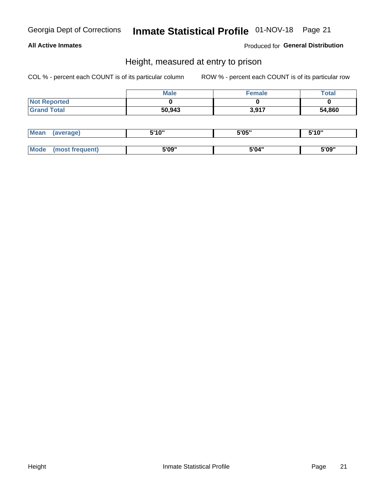### **All Active Inmates**

Produced for General Distribution

### Height, measured at entry to prison

COL % - percent each COUNT is of its particular column

|                     | <b>Male</b> | Female | Total  |
|---------------------|-------------|--------|--------|
| <b>Not Reported</b> |             |        |        |
| <b>Grand Total</b>  | 50,943      | 3,917  | 54,860 |

| <b>Mean</b> | erage) | 5'10" | 5'05" | <b>CIA AIL</b><br>. . |
|-------------|--------|-------|-------|-----------------------|
|             |        |       |       |                       |
| <b>Mode</b> |        | 5'09" | 5'04" | 5'09"                 |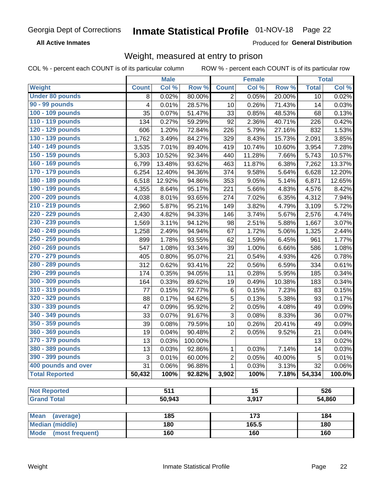**All Active Inmates** 

Produced for General Distribution

## Weight, measured at entry to prison

COL % - percent each COUNT is of its particular column ROW % - percent each COUNT is of its particular row

|                                |              | <b>Male</b> |         |                | <b>Female</b> |        |              | <b>Total</b> |
|--------------------------------|--------------|-------------|---------|----------------|---------------|--------|--------------|--------------|
| <b>Weight</b>                  | <b>Count</b> | Col %       | Row %   | <b>Count</b>   | Col %         | Row %  | <b>Total</b> | Col %        |
| <b>Under 80 pounds</b>         | 8            | 0.02%       | 80.00%  | $\overline{2}$ | 0.05%         | 20.00% | 10           | 0.02%        |
| 90 - 99 pounds                 | 4            | 0.01%       | 28.57%  | 10             | 0.26%         | 71.43% | 14           | 0.03%        |
| 100 - 109 pounds               | 35           | 0.07%       | 51.47%  | 33             | 0.85%         | 48.53% | 68           | 0.13%        |
| 110 - 119 pounds               | 134          | 0.27%       | 59.29%  | 92             | 2.36%         | 40.71% | 226          | 0.42%        |
| 120 - 129 pounds               | 606          | 1.20%       | 72.84%  | 226            | 5.79%         | 27.16% | 832          | 1.53%        |
| 130 - 139 pounds               | 1,762        | 3.49%       | 84.27%  | 329            | 8.43%         | 15.73% | 2,091        | 3.85%        |
| 140 - 149 pounds               | 3,535        | 7.01%       | 89.40%  | 419            | 10.74%        | 10.60% | 3,954        | 7.28%        |
| 150 - 159 pounds               | 5,303        | 10.52%      | 92.34%  | 440            | 11.28%        | 7.66%  | 5,743        | 10.57%       |
| 160 - 169 pounds               | 6,799        | 13.48%      | 93.62%  | 463            | 11.87%        | 6.38%  | 7,262        | 13.37%       |
| 170 - 179 pounds               | 6,254        | 12.40%      | 94.36%  | 374            | 9.58%         | 5.64%  | 6,628        | 12.20%       |
| 180 - 189 pounds               | 6,518        | 12.92%      | 94.86%  | 353            | 9.05%         | 5.14%  | 6,871        | 12.65%       |
| 190 - 199 pounds               | 4,355        | 8.64%       | 95.17%  | 221            | 5.66%         | 4.83%  | 4,576        | 8.42%        |
| 200 - 209 pounds               | 4,038        | 8.01%       | 93.65%  | 274            | 7.02%         | 6.35%  | 4,312        | 7.94%        |
| 210 - 219 pounds               | 2,960        | 5.87%       | 95.21%  | 149            | 3.82%         | 4.79%  | 3,109        | 5.72%        |
| 220 - 229 pounds               | 2,430        | 4.82%       | 94.33%  | 146            | 3.74%         | 5.67%  | 2,576        | 4.74%        |
| 230 - 239 pounds               | 1,569        | 3.11%       | 94.12%  | 98             | 2.51%         | 5.88%  | 1,667        | 3.07%        |
| 240 - 249 pounds               | 1,258        | 2.49%       | 94.94%  | 67             | 1.72%         | 5.06%  | 1,325        | 2.44%        |
| 250 - 259 pounds               | 899          | 1.78%       | 93.55%  | 62             | 1.59%         | 6.45%  | 961          | 1.77%        |
| 260 - 269 pounds               | 547          | 1.08%       | 93.34%  | 39             | 1.00%         | 6.66%  | 586          | 1.08%        |
| 270 - 279 pounds               | 405          | 0.80%       | 95.07%  | 21             | 0.54%         | 4.93%  | 426          | 0.78%        |
| 280 - 289 pounds               | 312          | 0.62%       | 93.41%  | 22             | 0.56%         | 6.59%  | 334          | 0.61%        |
| 290 - 299 pounds               | 174          | 0.35%       | 94.05%  | 11             | 0.28%         | 5.95%  | 185          | 0.34%        |
| 300 - 309 pounds               | 164          | 0.33%       | 89.62%  | 19             | 0.49%         | 10.38% | 183          | 0.34%        |
| 310 - 319 pounds               | 77           | 0.15%       | 92.77%  | 6              | 0.15%         | 7.23%  | 83           | 0.15%        |
| 320 - 329 pounds               | 88           | 0.17%       | 94.62%  | 5              | 0.13%         | 5.38%  | 93           | 0.17%        |
| 330 - 339 pounds               | 47           | 0.09%       | 95.92%  | $\overline{c}$ | 0.05%         | 4.08%  | 49           | 0.09%        |
| 340 - 349 pounds               | 33           | 0.07%       | 91.67%  | $\overline{3}$ | 0.08%         | 8.33%  | 36           | 0.07%        |
| 350 - 359 pounds               | 39           | 0.08%       | 79.59%  | 10             | 0.26%         | 20.41% | 49           | 0.09%        |
| 360 - 369 pounds               | 19           | 0.04%       | 90.48%  | $\overline{2}$ | 0.05%         | 9.52%  | 21           | 0.04%        |
| 370 - 379 pounds               | 13           | 0.03%       | 100.00% |                |               |        | 13           | 0.02%        |
| 380 - 389 pounds               | 13           | 0.03%       | 92.86%  | 1              | 0.03%         | 7.14%  | 14           | 0.03%        |
| 390 - 399 pounds               | 3            | 0.01%       | 60.00%  | 2              | 0.05%         | 40.00% | 5            | 0.01%        |
| 400 pounds and over            | 31           | 0.06%       | 96.88%  | 1              | 0.03%         | 3.13%  | 32           | 0.06%        |
| <b>Total Reported</b>          | 50,432       | 100%        | 92.82%  | 3,902          | 100%          | 7.18%  | 54,334       | 100.0%       |
|                                |              |             |         |                |               |        |              |              |
| <b>Not Reported</b>            |              | 511         |         |                | 15            |        |              | 526          |
| <b>Grand Total</b>             |              | 50,943      |         |                | 3,917         |        |              | 54,860       |
| <b>Mean</b><br>(average)       |              | 185         |         |                | 173           |        |              | 184          |
| <b>Median (middle)</b>         |              | 180         |         |                | 165.5         |        |              | 180          |
| <b>Mode</b><br>(most frequent) |              | 160         |         |                | 160           |        |              | 160          |
|                                |              |             |         |                |               |        |              |              |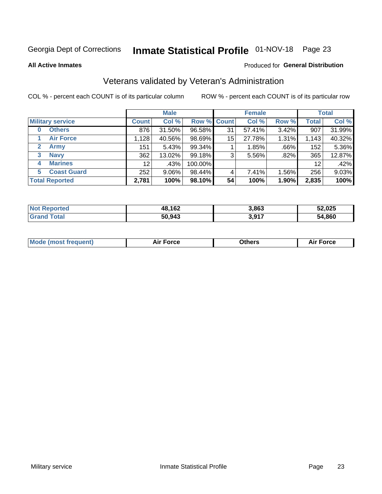## Inmate Statistical Profile 01-NOV-18 Page 23

**All Active Inmates** 

#### Produced for General Distribution

## Veterans validated by Veteran's Administration

COL % - percent each COUNT is of its particular column

|                          |                 | <b>Male</b> |             |    | <b>Female</b> |       |              | <b>Total</b> |
|--------------------------|-----------------|-------------|-------------|----|---------------|-------|--------------|--------------|
| <b>Military service</b>  | <b>Count</b>    | Col %       | Row % Count |    | Col %         | Row % | <b>Total</b> | Col %        |
| <b>Others</b><br>0       | 876             | 31.50%      | 96.58%      | 31 | 57.41%        | 3.42% | 907          | 31.99%       |
| <b>Air Force</b>         | 1,128           | 40.56%      | 98.69%      | 15 | 27.78%        | 1.31% | 1,143        | 40.32%       |
| 2<br><b>Army</b>         | 151             | 5.43%       | 99.34%      |    | 1.85%         | .66%  | 152          | 5.36%        |
| <b>Navy</b><br>3         | 362             | 13.02%      | 99.18%      | 3  | 5.56%         | .82%  | 365          | 12.87%       |
| <b>Marines</b><br>4      | 12 <sup>°</sup> | .43%        | 100.00%     |    |               |       | 12           | .42%         |
| <b>Coast Guard</b><br>5. | 252             | 9.06%       | 98.44%      | 4  | 7.41%         | 1.56% | 256          | 9.03%        |
| <b>Total Reported</b>    | 2,781           | 100%        | 98.10%      | 54 | 100%          | 1.90% | 2,835        | 100%         |

| ırted<br>NOI    | 48,162 | 3,863            | 52,025 |
|-----------------|--------|------------------|--------|
| $\sim$ 4 $\sim$ | 50,943 | 2 Q17<br>. ו טוע | 54,860 |

|  |  | <b>Mode (most frequent)</b> | <b>Force</b><br>Aır | วthers | orce |
|--|--|-----------------------------|---------------------|--------|------|
|--|--|-----------------------------|---------------------|--------|------|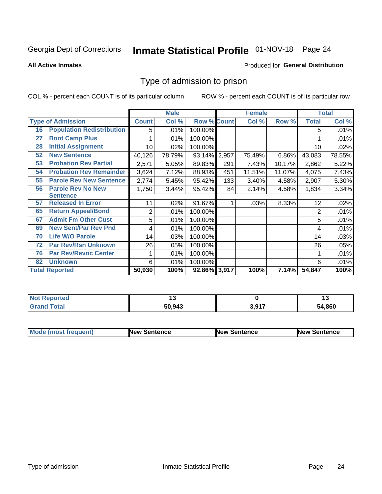## Inmate Statistical Profile 01-NOV-18 Page 24

#### **All Active Inmates**

#### Produced for General Distribution

### Type of admission to prison

COL % - percent each COUNT is of its particular column

|    |                                  |              | <b>Male</b> |                    |       | <b>Female</b> |        |              | <b>Total</b> |
|----|----------------------------------|--------------|-------------|--------------------|-------|---------------|--------|--------------|--------------|
|    | <b>Type of Admission</b>         | <b>Count</b> | Col %       | <b>Row % Count</b> |       | Col %         | Row %  | <b>Total</b> | Col %        |
| 16 | <b>Population Redistribution</b> | 5            | .01%        | 100.00%            |       |               |        | 5            | .01%         |
| 27 | <b>Boot Camp Plus</b>            |              | .01%        | 100.00%            |       |               |        |              | .01%         |
| 28 | <b>Initial Assignment</b>        | 10           | .02%        | 100.00%            |       |               |        | 10           | .02%         |
| 52 | <b>New Sentence</b>              | 40,126       | 78.79%      | 93.14%             | 2,957 | 75.49%        | 6.86%  | 43,083       | 78.55%       |
| 53 | <b>Probation Rev Partial</b>     | 2,571        | 5.05%       | 89.83%             | 291   | 7.43%         | 10.17% | 2,862        | 5.22%        |
| 54 | <b>Probation Rev Remainder</b>   | 3,624        | 7.12%       | 88.93%             | 451   | 11.51%        | 11.07% | 4,075        | 7.43%        |
| 55 | <b>Parole Rev New Sentence</b>   | 2,774        | 5.45%       | 95.42%             | 133   | 3.40%         | 4.58%  | 2,907        | 5.30%        |
| 56 | <b>Parole Rev No New</b>         | 1,750        | 3.44%       | 95.42%             | 84    | 2.14%         | 4.58%  | 1,834        | 3.34%        |
|    | <b>Sentence</b>                  |              |             |                    |       |               |        |              |              |
| 57 | <b>Released In Error</b>         | 11           | .02%        | 91.67%             | 1     | .03%          | 8.33%  | 12           | .02%         |
| 65 | <b>Return Appeal/Bond</b>        | 2            | .01%        | 100.00%            |       |               |        | 2            | .01%         |
| 67 | <b>Admit Fm Other Cust</b>       | 5            | .01%        | 100.00%            |       |               |        | 5            | .01%         |
| 69 | <b>New Sent/Par Rev Pnd</b>      | 4            | .01%        | 100.00%            |       |               |        | 4            | .01%         |
| 70 | <b>Life W/O Parole</b>           | 14           | .03%        | 100.00%            |       |               |        | 14           | .03%         |
| 72 | <b>Par Rev/Rsn Unknown</b>       | 26           | .05%        | 100.00%            |       |               |        | 26           | .05%         |
| 76 | <b>Par Rev/Revoc Center</b>      |              | .01%        | 100.00%            |       |               |        |              | .01%         |
| 82 | <b>Unknown</b>                   | 6            | .01%        | 100.00%            |       |               |        | 6            | .01%         |
|    | <b>Total Reported</b>            | 50,930       | 100%        | 92.86% 3,917       |       | 100%          | 7.14%  | 54,847       | 100%         |

| <b>Not Reported</b> |        |                     | . .    |
|---------------------|--------|---------------------|--------|
| Total<br>Grar       | 50,943 | <b>3.017</b><br>J.J | 54.860 |

| <b>Mode (most frequent)</b> | <b>New Sentence</b> | <b>New Sentence</b> | <b>New Sentence</b> |
|-----------------------------|---------------------|---------------------|---------------------|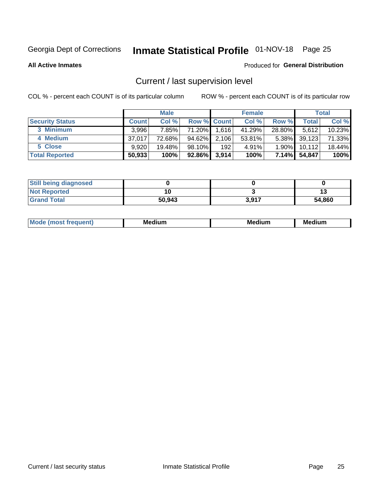## Inmate Statistical Profile 01-NOV-18 Page 25

**All Active Inmates** 

#### Produced for General Distribution

## Current / last supervision level

COL % - percent each COUNT is of its particular column

|                        |              | <b>Male</b> |                    |       | <b>Female</b> |          |        | <b>Total</b> |
|------------------------|--------------|-------------|--------------------|-------|---------------|----------|--------|--------------|
| <b>Security Status</b> | <b>Count</b> | Col %       | <b>Row % Count</b> |       | Col %         | Row %    | Total  | Col %        |
| 3 Minimum              | 3.996        | 7.85%       | 71.20%             | 1,616 | 41.29%        | 28.80%   | 5,612  | 10.23%       |
| 4 Medium               | 37.017       | 72.68%      | 94.62%             | 2,106 | $53.81\%$     | $5.38\%$ | 39,123 | 71.33%       |
| 5 Close                | 9.920        | 19.48%      | $98.10\%$          | 192   | 4.91%         | $1.90\%$ | 10,112 | 18.44%       |
| <b>Total Reported</b>  | 50,933       | 100%        | 92.86%             | 3,914 | 100%          | 7.14%    | 54,847 | 100%         |

| <b>Still being diagnosed</b> |        |       |        |
|------------------------------|--------|-------|--------|
| <b>Not Reported</b>          |        |       |        |
| <b>Grand Total</b>           | 50,943 | 3,917 | 54,860 |

| M | . | -- |
|---|---|----|
|   |   |    |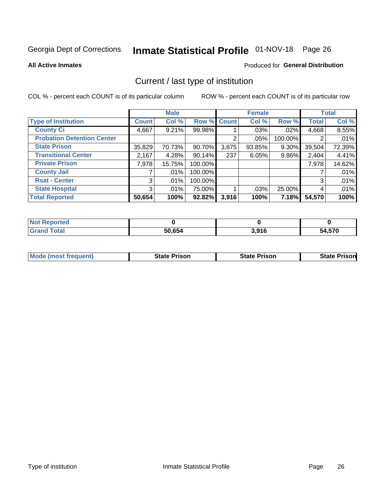## Inmate Statistical Profile 01-NOV-18 Page 26

**All Active Inmates** 

#### Produced for General Distribution

## Current / last type of institution

COL % - percent each COUNT is of its particular column

|                                   |                | <b>Male</b> |             |       | <b>Female</b> |         |              | <b>Total</b> |
|-----------------------------------|----------------|-------------|-------------|-------|---------------|---------|--------------|--------------|
| <b>Type of Institution</b>        | <b>Count</b>   | Col %       | Row % Count |       | Col %         | Row %   | <b>Total</b> | Col %        |
| <b>County Ci</b>                  | 4,667          | 9.21%       | 99.98%      |       | $.03\%$       | .02%    | 4,668        | 8.55%        |
| <b>Probation Detention Center</b> |                |             |             | ◠     | .05%          | 100.00% |              | .01%         |
| <b>State Prison</b>               | 35,829         | 70.73%      | 90.70%      | 3,675 | 93.85%        | 9.30%   | 39,504       | 72.39%       |
| <b>Transitional Center</b>        | 2,167          | 4.28%       | $90.14\%$   | 237   | 6.05%         | 9.86%   | 2,404        | 4.41%        |
| <b>Private Prison</b>             | 7,978          | 15.75%      | 100.00%     |       |               |         | 7,978        | 14.62%       |
| <b>County Jail</b>                |                | .01%        | 100.00%     |       |               |         |              | .01%         |
| <b>Rsat - Center</b>              | 3 <sup>1</sup> | $.01\%$     | 100.00%     |       |               |         | 3            | .01%         |
| <b>State Hospital</b>             | 3 <sup>1</sup> | $.01\%$     | 75.00%      |       | .03%          | 25.00%  | 4            | .01%         |
| <b>Total Reported</b>             | 50,654         | 100%        | $92.82\%$   | 3,916 | 100%          | 7.18%   | 54,570       | 100%         |

| $N$<br>Reported    |        |       |        |
|--------------------|--------|-------|--------|
| <b>Grand Total</b> | 50,654 | 3,916 | 54,570 |

| Mode (most frequent) | <b>State Prison</b> | <b>State Prison</b> | <b>State Prisonl</b> |
|----------------------|---------------------|---------------------|----------------------|
|                      |                     |                     |                      |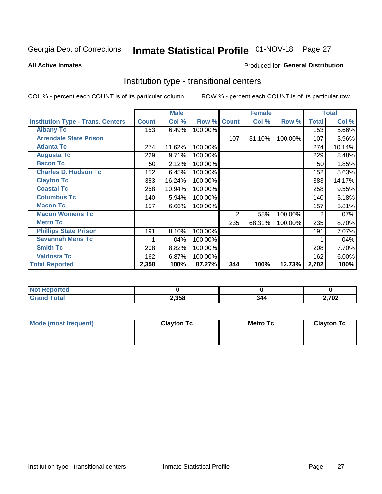## Inmate Statistical Profile 01-NOV-18 Page 27

#### **All Active Inmates**

#### Produced for General Distribution

### Institution type - transitional centers

COL % - percent each COUNT is of its particular column

|                                          |              | <b>Male</b> |         |                | <b>Female</b> |         |              | <b>Total</b> |
|------------------------------------------|--------------|-------------|---------|----------------|---------------|---------|--------------|--------------|
| <b>Institution Type - Trans. Centers</b> | <b>Count</b> | Col %       | Row %   | <b>Count</b>   | Col %         | Row %   | <b>Total</b> | Col %        |
| <b>Albany Tc</b>                         | 153          | 6.49%       | 100.00% |                |               |         | 153          | 5.66%        |
| <b>Arrendale State Prison</b>            |              |             |         | 107            | 31.10%        | 100.00% | 107          | 3.96%        |
| <b>Atlanta Tc</b>                        | 274          | 11.62%      | 100.00% |                |               |         | 274          | 10.14%       |
| <b>Augusta Tc</b>                        | 229          | 9.71%       | 100.00% |                |               |         | 229          | 8.48%        |
| <b>Bacon Tc</b>                          | 50           | 2.12%       | 100.00% |                |               |         | 50           | 1.85%        |
| <b>Charles D. Hudson Tc</b>              | 152          | 6.45%       | 100.00% |                |               |         | 152          | 5.63%        |
| <b>Clayton Tc</b>                        | 383          | 16.24%      | 100.00% |                |               |         | 383          | 14.17%       |
| <b>Coastal Tc</b>                        | 258          | 10.94%      | 100.00% |                |               |         | 258          | 9.55%        |
| <b>Columbus Tc</b>                       | 140          | 5.94%       | 100.00% |                |               |         | 140          | 5.18%        |
| <b>Macon Tc</b>                          | 157          | 6.66%       | 100.00% |                |               |         | 157          | 5.81%        |
| <b>Macon Womens Tc</b>                   |              |             |         | $\overline{2}$ | .58%          | 100.00% | 2            | .07%         |
| <b>Metro Tc</b>                          |              |             |         | 235            | 68.31%        | 100.00% | 235          | 8.70%        |
| <b>Phillips State Prison</b>             | 191          | 8.10%       | 100.00% |                |               |         | 191          | 7.07%        |
| <b>Savannah Mens Tc</b>                  | 1            | .04%        | 100.00% |                |               |         |              | .04%         |
| <b>Smith Tc</b>                          | 208          | 8.82%       | 100.00% |                |               |         | 208          | 7.70%        |
| <b>Valdosta Tc</b>                       | 162          | 6.87%       | 100.00% |                |               |         | 162          | 6.00%        |
| <b>Total Reported</b>                    | 2,358        | 100%        | 87.27%  | 344            | 100%          | 12.73%  | 2,702        | 100%         |

| <b>Reported</b><br><b>NOT</b> |       |     |
|-------------------------------|-------|-----|
| `otal                         | 2,358 | 702 |

| Mode (most frequent) | <b>Clayton Tc</b> | Metro Tc | <b>Clayton Tc</b> |
|----------------------|-------------------|----------|-------------------|
|                      |                   |          |                   |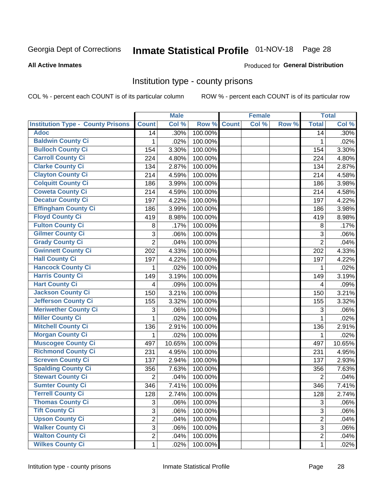## Inmate Statistical Profile 01-NOV-18 Page 28

#### **All Active Inmates**

#### Produced for General Distribution

### Institution type - county prisons

COL % - percent each COUNT is of its particular column

|                                          |                | <b>Male</b> |         |              | <b>Female</b> |       |                | <b>Total</b> |
|------------------------------------------|----------------|-------------|---------|--------------|---------------|-------|----------------|--------------|
| <b>Institution Type - County Prisons</b> | <b>Count</b>   | Col %       | Row %   | <b>Count</b> | Col %         | Row % | <b>Total</b>   | Col %        |
| <b>Adoc</b>                              | 14             | .30%        | 100.00% |              |               |       | 14             | .30%         |
| <b>Baldwin County Ci</b>                 | 1              | .02%        | 100.00% |              |               |       | 1              | .02%         |
| <b>Bulloch County Ci</b>                 | 154            | 3.30%       | 100.00% |              |               |       | 154            | 3.30%        |
| <b>Carroll County Ci</b>                 | 224            | 4.80%       | 100.00% |              |               |       | 224            | 4.80%        |
| <b>Clarke County Ci</b>                  | 134            | 2.87%       | 100.00% |              |               |       | 134            | 2.87%        |
| <b>Clayton County Ci</b>                 | 214            | 4.59%       | 100.00% |              |               |       | 214            | 4.58%        |
| <b>Colquitt County Ci</b>                | 186            | 3.99%       | 100.00% |              |               |       | 186            | 3.98%        |
| <b>Coweta County Ci</b>                  | 214            | 4.59%       | 100.00% |              |               |       | 214            | 4.58%        |
| <b>Decatur County Ci</b>                 | 197            | 4.22%       | 100.00% |              |               |       | 197            | 4.22%        |
| <b>Effingham County Ci</b>               | 186            | 3.99%       | 100.00% |              |               |       | 186            | 3.98%        |
| <b>Floyd County Ci</b>                   | 419            | 8.98%       | 100.00% |              |               |       | 419            | 8.98%        |
| <b>Fulton County Ci</b>                  | 8              | .17%        | 100.00% |              |               |       | $\, 8$         | .17%         |
| <b>Gilmer County Ci</b>                  | 3              | .06%        | 100.00% |              |               |       | 3              | .06%         |
| <b>Grady County Ci</b>                   | $\overline{2}$ | .04%        | 100.00% |              |               |       | $\overline{2}$ | .04%         |
| <b>Gwinnett County Ci</b>                | 202            | 4.33%       | 100.00% |              |               |       | 202            | 4.33%        |
| <b>Hall County Ci</b>                    | 197            | 4.22%       | 100.00% |              |               |       | 197            | 4.22%        |
| <b>Hancock County Ci</b>                 | 1              | .02%        | 100.00% |              |               |       | 1              | .02%         |
| <b>Harris County Ci</b>                  | 149            | 3.19%       | 100.00% |              |               |       | 149            | 3.19%        |
| <b>Hart County Ci</b>                    | 4              | .09%        | 100.00% |              |               |       | 4              | .09%         |
| <b>Jackson County Ci</b>                 | 150            | 3.21%       | 100.00% |              |               |       | 150            | 3.21%        |
| <b>Jefferson County Ci</b>               | 155            | 3.32%       | 100.00% |              |               |       | 155            | 3.32%        |
| <b>Meriwether County Ci</b>              | 3              | .06%        | 100.00% |              |               |       | 3              | .06%         |
| <b>Miller County Ci</b>                  | 1              | .02%        | 100.00% |              |               |       | 1              | .02%         |
| <b>Mitchell County Ci</b>                | 136            | 2.91%       | 100.00% |              |               |       | 136            | 2.91%        |
| <b>Morgan County Ci</b>                  | 1              | .02%        | 100.00% |              |               |       | 1              | .02%         |
| <b>Muscogee County Ci</b>                | 497            | 10.65%      | 100.00% |              |               |       | 497            | 10.65%       |
| <b>Richmond County Ci</b>                | 231            | 4.95%       | 100.00% |              |               |       | 231            | 4.95%        |
| <b>Screven County Ci</b>                 | 137            | 2.94%       | 100.00% |              |               |       | 137            | 2.93%        |
| <b>Spalding County Ci</b>                | 356            | 7.63%       | 100.00% |              |               |       | 356            | 7.63%        |
| <b>Stewart County Ci</b>                 | $\overline{2}$ | .04%        | 100.00% |              |               |       | $\overline{2}$ | .04%         |
| <b>Sumter County Ci</b>                  | 346            | 7.41%       | 100.00% |              |               |       | 346            | 7.41%        |
| <b>Terrell County Ci</b>                 | 128            | 2.74%       | 100.00% |              |               |       | 128            | 2.74%        |
| <b>Thomas County Ci</b>                  | 3              | .06%        | 100.00% |              |               |       | 3              | .06%         |
| <b>Tift County Ci</b>                    | 3              | .06%        | 100.00% |              |               |       | 3              | .06%         |
| <b>Upson County Ci</b>                   | $\overline{2}$ | .04%        | 100.00% |              |               |       | $\overline{2}$ | .04%         |
| <b>Walker County Ci</b>                  | 3              | .06%        | 100.00% |              |               |       | 3              | .06%         |
| <b>Walton County Ci</b>                  | $\overline{2}$ | .04%        | 100.00% |              |               |       | $\overline{2}$ | .04%         |
| <b>Wilkes County Ci</b>                  | 1              | .02%        | 100.00% |              |               |       | $\mathbf{1}$   | .02%         |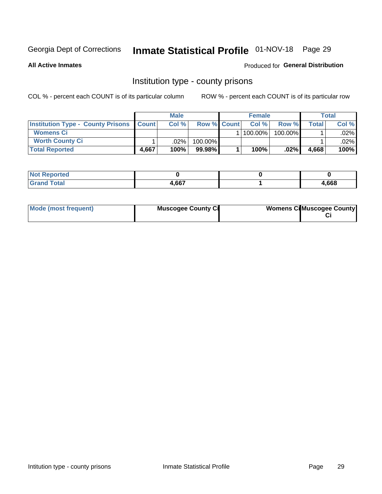## Inmate Statistical Profile 01-NOV-18 Page 29

**All Active Inmates** 

#### Produced for General Distribution

### Institution type - county prisons

COL % - percent each COUNT is of its particular column

|                                                    |       | <b>Male</b> |                    | <b>Female</b> |            |       | <b>Total</b> |
|----------------------------------------------------|-------|-------------|--------------------|---------------|------------|-------|--------------|
| <b>Institution Type - County Prisons   Count  </b> |       | Col %       | <b>Row % Count</b> | Col%          | Row %      | Total | Col %        |
| <b>Womens Ci</b>                                   |       |             |                    | $100.00\%$    | $100.00\%$ |       | $.02\%$      |
| <b>Worth County Ci</b>                             |       | $.02\%$     | 100.00%            |               |            |       | .02% l       |
| <b>Total Reported</b>                              | 4.667 | 100%        | $99.98\%$          | 100%          | $.02\%$    | 4,668 | 100%         |

| ported<br><b>NOT</b> |      |       |
|----------------------|------|-------|
| `otal                | .667 | 4,668 |

| Mode (most frequent) | <b>Muscogee County Ci</b> | <b>Womens Ci</b> Muscogee County |
|----------------------|---------------------------|----------------------------------|
|----------------------|---------------------------|----------------------------------|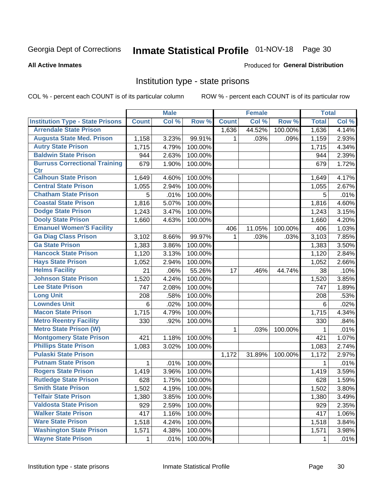## Inmate Statistical Profile 01-NOV-18 Page 30

#### **All Active Inmates**

#### Produced for General Distribution

### Institution type - state prisons

COL % - percent each COUNT is of its particular column

|                                         |              | <b>Male</b> |         |              | <b>Female</b> |         | <b>Total</b> |       |
|-----------------------------------------|--------------|-------------|---------|--------------|---------------|---------|--------------|-------|
| <b>Institution Type - State Prisons</b> | <b>Count</b> | Col %       | Row %   | <b>Count</b> | Col %         | Row %   | <b>Total</b> | Col % |
| <b>Arrendale State Prison</b>           |              |             |         | 1,636        | 44.52%        | 100.00% | 1,636        | 4.14% |
| <b>Augusta State Med. Prison</b>        | 1,158        | 3.23%       | 99.91%  | $\mathbf 1$  | .03%          | .09%    | 1,159        | 2.93% |
| <b>Autry State Prison</b>               | 1,715        | 4.79%       | 100.00% |              |               |         | 1,715        | 4.34% |
| <b>Baldwin State Prison</b>             | 944          | 2.63%       | 100.00% |              |               |         | 944          | 2.39% |
| <b>Burruss Correctional Training</b>    | 679          | 1.90%       | 100.00% |              |               |         | 679          | 1.72% |
| <b>Ctr</b>                              |              |             |         |              |               |         |              |       |
| <b>Calhoun State Prison</b>             | 1,649        | 4.60%       | 100.00% |              |               |         | 1,649        | 4.17% |
| <b>Central State Prison</b>             | 1,055        | 2.94%       | 100.00% |              |               |         | 1,055        | 2.67% |
| <b>Chatham State Prison</b>             | 5            | .01%        | 100.00% |              |               |         | 5            | .01%  |
| <b>Coastal State Prison</b>             | 1,816        | 5.07%       | 100.00% |              |               |         | 1,816        | 4.60% |
| <b>Dodge State Prison</b>               | 1,243        | 3.47%       | 100.00% |              |               |         | 1,243        | 3.15% |
| <b>Dooly State Prison</b>               | 1,660        | 4.63%       | 100.00% |              |               |         | 1,660        | 4.20% |
| <b>Emanuel Women'S Facility</b>         |              |             |         | 406          | 11.05%        | 100.00% | 406          | 1.03% |
| <b>Ga Diag Class Prison</b>             | 3,102        | 8.66%       | 99.97%  | 1            | .03%          | .03%    | 3,103        | 7.85% |
| <b>Ga State Prison</b>                  | 1,383        | 3.86%       | 100.00% |              |               |         | 1,383        | 3.50% |
| <b>Hancock State Prison</b>             | 1,120        | 3.13%       | 100.00% |              |               |         | 1,120        | 2.84% |
| <b>Hays State Prison</b>                | 1,052        | 2.94%       | 100.00% |              |               |         | 1,052        | 2.66% |
| <b>Helms Facility</b>                   | 21           | .06%        | 55.26%  | 17           | .46%          | 44.74%  | 38           | .10%  |
| <b>Johnson State Prison</b>             | 1,520        | 4.24%       | 100.00% |              |               |         | 1,520        | 3.85% |
| <b>Lee State Prison</b>                 | 747          | 2.08%       | 100.00% |              |               |         | 747          | 1.89% |
| <b>Long Unit</b>                        | 208          | .58%        | 100.00% |              |               |         | 208          | .53%  |
| <b>Lowndes Unit</b>                     | 6            | .02%        | 100.00% |              |               |         | 6            | .02%  |
| <b>Macon State Prison</b>               | 1,715        | 4.79%       | 100.00% |              |               |         | 1,715        | 4.34% |
| <b>Metro Reentry Facility</b>           | 330          | .92%        | 100.00% |              |               |         | 330          | .84%  |
| <b>Metro State Prison (W)</b>           |              |             |         | 1.           | .03%          | 100.00% | 1            | .01%  |
| <b>Montgomery State Prison</b>          | 421          | 1.18%       | 100.00% |              |               |         | 421          | 1.07% |
| <b>Phillips State Prison</b>            | 1,083        | 3.02%       | 100.00% |              |               |         | 1,083        | 2.74% |
| <b>Pulaski State Prison</b>             |              |             |         | 1,172        | 31.89%        | 100.00% | 1,172        | 2.97% |
| <b>Putnam State Prison</b>              | 1            | .01%        | 100.00% |              |               |         | 1            | .01%  |
| <b>Rogers State Prison</b>              | 1,419        | 3.96%       | 100.00% |              |               |         | 1,419        | 3.59% |
| <b>Rutledge State Prison</b>            | 628          | 1.75%       | 100.00% |              |               |         | 628          | 1.59% |
| <b>Smith State Prison</b>               | 1,502        | $4.19\%$    | 100.00% |              |               |         | 1,502        | 3.80% |
| <b>Telfair State Prison</b>             | 1,380        | 3.85%       | 100.00% |              |               |         | 1,380        | 3.49% |
| <b>Valdosta State Prison</b>            | 929          | 2.59%       | 100.00% |              |               |         | 929          | 2.35% |
| <b>Walker State Prison</b>              | 417          | 1.16%       | 100.00% |              |               |         | 417          | 1.06% |
| <b>Ware State Prison</b>                | 1,518        | 4.24%       | 100.00% |              |               |         | 1,518        | 3.84% |
| <b>Washington State Prison</b>          | 1,571        | 4.38%       | 100.00% |              |               |         | 1,571        | 3.98% |
| <b>Wayne State Prison</b>               | 1            | .01%        | 100.00% |              |               |         | 1            | .01%  |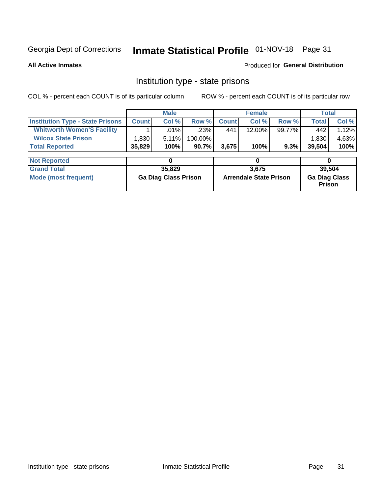## Inmate Statistical Profile 01-NOV-18 Page 31

**All Active Inmates** 

Produced for General Distribution

### Institution type - state prisons

COL % - percent each COUNT is of its particular column ROW % - percent each COUNT is of its particular row

|                                         |              | <b>Male</b>                 |         |                               | <b>Female</b> |        | <b>Total</b>                          |        |  |
|-----------------------------------------|--------------|-----------------------------|---------|-------------------------------|---------------|--------|---------------------------------------|--------|--|
| <b>Institution Type - State Prisons</b> | <b>Count</b> | Col %                       | Row %   | <b>Count</b>                  | Col %         | Row %  | <b>Total</b>                          | Col %  |  |
| <b>Whitworth Women'S Facility</b>       |              | $.01\%$                     | .23%    | 441                           | 12.00%        | 99.77% | 442                                   | 1.12%  |  |
| <b>Wilcox State Prison</b>              | .830         | 5.11%                       | 100.00% |                               |               |        | 1,830                                 | 4.63%  |  |
| <b>Total Reported</b>                   | 35,829       | 100%                        | 90.7%   | 3,675                         | 100%          | 9.3%   | 39,504                                | 100%   |  |
| <b>Not Reported</b>                     |              | 0                           |         |                               | 0             |        | 0                                     |        |  |
| <b>Grand Total</b>                      |              | 35,829                      |         |                               | 3,675         |        |                                       | 39,504 |  |
| <b>Mode (most frequent)</b>             |              | <b>Ga Diag Class Prison</b> |         | <b>Arrendale State Prison</b> |               |        | <b>Ga Diag Class</b><br><b>Prison</b> |        |  |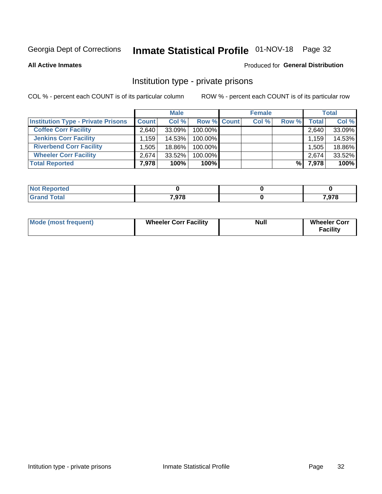## Inmate Statistical Profile 01-NOV-18 Page 32

**All Active Inmates** 

#### Produced for General Distribution

### Institution type - private prisons

COL % - percent each COUNT is of its particular column

|                                           |                    | <b>Male</b> |                    | <b>Female</b> |       |       | <b>Total</b> |
|-------------------------------------------|--------------------|-------------|--------------------|---------------|-------|-------|--------------|
| <b>Institution Type - Private Prisons</b> | <b>Count</b>       | Col %       | <b>Row % Count</b> | Col %         | Row % | Total | Col %        |
| <b>Coffee Corr Facility</b>               | 2.640              | 33.09%      | 100.00%            |               |       | 2,640 | 33.09%       |
| <b>Jenkins Corr Facility</b>              | $.159$ $^{\prime}$ | 14.53%      | 100.00%            |               |       | 1,159 | 14.53%       |
| <b>Riverbend Corr Facility</b>            | .505               | 18.86%      | 100.00%            |               |       | 1,505 | 18.86%       |
| <b>Wheeler Corr Facility</b>              | 2.674              | 33.52%      | 100.00%            |               |       | 2,674 | 33.52%       |
| <b>Total Reported</b>                     | 7,978              | 100%        | $100\%$            |               | %     | 7,978 | 100%         |

| ported<br>'NOT       |       |       |
|----------------------|-------|-------|
| $\sim$ $\sim$ $\sim$ | 7,978 | 7,978 |

| <b>Mode (most frequent)</b> | <b>Wheeler Corr Facility</b> | <b>Null</b> | <b>Wheeler Corr</b><br><b>Facility</b> |
|-----------------------------|------------------------------|-------------|----------------------------------------|
|-----------------------------|------------------------------|-------------|----------------------------------------|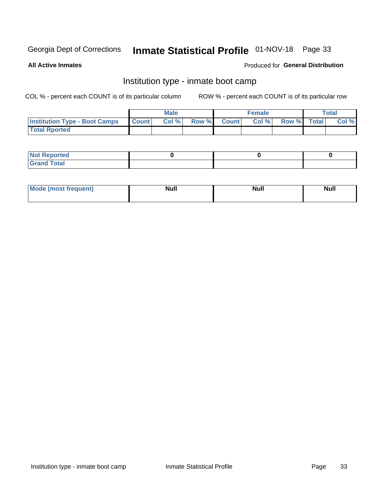## Inmate Statistical Profile 01-NOV-18 Page 33

**All Active Inmates** 

#### Produced for General Distribution

## Institution type - inmate boot camp

COL % - percent each COUNT is of its particular column

|                                      |              | <b>Male</b> |             | <b>Female</b> |             | Total |
|--------------------------------------|--------------|-------------|-------------|---------------|-------------|-------|
| <b>Institution Type - Boot Camps</b> | <b>Count</b> | Col %       | Row % Count | Col%          | Row % Total | Col % |
| <b>Total Rported</b>                 |              |             |             |               |             |       |

| <b>Not Reported</b>            |  |  |
|--------------------------------|--|--|
| <b>Total</b><br>C <sub>r</sub> |  |  |

| Mod<br>uamo | Nul.<br>$- - - - - -$ | <b>Null</b> | <br>uu.<br>------ |
|-------------|-----------------------|-------------|-------------------|
|             |                       |             |                   |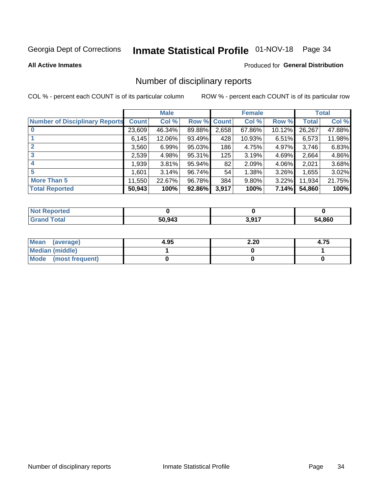## Inmate Statistical Profile 01-NOV-18 Page 34

#### **All Active Inmates**

#### Produced for General Distribution

### Number of disciplinary reports

COL % - percent each COUNT is of its particular column

|                                       |                   | <b>Male</b> |             |       | <b>Female</b> |          |        | <b>Total</b> |
|---------------------------------------|-------------------|-------------|-------------|-------|---------------|----------|--------|--------------|
| <b>Number of Disciplinary Reports</b> | <b>Count</b>      | Col %       | Row % Count |       | Col %         | Row %    | Total  | Col %        |
|                                       | 23,609            | 46.34%      | 89.88%      | 2,658 | 67.86%        | 10.12%   | 26,267 | 47.88%       |
|                                       | 6,145             | 12.06%      | 93.49%      | 428   | 10.93%        | 6.51%    | 6,573  | 11.98%       |
| $\mathbf{2}$                          | 3,560             | 6.99%       | 95.03%      | 186   | 4.75%         | 4.97%    | 3,746  | 6.83%        |
| 3                                     | 2,539             | 4.98%       | 95.31%      | 125   | 3.19%         | 4.69%    | 2,664  | 4.86%        |
|                                       | ,939              | 3.81%       | 95.94%      | 82    | 2.09%         | 4.06%    | 2,021  | 3.68%        |
| 5                                     | $.601$ $^{\circ}$ | 3.14%       | 96.74%      | 54    | 1.38%         | $3.26\%$ | 1,655  | 3.02%        |
| <b>More Than 5</b>                    | 11,550            | 22.67%      | 96.78%      | 384   | 9.80%         | 3.22%    | 11,934 | 21.75%       |
| <b>Total Reported</b>                 | 50,943            | 100%        | 92.86%      | 3,917 | 100%          | 7.14%    | 54,860 | 100%         |

| <b>Not Reported</b> |        |                            |              |
|---------------------|--------|----------------------------|--------------|
| <b>Grand Total</b>  | 50,943 | <b>2017</b><br><b>J.JI</b> | 64,860<br>בר |

| Mean (average)       | 4.95 | 2.20 | 4.75 |
|----------------------|------|------|------|
| Median (middle)      |      |      |      |
| Mode (most frequent) |      |      |      |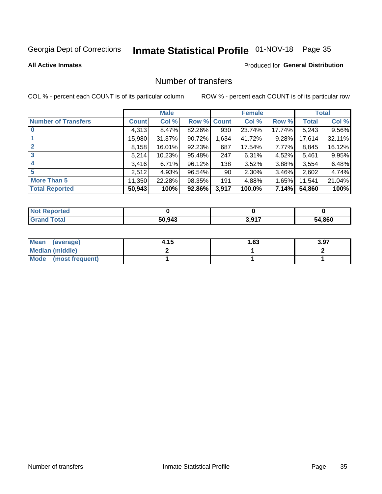## Inmate Statistical Profile 01-NOV-18 Page 35

#### **All Active Inmates**

#### Produced for General Distribution

## Number of transfers

COL % - percent each COUNT is of its particular column

|                            |         | <b>Male</b> |                    |       | <b>Female</b> |          |              | <b>Total</b> |
|----------------------------|---------|-------------|--------------------|-------|---------------|----------|--------------|--------------|
| <b>Number of Transfers</b> | Count l | Col %       | <b>Row % Count</b> |       | Col %         | Row %    | <b>Total</b> | Col %        |
| $\bf{0}$                   | 4,313   | 8.47%       | 82.26%             | 930   | 23.74%        | 17.74%   | 5,243        | 9.56%        |
|                            | 15,980  | 31.37%      | 90.72%             | 1,634 | 41.72%        | 9.28%    | 17,614       | 32.11%       |
| $\mathbf{2}$               | 8,158   | 16.01%      | 92.23%             | 687   | 17.54%        | $7.77\%$ | 8,845        | 16.12%       |
| 3                          | 5,214   | 10.23%      | 95.48%             | 247   | 6.31%         | 4.52%    | 5,461        | 9.95%        |
| 4                          | 3,416   | 6.71%       | 96.12%             | 138   | 3.52%         | 3.88%    | 3,554        | 6.48%        |
| 5                          | 2,512   | 4.93%       | 96.54%             | 90    | 2.30%         | $3.46\%$ | 2,602        | 4.74%        |
| <b>More Than 5</b>         | 11,350  | 22.28%      | 98.35%             | 191   | 4.88%         | 1.65%    | 11,541       | 21.04%       |
| <b>Total Reported</b>      | 50,943  | 100%        | 92.86%             | 3,917 | 100.0%        | 7.14%    | 54,860       | 100%         |

| <b>Not Reported</b> |        |       |             |
|---------------------|--------|-------|-------------|
| <b>Total</b>        | 50,943 | 2.047 | 4,860<br>54 |

| Mean (average)         | 4.15 | l.63 | 3.97 |
|------------------------|------|------|------|
| <b>Median (middle)</b> |      |      |      |
| Mode (most frequent)   |      |      |      |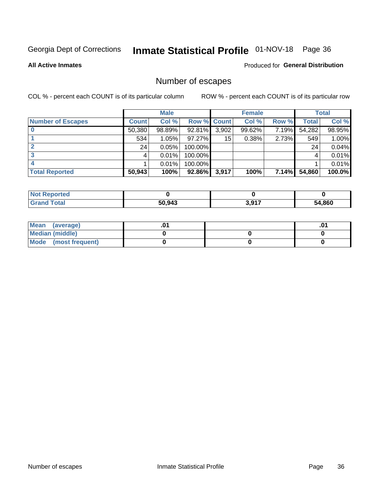## Inmate Statistical Profile 01-NOV-18 Page 36

**All Active Inmates** 

### **Produced for General Distribution**

## Number of escapes

COL % - percent each COUNT is of its particular column

|                          |              | <b>Male</b> |             |       | <b>Female</b> |       |        | <b>Total</b> |
|--------------------------|--------------|-------------|-------------|-------|---------------|-------|--------|--------------|
| <b>Number of Escapes</b> | <b>Count</b> | Col %       | Row % Count |       | Col %         | Row % | Total  | Col %        |
|                          | 50,380       | 98.89%      | 92.81%      | 3,902 | 99.62%        | 7.19% | 54,282 | 98.95%       |
|                          | 534          | 1.05%       | $97.27\%$   | 15    | 0.38%         | 2.73% | 549    | 1.00%        |
|                          | 24           | 0.05%       | 100.00%     |       |               |       | 24     | 0.04%        |
|                          |              | 0.01%       | 100.00%     |       |               |       |        | 0.01%        |
|                          |              | 0.01%       | 100.00%     |       |               |       |        | 0.01%        |
| <b>Total Reported</b>    | 50,943       | 100%        | 92.86%      | 3,917 | 100%          | 7.14% | 54,860 | 100.0%       |

| <b>Not Reported</b> |        |                      |       |
|---------------------|--------|----------------------|-------|
| <b>Grand Total</b>  | 50.943 | 2017<br><b>J.JI.</b> | 1,860 |

| Mean (average)         |  | .0 <sup>4</sup> |
|------------------------|--|-----------------|
| <b>Median (middle)</b> |  |                 |
| Mode (most frequent)   |  |                 |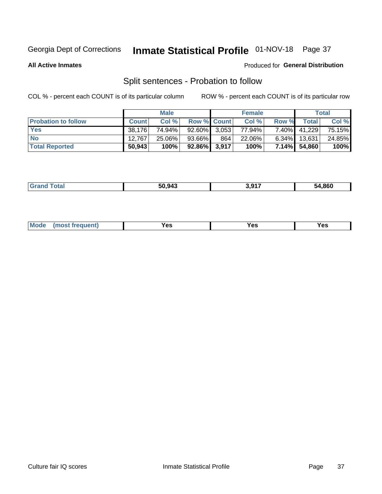## Inmate Statistical Profile 01-NOV-18 Page 37

**All Active Inmates** 

#### Produced for General Distribution

## Split sentences - Probation to follow

COL % - percent each COUNT is of its particular column

|                            |              | <b>Male</b> |                 |     | <b>Female</b> |          |              | <b>Total</b> |
|----------------------------|--------------|-------------|-----------------|-----|---------------|----------|--------------|--------------|
| <b>Probation to follow</b> | <b>Count</b> | Col%        | Row % Count     |     | Col %         | Row %    | Total        | Col %        |
| <b>Yes</b>                 | 38.176       | 74.94%      | $92.60\%$ 3.053 |     | 77.94%        | 7.40%    | 41.229       | 75.15%       |
| <b>No</b>                  | 12.767       | 25.06%      | 93.66%          | 864 | 22.06%        | $6.34\%$ | 13,631       | 24.85%       |
| <b>Total Reported</b>      | 50,943       | 100%        | 92.86% 3,917    |     | 100%          |          | 7.14% 54,860 | 100%         |

| _______ | 50.943 | : 917 | 54.860 |
|---------|--------|-------|--------|
|         |        |       |        |

| M<br>reauent)<br>/٥<br>$\sim$<br>v.,<br>.<br>w<br>$\cdot$ - $\cdot$ |  |  |  |  |  |
|---------------------------------------------------------------------|--|--|--|--|--|
|---------------------------------------------------------------------|--|--|--|--|--|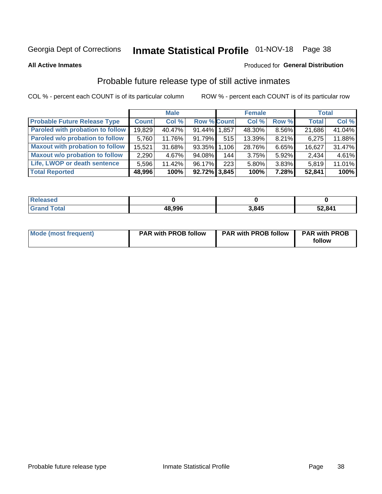## Inmate Statistical Profile 01-NOV-18 Page 38

**All Active Inmates** 

#### Produced for General Distribution

### Probable future release type of still active inmates

COL % - percent each COUNT is of its particular column

|                                         |              | <b>Male</b> |                    |     | <b>Female</b> |          | <b>Total</b> |        |
|-----------------------------------------|--------------|-------------|--------------------|-----|---------------|----------|--------------|--------|
| <b>Probable Future Release Type</b>     | <b>Count</b> | Col %       | <b>Row % Count</b> |     | Col %         | Row %    | <b>Total</b> | Col %  |
| <b>Paroled with probation to follow</b> | 19,829       | 40.47%      | 91.44% 1.857       |     | 48.30%        | 8.56%    | 21,686       | 41.04% |
| Paroled w/o probation to follow         | 5,760        | 11.76%      | 91.79%             | 515 | 13.39%        | $8.21\%$ | 6,275        | 11.88% |
| <b>Maxout with probation to follow</b>  | 15.521       | 31.68%      | 93.35% 1.106       |     | 28.76%        | 6.65%    | 16,627       | 31.47% |
| <b>Maxout w/o probation to follow</b>   | 2,290        | 4.67%       | 94.08%             | 144 | 3.75%         | 5.92%    | 2,434        | 4.61%  |
| Life, LWOP or death sentence            | 5.596        | 11.42%      | $96.17\%$          | 223 | 5.80%         | 3.83%    | 5,819        | 11.01% |
| <b>Total Reported</b>                   | 48,996       | 100%        | $92.72\%$ 3,845    |     | 100%          | 7.28%    | 52,841       | 100%   |

| eleased     |        |       |        |
|-------------|--------|-------|--------|
| <b>otal</b> | 48.996 | 3.845 | 52,841 |

| <b>Mode (most frequent)</b> | <b>PAR with PROB follow</b> | <b>PAR with PROB follow</b> | <b>PAR with PROB</b> |
|-----------------------------|-----------------------------|-----------------------------|----------------------|
|                             |                             |                             | follow               |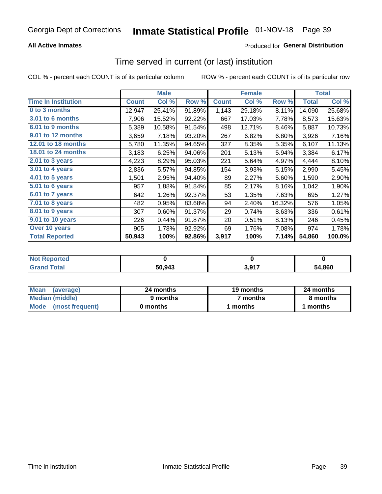### **All Active Inmates**

### **Produced for General Distribution**

### Time served in current (or last) institution

COL % - percent each COUNT is of its particular column

|                            |              | <b>Male</b> |        |              | <b>Female</b> |        |              | <b>Total</b> |
|----------------------------|--------------|-------------|--------|--------------|---------------|--------|--------------|--------------|
| <b>Time In Institution</b> | <b>Count</b> | Col %       | Row %  | <b>Count</b> | Col %         | Row %  | <b>Total</b> | Col %        |
| 0 to 3 months              | 12,947       | 25.41%      | 91.89% | 1,143        | 29.18%        | 8.11%  | 14,090       | 25.68%       |
| <b>3.01 to 6 months</b>    | 7,906        | 15.52%      | 92.22% | 667          | 17.03%        | 7.78%  | 8,573        | 15.63%       |
| 6.01 to 9 months           | 5,389        | 10.58%      | 91.54% | 498          | 12.71%        | 8.46%  | 5,887        | 10.73%       |
| 9.01 to 12 months          | 3,659        | 7.18%       | 93.20% | 267          | 6.82%         | 6.80%  | 3,926        | 7.16%        |
| <b>12.01 to 18 months</b>  | 5,780        | 11.35%      | 94.65% | 327          | 8.35%         | 5.35%  | 6,107        | 11.13%       |
| <b>18.01 to 24 months</b>  | 3,183        | 6.25%       | 94.06% | 201          | 5.13%         | 5.94%  | 3,384        | 6.17%        |
| $2.01$ to 3 years          | 4,223        | 8.29%       | 95.03% | 221          | 5.64%         | 4.97%  | 4,444        | 8.10%        |
| $3.01$ to 4 years          | 2,836        | 5.57%       | 94.85% | 154          | 3.93%         | 5.15%  | 2,990        | 5.45%        |
| 4.01 to 5 years            | 1,501        | 2.95%       | 94.40% | 89           | 2.27%         | 5.60%  | 1,590        | 2.90%        |
| 5.01 to 6 years            | 957          | 1.88%       | 91.84% | 85           | 2.17%         | 8.16%  | 1,042        | 1.90%        |
| 6.01 to 7 years            | 642          | 1.26%       | 92.37% | 53           | 1.35%         | 7.63%  | 695          | 1.27%        |
| $7.01$ to 8 years          | 482          | 0.95%       | 83.68% | 94           | 2.40%         | 16.32% | 576          | 1.05%        |
| 8.01 to 9 years            | 307          | 0.60%       | 91.37% | 29           | 0.74%         | 8.63%  | 336          | 0.61%        |
| 9.01 to 10 years           | 226          | 0.44%       | 91.87% | 20           | 0.51%         | 8.13%  | 246          | 0.45%        |
| Over 10 years              | 905          | 1.78%       | 92.92% | 69           | 1.76%         | 7.08%  | 974          | 1.78%        |
| <b>Total Reported</b>      | 50,943       | 100%        | 92.86% | 3,917        | 100%          | 7.14%  | 54,860       | 100.0%       |

| neo<br><b>NOT</b> |        |                |        |
|-------------------|--------|----------------|--------|
|                   | 50,943 | 2 Q17<br>v,vı. | 54.860 |

| <b>Mean</b><br>(average) | 24 months | 19 months | 24 months |
|--------------------------|-----------|-----------|-----------|
| Median (middle)          | 9 months  | 7 months  | 8 months  |
| Mode (most frequent)     | 0 months  | months    | 1 months  |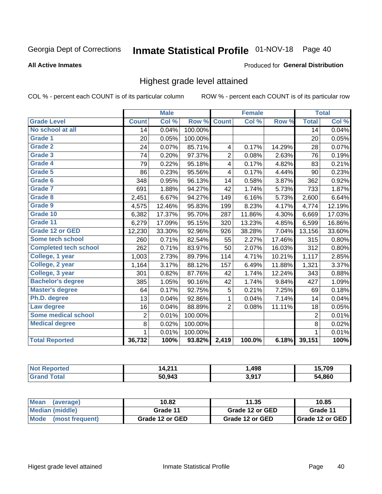#### Inmate Statistical Profile 01-NOV-18 Page 40

#### **All Active Inmates**

#### Produced for General Distribution

### Highest grade level attained

COL % - percent each COUNT is of its particular column

|                              |                 | <b>Male</b> |         |                         | <b>Female</b> |        |                | <b>Total</b> |
|------------------------------|-----------------|-------------|---------|-------------------------|---------------|--------|----------------|--------------|
| <b>Grade Level</b>           | <b>Count</b>    | Col %       | Row %   | <b>Count</b>            | Col%          | Row %  | <b>Total</b>   | Col %        |
| No school at all             | $\overline{14}$ | 0.04%       | 100.00% |                         |               |        | 14             | 0.04%        |
| <b>Grade 1</b>               | 20              | 0.05%       | 100.00% |                         |               |        | 20             | 0.05%        |
| <b>Grade 2</b>               | 24              | 0.07%       | 85.71%  | $\overline{\mathbf{4}}$ | 0.17%         | 14.29% | 28             | 0.07%        |
| Grade 3                      | 74              | 0.20%       | 97.37%  | $\overline{2}$          | 0.08%         | 2.63%  | 76             | 0.19%        |
| Grade 4                      | 79              | 0.22%       | 95.18%  | 4                       | 0.17%         | 4.82%  | 83             | 0.21%        |
| Grade 5                      | 86              | 0.23%       | 95.56%  | 4                       | 0.17%         | 4.44%  | 90             | 0.23%        |
| Grade 6                      | 348             | 0.95%       | 96.13%  | 14                      | 0.58%         | 3.87%  | 362            | 0.92%        |
| <b>Grade 7</b>               | 691             | 1.88%       | 94.27%  | 42                      | 1.74%         | 5.73%  | 733            | 1.87%        |
| Grade 8                      | 2,451           | 6.67%       | 94.27%  | 149                     | 6.16%         | 5.73%  | 2,600          | 6.64%        |
| Grade 9                      | 4,575           | 12.46%      | 95.83%  | 199                     | 8.23%         | 4.17%  | 4,774          | 12.19%       |
| Grade 10                     | 6,382           | 17.37%      | 95.70%  | 287                     | 11.86%        | 4.30%  | 6,669          | 17.03%       |
| Grade 11                     | 6,279           | 17.09%      | 95.15%  | 320                     | 13.23%        | 4.85%  | 6,599          | 16.86%       |
| <b>Grade 12 or GED</b>       | 12,230          | 33.30%      | 92.96%  | 926                     | 38.28%        | 7.04%  | 13,156         | 33.60%       |
| <b>Some tech school</b>      | 260             | 0.71%       | 82.54%  | 55                      | 2.27%         | 17.46% | 315            | 0.80%        |
| <b>Completed tech school</b> | 262             | 0.71%       | 83.97%  | 50                      | 2.07%         | 16.03% | 312            | 0.80%        |
| College, 1 year              | 1,003           | 2.73%       | 89.79%  | 114                     | 4.71%         | 10.21% | 1,117          | 2.85%        |
| College, 2 year              | 1,164           | 3.17%       | 88.12%  | 157                     | 6.49%         | 11.88% | 1,321          | 3.37%        |
| College, 3 year              | 301             | 0.82%       | 87.76%  | 42                      | 1.74%         | 12.24% | 343            | 0.88%        |
| <b>Bachelor's degree</b>     | 385             | 1.05%       | 90.16%  | 42                      | 1.74%         | 9.84%  | 427            | 1.09%        |
| <b>Master's degree</b>       | 64              | 0.17%       | 92.75%  | 5                       | 0.21%         | 7.25%  | 69             | 0.18%        |
| Ph.D. degree                 | 13              | 0.04%       | 92.86%  | 1                       | 0.04%         | 7.14%  | 14             | 0.04%        |
| Law degree                   | 16              | 0.04%       | 88.89%  | $\overline{2}$          | 0.08%         | 11.11% | 18             | 0.05%        |
| <b>Some medical school</b>   | $\overline{2}$  | 0.01%       | 100.00% |                         |               |        | $\overline{2}$ | 0.01%        |
| <b>Medical degree</b>        | 8               | 0.02%       | 100.00% |                         |               |        | 8              | 0.02%        |
|                              | $\mathbf 1$     | 0.01%       | 100.00% |                         |               |        | 1              | 0.01%        |
| <b>Total Reported</b>        | 36,732          | 100%        | 93.82%  | 2,419                   | 100.0%        | 6.18%  | 39,151         | 100%         |

| 244<br>. 1. Л<br>. | . 498. . | $\mathbf{z}$<br>/ UJ |
|--------------------|----------|----------------------|
| 50.943             | 2017     | .860<br>״            |

| ∣Mean<br>(average)   | 10.82           | 11.35           | 10.85           |
|----------------------|-----------------|-----------------|-----------------|
| Median (middle)      | Grade 11        | Grade 12 or GED | Grade 11        |
| Mode (most frequent) | Grade 12 or GED | Grade 12 or GED | Grade 12 or GED |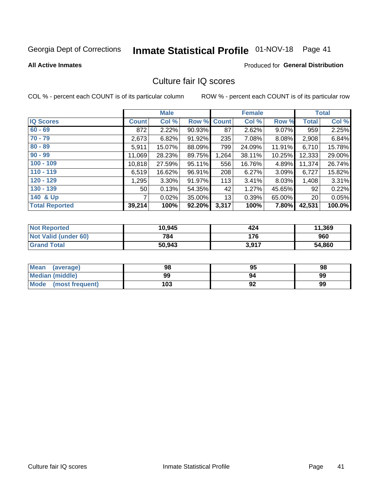# Inmate Statistical Profile 01-NOV-18 Page 41

#### **All Active Inmates**

#### Produced for General Distribution

### Culture fair IQ scores

COL % - percent each COUNT is of its particular column

|                       |                 | <b>Male</b> |                    |       | <b>Female</b> |          |                 | <b>Total</b> |
|-----------------------|-----------------|-------------|--------------------|-------|---------------|----------|-----------------|--------------|
| <b>IQ Scores</b>      | <b>Count</b>    | Col %       | <b>Row % Count</b> |       | Col %         | Row %    | <b>Total</b>    | Col %        |
| $60 - 69$             | 872             | 2.22%       | 90.93%             | 87    | 2.62%         | $9.07\%$ | 959             | 2.25%        |
| $70 - 79$             | 2,673           | 6.82%       | 91.92%             | 235   | 7.08%         | 8.08%    | 2,908           | 6.84%        |
| $80 - 89$             | 5,911           | 15.07%      | 88.09%             | 799   | 24.09%        | 11.91%   | 6,710           | 15.78%       |
| $90 - 99$             | 11,069          | 28.23%      | 89.75%             | 1,264 | 38.11%        | 10.25%   | 12,333          | 29.00%       |
| $100 - 109$           | 10,818          | 27.59%      | 95.11%             | 556   | 16.76%        | 4.89%    | 11,374          | 26.74%       |
| $110 - 119$           | 6,519           | 16.62%      | 96.91%             | 208   | 6.27%         | 3.09%    | 6,727           | 15.82%       |
| $120 - 129$           | 1,295           | 3.30%       | 91.97%             | 113   | 3.41%         | 8.03%    | 1,408           | 3.31%        |
| $130 - 139$           | 50 <sub>1</sub> | 0.13%       | 54.35%             | 42    | 1.27%         | 45.65%   | 92              | 0.22%        |
| 140 & Up              | 7               | 0.02%       | 35.00%             | 13    | 0.39%         | 65.00%   | 20 <sub>1</sub> | 0.05%        |
| <b>Total Reported</b> | 39,214          | 100%        | 92.20%             | 3,317 | 100%          | 7.80%    | 42,531          | 100.0%       |

| <b>Not Reported</b>         | 10,945 | 424   | 11,369 |
|-----------------------------|--------|-------|--------|
| <b>Not Valid (under 60)</b> | 784    | 176   | 960    |
| <b>Grand Total</b>          | 50,943 | 3,917 | 54,860 |

| <b>Mean</b><br>(average) | 98  | 95 | 98 |
|--------------------------|-----|----|----|
| Median (middle)          | 99  | 94 | 99 |
| Mode<br>(most frequent)  | 103 | 92 | 99 |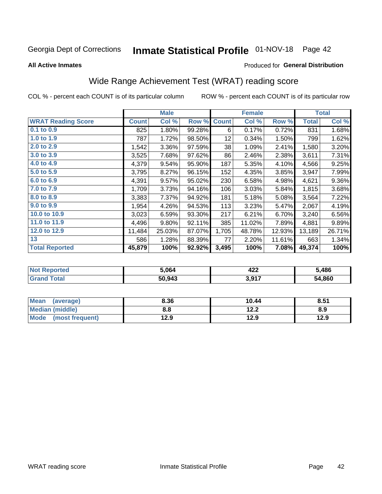# Inmate Statistical Profile 01-NOV-18 Page 42

#### **All Active Inmates**

#### Produced for General Distribution

## Wide Range Achievement Test (WRAT) reading score

COL % - percent each COUNT is of its particular column

|                           |              | <b>Male</b> |        |              | <b>Female</b> |        |              | <b>Total</b> |
|---------------------------|--------------|-------------|--------|--------------|---------------|--------|--------------|--------------|
| <b>WRAT Reading Score</b> | <b>Count</b> | Col %       | Row %  | <b>Count</b> | Col %         | Row %  | <b>Total</b> | Col %        |
| 0.1 to 0.9                | 825          | 1.80%       | 99.28% | 6            | 0.17%         | 0.72%  | 831          | 1.68%        |
| 1.0 to 1.9                | 787          | 1.72%       | 98.50% | 12           | 0.34%         | 1.50%  | 799          | 1.62%        |
| 2.0 to 2.9                | 1,542        | 3.36%       | 97.59% | 38           | 1.09%         | 2.41%  | 1,580        | 3.20%        |
| 3.0 to 3.9                | 3,525        | 7.68%       | 97.62% | 86           | 2.46%         | 2.38%  | 3,611        | 7.31%        |
| 4.0 to 4.9                | 4,379        | 9.54%       | 95.90% | 187          | 5.35%         | 4.10%  | 4,566        | 9.25%        |
| 5.0 to 5.9                | 3,795        | 8.27%       | 96.15% | 152          | 4.35%         | 3.85%  | 3,947        | 7.99%        |
| 6.0 to 6.9                | 4,391        | 9.57%       | 95.02% | 230          | 6.58%         | 4.98%  | 4,621        | $9.36\%$     |
| 7.0 to 7.9                | 1,709        | 3.73%       | 94.16% | 106          | 3.03%         | 5.84%  | 1,815        | 3.68%        |
| 8.0 to 8.9                | 3,383        | 7.37%       | 94.92% | 181          | 5.18%         | 5.08%  | 3,564        | 7.22%        |
| 9.0 to 9.9                | 1,954        | 4.26%       | 94.53% | 113          | 3.23%         | 5.47%  | 2,067        | 4.19%        |
| 10.0 to 10.9              | 3,023        | 6.59%       | 93.30% | 217          | 6.21%         | 6.70%  | 3,240        | 6.56%        |
| 11.0 to 11.9              | 4,496        | 9.80%       | 92.11% | 385          | 11.02%        | 7.89%  | 4,881        | 9.89%        |
| 12.0 to 12.9              | 11,484       | 25.03%      | 87.07% | 1,705        | 48.78%        | 12.93% | 13,189       | 26.71%       |
| 13                        | 586          | 1.28%       | 88.39% | 77           | 2.20%         | 11.61% | 663          | 1.34%        |
| <b>Total Reported</b>     | 45,879       | 100%        | 92.92% | 3,495        | 100%          | 7.08%  | 49,374       | 100%         |

| NO | 5.064  | オウク<br>46£ | 5,486  |
|----|--------|------------|--------|
|    | 50,943 | 3,917      | 54,860 |

| <b>Mean</b><br>(average) | 8.36 | 10.44         | 8.51 |
|--------------------------|------|---------------|------|
| Median (middle)          | 8.8  | 1つ つ<br>1 Z.Z | 8.9  |
| Mode (most frequent)     | 12.9 | 12.9          | 12.9 |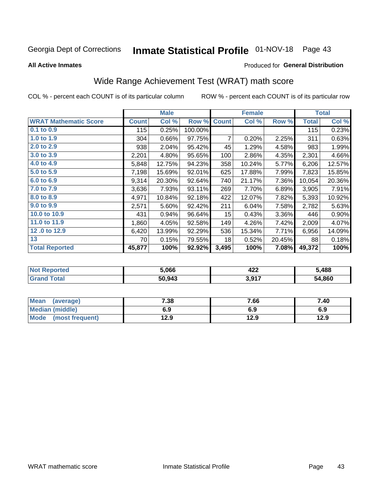# Inmate Statistical Profile 01-NOV-18 Page 43

**All Active Inmates** 

#### Produced for General Distribution

## Wide Range Achievement Test (WRAT) math score

COL % - percent each COUNT is of its particular column

|                              |              | <b>Male</b> |         |              | <b>Female</b> |        |              | <b>Total</b> |
|------------------------------|--------------|-------------|---------|--------------|---------------|--------|--------------|--------------|
| <b>WRAT Mathematic Score</b> | <b>Count</b> | Col %       | Row %   | <b>Count</b> | Col %         | Row %  | <b>Total</b> | Col %        |
| 0.1 to 0.9                   | 115          | 0.25%       | 100.00% |              |               |        | 115          | 0.23%        |
| 1.0 to 1.9                   | 304          | 0.66%       | 97.75%  | 7            | 0.20%         | 2.25%  | 311          | 0.63%        |
| 2.0 to 2.9                   | 938          | 2.04%       | 95.42%  | 45           | 1.29%         | 4.58%  | 983          | 1.99%        |
| 3.0 to 3.9                   | 2,201        | 4.80%       | 95.65%  | 100          | 2.86%         | 4.35%  | 2,301        | 4.66%        |
| 4.0 to 4.9                   | 5,848        | 12.75%      | 94.23%  | 358          | 10.24%        | 5.77%  | 6,206        | 12.57%       |
| 5.0 to 5.9                   | 7,198        | 15.69%      | 92.01%  | 625          | 17.88%        | 7.99%  | 7,823        | 15.85%       |
| 6.0 to 6.9                   | 9,314        | 20.30%      | 92.64%  | 740          | 21.17%        | 7.36%  | 10,054       | 20.36%       |
| 7.0 to 7.9                   | 3,636        | 7.93%       | 93.11%  | 269          | 7.70%         | 6.89%  | 3,905        | 7.91%        |
| 8.0 to 8.9                   | 4,971        | 10.84%      | 92.18%  | 422          | 12.07%        | 7.82%  | 5,393        | 10.92%       |
| 9.0 to 9.9                   | 2,571        | 5.60%       | 92.42%  | 211          | 6.04%         | 7.58%  | 2,782        | 5.63%        |
| 10.0 to 10.9                 | 431          | 0.94%       | 96.64%  | 15           | 0.43%         | 3.36%  | 446          | 0.90%        |
| 11.0 to 11.9                 | 1,860        | 4.05%       | 92.58%  | 149          | 4.26%         | 7.42%  | 2,009        | 4.07%        |
| 12.0 to 12.9                 | 6,420        | 13.99%      | 92.29%  | 536          | 15.34%        | 7.71%  | 6,956        | 14.09%       |
| 13                           | 70           | 0.15%       | 79.55%  | 18           | 0.52%         | 20.45% | 88           | 0.18%        |
| <b>Total Reported</b>        | 45,877       | 100%        | 92.92%  | 3,495        | 100%          | 7.08%  | 49,372       | 100%         |

| NO | 5.066  | オウク<br>46£ | 5,488  |
|----|--------|------------|--------|
|    | 50,943 | 3,917      | 54,860 |

| <b>Mean</b><br>(average) | 7.38 | 7.66 | 7.40 |
|--------------------------|------|------|------|
| Median (middle)          | 6.9  | 6.9  | 6.9  |
| Mode<br>(most frequent)  | 12.9 | 12.9 | 12.9 |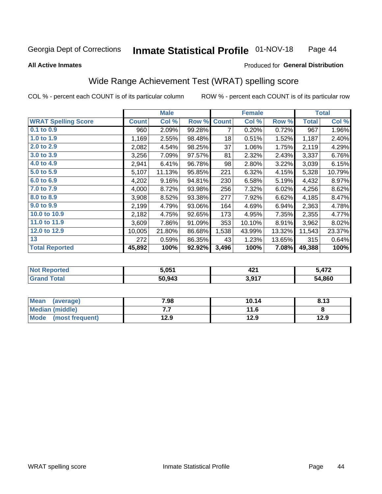#### **Inmate Statistical Profile 01-NOV-18** Page 44

#### **All Active Inmates**

### Produced for General Distribution

### Wide Range Achievement Test (WRAT) spelling score

COL % - percent each COUNT is of its particular column

|                            |              | <b>Male</b> |        |              | <b>Female</b> |        |              | <b>Total</b> |
|----------------------------|--------------|-------------|--------|--------------|---------------|--------|--------------|--------------|
| <b>WRAT Spelling Score</b> | <b>Count</b> | Col %       | Row %  | <b>Count</b> | Col %         | Row %  | <b>Total</b> | Col %        |
| $0.1$ to $0.9$             | 960          | 2.09%       | 99.28% | 7            | 0.20%         | 0.72%  | 967          | 1.96%        |
| 1.0 to 1.9                 | 1,169        | 2.55%       | 98.48% | 18           | 0.51%         | 1.52%  | 1,187        | 2.40%        |
| 2.0 to 2.9                 | 2,082        | 4.54%       | 98.25% | 37           | 1.06%         | 1.75%  | 2,119        | 4.29%        |
| 3.0 to 3.9                 | 3,256        | 7.09%       | 97.57% | 81           | 2.32%         | 2.43%  | 3,337        | 6.76%        |
| 4.0 to 4.9                 | 2,941        | 6.41%       | 96.78% | 98           | 2.80%         | 3.22%  | 3,039        | 6.15%        |
| 5.0 to 5.9                 | 5,107        | 11.13%      | 95.85% | 221          | 6.32%         | 4.15%  | 5,328        | 10.79%       |
| 6.0 to 6.9                 | 4,202        | 9.16%       | 94.81% | 230          | 6.58%         | 5.19%  | 4,432        | 8.97%        |
| 7.0 to 7.9                 | 4,000        | 8.72%       | 93.98% | 256          | 7.32%         | 6.02%  | 4,256        | 8.62%        |
| 8.0 to 8.9                 | 3,908        | 8.52%       | 93.38% | 277          | 7.92%         | 6.62%  | 4,185        | 8.47%        |
| 9.0 to 9.9                 | 2,199        | 4.79%       | 93.06% | 164          | 4.69%         | 6.94%  | 2,363        | 4.78%        |
| 10.0 to 10.9               | 2,182        | 4.75%       | 92.65% | 173          | 4.95%         | 7.35%  | 2,355        | 4.77%        |
| 11.0 to 11.9               | 3,609        | 7.86%       | 91.09% | 353          | 10.10%        | 8.91%  | 3,962        | 8.02%        |
| 12.0 to 12.9               | 10,005       | 21.80%      | 86.68% | 1,538        | 43.99%        | 13.32% | 11,543       | 23.37%       |
| 13                         | 272          | 0.59%       | 86.35% | 43           | 1.23%         | 13.65% | 315          | 0.64%        |
| <b>Total Reported</b>      | 45,892       | 100%        | 92.92% | 3,496        | 100%          | 7.08%  | 49,388       | 100%         |

| NO | 5.051  | 194<br>"<br>44 | 5 172  |
|----|--------|----------------|--------|
|    | 50,943 | 3,917          | 54,860 |

| Mean<br>(average)    | 7.98 | 10.14 | 8.13 |
|----------------------|------|-------|------|
| Median (middle)      | .    | 11.6  |      |
| Mode (most frequent) | 12.9 | 12.9  | 12.9 |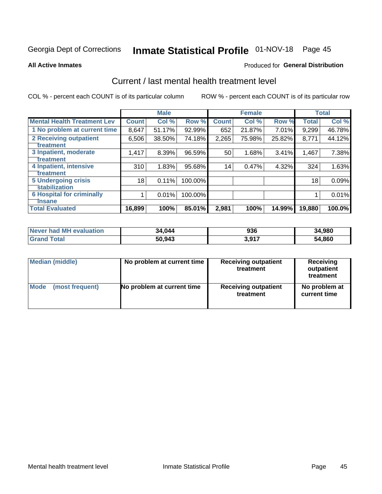# Inmate Statistical Profile 01-NOV-18 Page 45

#### **All Active Inmates**

### **Produced for General Distribution**

### Current / last mental health treatment level

COL % - percent each COUNT is of its particular column

|                                    |              | <b>Male</b> |         |              | <b>Female</b> |        |              | <b>Total</b> |
|------------------------------------|--------------|-------------|---------|--------------|---------------|--------|--------------|--------------|
| <b>Mental Health Treatment Lev</b> | <b>Count</b> | Col %       | Row %   | <b>Count</b> | Col %         | Row %  | <b>Total</b> | Col %        |
| 1 No problem at current time       | 8,647        | 51.17%      | 92.99%  | 652          | 21.87%        | 7.01%  | 9,299        | 46.78%       |
| 2 Receiving outpatient             | 6,506        | 38.50%      | 74.18%  | 2,265        | 75.98%        | 25.82% | 8,771        | 44.12%       |
| <b>Treatment</b>                   |              |             |         |              |               |        |              |              |
| 3 Inpatient, moderate              | 1,417        | 8.39%       | 96.59%  | 50           | 1.68%         | 3.41%  | 1,467        | 7.38%        |
| Treatment                          |              |             |         |              |               |        |              |              |
| 4 Inpatient, intensive             | 310          | 1.83%       | 95.68%  | 14           | 0.47%         | 4.32%  | 324          | 1.63%        |
| Treatment                          |              |             |         |              |               |        |              |              |
| <b>5 Undergoing crisis</b>         | 18           | 0.11%       | 100.00% |              |               |        | 18           | 0.09%        |
| <b>stabilization</b>               |              |             |         |              |               |        |              |              |
| <b>6 Hospital for criminally</b>   |              | 0.01%       | 100.00% |              |               |        |              | 0.01%        |
| <b>Tinsane</b>                     |              |             |         |              |               |        |              |              |
| <b>Total Evaluated</b>             | 16,899       | 100%        | 85.01%  | 2,981        | 100%          | 14.99% | 19,880       | 100.0%       |

| Never had MH evaluation | 34,044 | 936   | 34,980 |
|-------------------------|--------|-------|--------|
| <b>Grand Total</b>      | 50,943 | 3,917 | 54,860 |

| Median (middle) | No problem at current time | <b>Receiving outpatient</b><br>treatment | <b>Receiving</b><br>outpatient<br>treatment |
|-----------------|----------------------------|------------------------------------------|---------------------------------------------|
| <b>Mode</b>     | No problem at current time | <b>Receiving outpatient</b>              | No problem at                               |
| (most frequent) |                            | treatment                                | current time                                |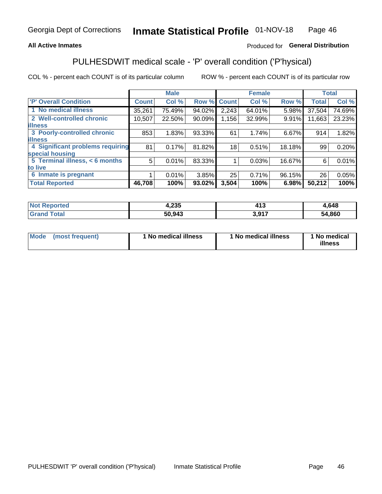### **All Active Inmates**

### Produced for General Distribution

## PULHESDWIT medical scale - 'P' overall condition ('P'hysical)

COL % - percent each COUNT is of its particular column

|                                  |              | <b>Male</b> |        |              | <b>Female</b> |        |              | <b>Total</b> |
|----------------------------------|--------------|-------------|--------|--------------|---------------|--------|--------------|--------------|
| <b>P' Overall Condition</b>      | <b>Count</b> | Col %       | Row %  | <b>Count</b> | Col %         | Row %  | <b>Total</b> | Col %        |
| 1 No medical illness             | 35,261       | 75.49%      | 94.02% | 2,243        | 64.01%        | 5.98%  | 37,504       | 74.69%       |
| 2 Well-controlled chronic        | 10,507       | 22.50%      | 90.09% | 1.156        | 32.99%        | 9.91%  | 11,663       | 23.23%       |
| <b>lilness</b>                   |              |             |        |              |               |        |              |              |
| 3 Poorly-controlled chronic      | 853          | 1.83%       | 93.33% | 61           | 1.74%         | 6.67%  | 914          | 1.82%        |
| <b>illness</b>                   |              |             |        |              |               |        |              |              |
| 4 Significant problems requiring | 81           | 0.17%       | 81.82% | 18           | 0.51%         | 18.18% | 99           | 0.20%        |
| special housing                  |              |             |        |              |               |        |              |              |
| 5 Terminal illness, < 6 months   | 5            | 0.01%       | 83.33% |              | 0.03%         | 16.67% | 6            | 0.01%        |
| to live                          |              |             |        |              |               |        |              |              |
| 6 Inmate is pregnant             |              | 0.01%       | 3.85%  | 25           | 0.71%         | 96.15% | 26           | 0.05%        |
| <b>Total Reported</b>            | 46,708       | 100%        | 93.02% | 3,504        | 100%          | 6.98%  | 50,212       | 100%         |

| 'teo | <b>OOE</b><br>ι.∠აυ | $\overline{A}$<br>טוי | .648       |
|------|---------------------|-----------------------|------------|
|      | 50 943              | .017                  | ,860<br>54 |

| Mode | (most frequent) | 1 No medical illness | 1 No medical illness | 1 No medical<br>illness |
|------|-----------------|----------------------|----------------------|-------------------------|
|------|-----------------|----------------------|----------------------|-------------------------|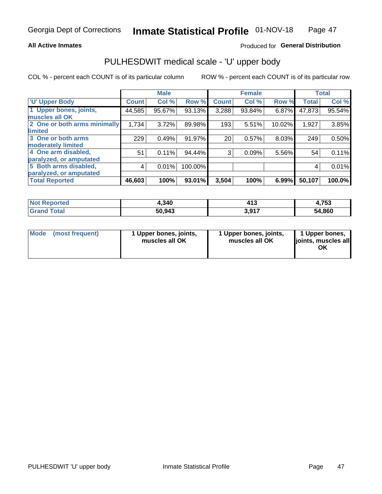#### **All Active Inmates**

### Produced for General Distribution

## PULHESDWIT medical scale - 'U' upper body

COL % - percent each COUNT is of its particular column

|                              |              | <b>Male</b> |         |              | <b>Female</b> |        |              | <b>Total</b> |
|------------------------------|--------------|-------------|---------|--------------|---------------|--------|--------------|--------------|
| <b>U' Upper Body</b>         | <b>Count</b> | Col %       | Row %   | <b>Count</b> | Col %         | Row %  | <b>Total</b> | Col %        |
| 1 Upper bones, joints,       | 44,585       | 95.67%      | 93.13%  | 3,288        | 93.84%        | 6.87%  | 47,873       | 95.54%       |
| muscles all OK               |              |             |         |              |               |        |              |              |
| 2 One or both arms minimally | 1,734        | 3.72%       | 89.98%  | 193          | 5.51%         | 10.02% | 1,927        | 3.85%        |
| limited                      |              |             |         |              |               |        |              |              |
| 3 One or both arms           | 229          | 0.49%       | 91.97%  | 20           | 0.57%         | 8.03%  | 249          | 0.50%        |
| <b>moderately limited</b>    |              |             |         |              |               |        |              |              |
| 4 One arm disabled,          | 51           | 0.11%       | 94.44%  | 3            | 0.09%         | 5.56%  | 54           | 0.11%        |
| paralyzed, or amputated      |              |             |         |              |               |        |              |              |
| 5 Both arms disabled,        | 4            | 0.01%       | 100.00% |              |               |        | 4            | 0.01%        |
| paralyzed, or amputated      |              |             |         |              |               |        |              |              |
| <b>Total Reported</b>        | 46,603       | 100%        | 93.01%  | 3,504        | 100%          | 6.99%  | 50,107       | 100.0%       |

| <b>Not Reported</b> | 4,340  | 44 T<br>91 J | 1,753  |
|---------------------|--------|--------------|--------|
| Total<br>Grand      | 50,943 | 2017<br>.    | 54,860 |

| Mode<br>(most frequent) | 1 Upper bones, joints,<br>muscles all OK | 1 Upper bones, joints,<br>muscles all OK | 1 Upper bones,<br>joints, muscles all<br>ΟK |
|-------------------------|------------------------------------------|------------------------------------------|---------------------------------------------|
|-------------------------|------------------------------------------|------------------------------------------|---------------------------------------------|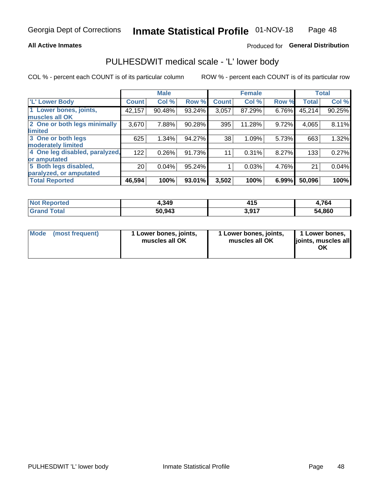#### **All Active Inmates**

### Produced for General Distribution

### PULHESDWIT medical scale - 'L' lower body

COL % - percent each COUNT is of its particular column

|                                |                 | <b>Male</b> |        |              | <b>Female</b> |       |              | <b>Total</b> |
|--------------------------------|-----------------|-------------|--------|--------------|---------------|-------|--------------|--------------|
| 'L' Lower Body                 | <b>Count</b>    | Col %       | Row %  | <b>Count</b> | Col %         | Row % | <b>Total</b> | Col %        |
| 1 Lower bones, joints,         | 42,157          | 90.48%      | 93.24% | 3,057        | 87.29%        | 6.76% | 45,214       | 90.25%       |
| muscles all OK                 |                 |             |        |              |               |       |              |              |
| 2 One or both legs minimally   | 3,670           | 7.88%       | 90.28% | 395          | 11.28%        | 9.72% | 4,065        | 8.11%        |
| limited                        |                 |             |        |              |               |       |              |              |
| 3 One or both legs             | 625             | 1.34%       | 94.27% | 38           | 1.09%         | 5.73% | 663          | 1.32%        |
| moderately limited             |                 |             |        |              |               |       |              |              |
| 4 One leg disabled, paralyzed, | 122             | 0.26%       | 91.73% | 11           | 0.31%         | 8.27% | 133          | 0.27%        |
| or amputated                   |                 |             |        |              |               |       |              |              |
| 5 Both legs disabled,          | 20 <sub>1</sub> | 0.04%       | 95.24% |              | 0.03%         | 4.76% | 21           | 0.04%        |
| paralyzed, or amputated        |                 |             |        |              |               |       |              |              |
| <b>Total Reported</b>          | 46,594          | 100%        | 93.01% | 3,502        | 100%          | 6.99% | 50,096       | 100%         |

| <b>Not Reported</b>   | 4,349  | 14 F<br>4 I J   | 4,764  |
|-----------------------|--------|-----------------|--------|
| <b>Total</b><br>Grand | 50,943 | 2017<br>J.J I I | 54,860 |

| Mode | (most frequent) | 1 Lower bones, joints,<br>muscles all OK | 1 Lower bones, joints,<br>muscles all OK | 1 Lower bones,<br>joints, muscles all<br>ΟK |
|------|-----------------|------------------------------------------|------------------------------------------|---------------------------------------------|
|------|-----------------|------------------------------------------|------------------------------------------|---------------------------------------------|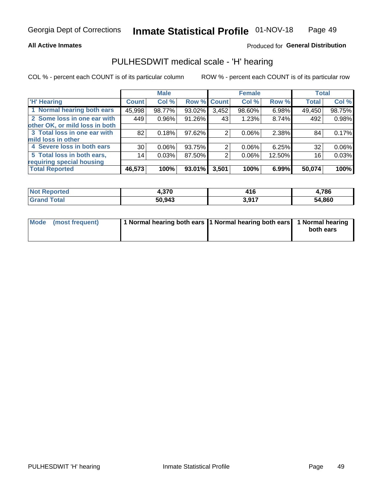#### **All Active Inmates**

### Produced for General Distribution

### PULHESDWIT medical scale - 'H' hearing

COL % - percent each COUNT is of its particular column

|                                |                 | <b>Male</b> |        |             | <b>Female</b> |        | <b>Total</b> |        |
|--------------------------------|-----------------|-------------|--------|-------------|---------------|--------|--------------|--------|
| <b>'H' Hearing</b>             | <b>Count</b>    | Col %       |        | Row % Count | Col %         | Row %  | <b>Total</b> | Col %  |
| 1 Normal hearing both ears     | 45,998          | 98.77%      | 93.02% | 3,452       | 98.60%        | 6.98%  | 49,450       | 98.75% |
| 2 Some loss in one ear with    | 449             | 0.96%       | 91.26% | 43          | 1.23%         | 8.74%  | 492          | 0.98%  |
| other OK, or mild loss in both |                 |             |        |             |               |        |              |        |
| 3 Total loss in one ear with   | 82              | 0.18%       | 97.62% | 2           | $0.06\%$      | 2.38%  | 84           | 0.17%  |
| mild loss in other             |                 |             |        |             |               |        |              |        |
| 4 Severe loss in both ears     | 30 <sub>1</sub> | 0.06%       | 93.75% | 2           | $0.06\%$      | 6.25%  | 32           | 0.06%  |
| 5 Total loss in both ears,     | 14              | 0.03%       | 87.50% | 2           | $0.06\%$      | 12.50% | 16           | 0.03%  |
| requiring special housing      |                 |             |        |             |               |        |              |        |
| <b>Total Reported</b>          | 46,573          | 100%        | 93.01% | 3,501       | 100%          | 6.99%  | 50,074       | 100%   |

| <b>Not</b><br><b>ported</b> | <b>270</b><br> | - 10       | 786ء   |
|-----------------------------|----------------|------------|--------|
| Total                       | 50,943         | 3.017<br>. | 54,860 |

| Mode (most frequent) | 1 Normal hearing both ears 11 Normal hearing both ears 1 Normal hearing | both ears |
|----------------------|-------------------------------------------------------------------------|-----------|
|                      |                                                                         |           |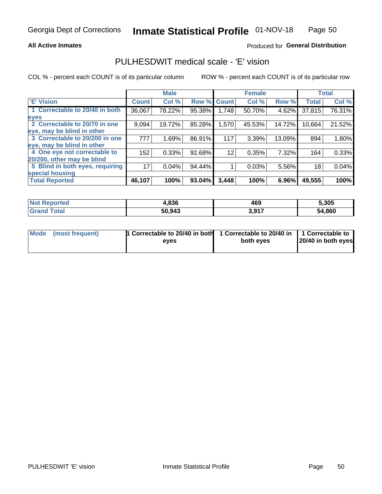#### **All Active Inmates**

### Produced for General Distribution

### PULHESDWIT medical scale - 'E' vision

COL % - percent each COUNT is of its particular column

|                                 |              | <b>Male</b> |        |              | <b>Female</b> |        |              | <b>Total</b> |
|---------------------------------|--------------|-------------|--------|--------------|---------------|--------|--------------|--------------|
| <b>E' Vision</b>                | <b>Count</b> | Col %       | Row %  | <b>Count</b> | Col %         | Row %  | <b>Total</b> | Col %        |
| 1 Correctable to 20/40 in both  | 36,067       | 78.22%      | 95.38% | 1,748        | 50.70%        | 4.62%  | 37,815       | 76.31%       |
| eyes                            |              |             |        |              |               |        |              |              |
| 2 Correctable to 20/70 in one   | 9,094        | 19.72%      | 85.28% | 1,570        | 45.53%        | 14.72% | 10,664       | 21.52%       |
| eye, may be blind in other      |              |             |        |              |               |        |              |              |
| 3 Correctable to 20/200 in one  | 777          | 1.69%       | 86.91% | 117          | 3.39%         | 13.09% | 894          | 1.80%        |
| eye, may be blind in other      |              |             |        |              |               |        |              |              |
| 4 One eye not correctable to    | 152          | 0.33%       | 92.68% | 12           | 0.35%         | 7.32%  | 164          | 0.33%        |
| 20/200, other may be blind      |              |             |        |              |               |        |              |              |
| 5 Blind in both eyes, requiring | 17           | 0.04%       | 94.44% |              | 0.03%         | 5.56%  | 18           | 0.04%        |
| special housing                 |              |             |        |              |               |        |              |              |
| <b>Total Reported</b>           | 46,107       | 100%        | 93.04% | 3,448        | 100%          | 6.96%  | 49,555       | 100%         |

| <b>Not Reported</b> | 4,836  | 469   | 5,305  |
|---------------------|--------|-------|--------|
| Гоtal               | 50,943 | 3,917 | 54,860 |

| Mode (most frequent) | 1 Correctable to 20/40 in both<br>eves | 1 Correctable to 20/40 in   1 Correctable to  <br>both eves | 20/40 in both eyes |
|----------------------|----------------------------------------|-------------------------------------------------------------|--------------------|
|                      |                                        |                                                             |                    |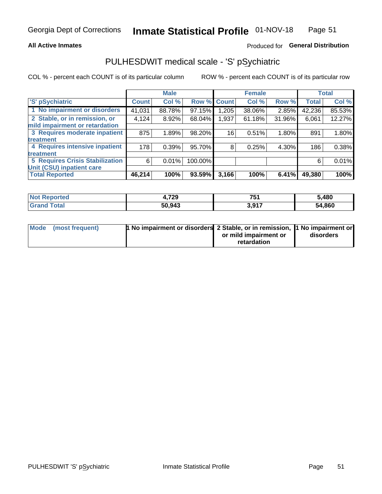#### **All Active Inmates**

### Produced for General Distribution

## PULHESDWIT medical scale - 'S' pSychiatric

COL % - percent each COUNT is of its particular column

|                                        |              | <b>Male</b> |         |              | <b>Female</b> |          |              | <b>Total</b> |
|----------------------------------------|--------------|-------------|---------|--------------|---------------|----------|--------------|--------------|
| 'S' pSychiatric                        | <b>Count</b> | Col %       | Row %   | <b>Count</b> | Col %         | Row %    | <b>Total</b> | Col %        |
| 1 No impairment or disorders           | 41,031       | 88.78%      | 97.15%  | ,205         | 38.06%        | 2.85%    | 42,236       | 85.53%       |
| 2 Stable, or in remission, or          | 4,124        | 8.92%       | 68.04%  | 1,937        | 61.18%        | 31.96%   | 6,061        | 12.27%       |
| mild impairment or retardation         |              |             |         |              |               |          |              |              |
| 3 Requires moderate inpatient          | 875          | 1.89%       | 98.20%  | 16           | 0.51%         | $1.80\%$ | 891          | 1.80%        |
| treatment                              |              |             |         |              |               |          |              |              |
| 4 Requires intensive inpatient         | 178          | 0.39%       | 95.70%  | 8            | 0.25%         | 4.30%    | 186          | 0.38%        |
| treatment                              |              |             |         |              |               |          |              |              |
| <b>5 Requires Crisis Stabilization</b> | 6            | 0.01%       | 100.00% |              |               |          | 6            | 0.01%        |
| Unit (CSU) inpatient care              |              |             |         |              |               |          |              |              |
| <b>Total Reported</b>                  | 46,214       | 100%        | 93.59%  | 3,166        | 100%          | 6.41%    | 49,380       | 100%         |

| <b>Not Reported</b> | 4,729  | <b>754</b><br>ิ⊌ เ | 5,480  |
|---------------------|--------|--------------------|--------|
| Total<br>' Grand    | 50,943 | 3,917              | 54,860 |

| Mode (most frequent) | <b>t No impairment or disorders 2 Stable, or in remission, 1 No impairment or</b> |                       |           |
|----------------------|-----------------------------------------------------------------------------------|-----------------------|-----------|
|                      |                                                                                   | or mild impairment or | disorders |
|                      |                                                                                   | retardation           |           |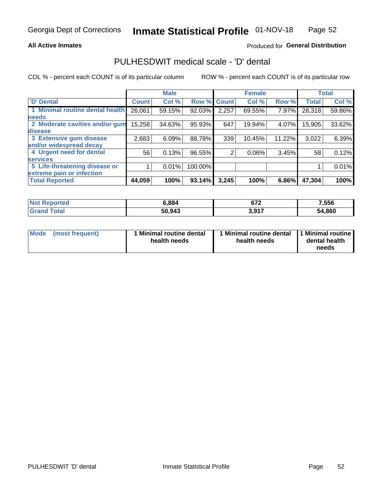#### **All Active Inmates**

### Produced for General Distribution

### PULHESDWIT medical scale - 'D' dental

COL % - percent each COUNT is of its particular column

|                                 |              | <b>Male</b> |         |              | <b>Female</b> |        |              | <b>Total</b> |
|---------------------------------|--------------|-------------|---------|--------------|---------------|--------|--------------|--------------|
| <b>D'</b> Dental                | <b>Count</b> | Col %       | Row %   | <b>Count</b> | Col %         | Row %  | <b>Total</b> | Col %        |
| 1 Minimal routine dental health | 26,061       | 59.15%      | 92.03%  | 2,257        | 69.55%        | 7.97%  | 28,318       | 59.86%       |
| <b>needs</b>                    |              |             |         |              |               |        |              |              |
| 2 Moderate cavities and/or gum  | 15,258       | 34.63%      | 95.93%  | 647          | 19.94%        | 4.07%  | 15,905       | 33.62%       |
| disease                         |              |             |         |              |               |        |              |              |
| 3 Extensive gum disease         | 2,683        | 6.09%       | 88.78%  | 339          | 10.45%        | 11.22% | 3,022        | 6.39%        |
| and/or widespread decay         |              |             |         |              |               |        |              |              |
| 4 Urgent need for dental        | 56           | 0.13%       | 96.55%  | 2            | $0.06\%$      | 3.45%  | 58           | 0.12%        |
| <b>services</b>                 |              |             |         |              |               |        |              |              |
| 5 Life-threatening disease or   |              | 0.01%       | 100.00% |              |               |        |              | 0.01%        |
| extreme pain or infection       |              |             |         |              |               |        |              |              |
| <b>Total Reported</b>           | 44,059       | 100%        | 93.14%  | 3,245        | 100%          | 6.86%  | 47,304       | 100%         |

| <b>Not Reported</b> | 6,884  | c7c<br>97 Z | 7,556  |
|---------------------|--------|-------------|--------|
| Total               | 50,943 | 3,917       | 54,860 |

| Mode<br><b>Minimal routine dental</b><br>(most frequent)<br>health needs | 1 Minimal routine dental<br>health needs | 1 Minimal routine<br>dental health<br>needs |
|--------------------------------------------------------------------------|------------------------------------------|---------------------------------------------|
|--------------------------------------------------------------------------|------------------------------------------|---------------------------------------------|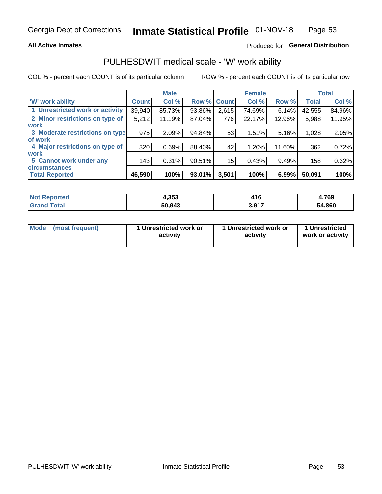#### **All Active Inmates**

### Produced for General Distribution

### PULHESDWIT medical scale - 'W' work ability

COL % - percent each COUNT is of its particular column

|                                 |                    | <b>Male</b> |             |       | <b>Female</b> |        |              | <b>Total</b> |
|---------------------------------|--------------------|-------------|-------------|-------|---------------|--------|--------------|--------------|
| 'W' work ability                | Count <sup>1</sup> | Col %       | Row % Count |       | Col %         | Row %  | <b>Total</b> | Col %        |
| 1 Unrestricted work or activity | 39,940             | 85.73%      | 93.86%      | 2,615 | 74.69%        | 6.14%  | 42,555       | 84.96%       |
| 2 Minor restrictions on type of | 5,212              | 11.19%      | 87.04%      | 776   | 22.17%        | 12.96% | 5,988        | 11.95%       |
| <b>work</b>                     |                    |             |             |       |               |        |              |              |
| 3 Moderate restrictions on type | 975                | 2.09%       | 94.84%      | 53    | 1.51%         | 5.16%  | 1,028        | 2.05%        |
| lof work                        |                    |             |             |       |               |        |              |              |
| 4 Major restrictions on type of | 320                | 0.69%       | 88.40%      | 42    | 1.20%         | 11.60% | 362          | 0.72%        |
| <b>work</b>                     |                    |             |             |       |               |        |              |              |
| 5 Cannot work under any         | 143                | 0.31%       | 90.51%      | 15    | 0.43%         | 9.49%  | 158          | 0.32%        |
| <b>circumstances</b>            |                    |             |             |       |               |        |              |              |
| <b>Total Reported</b>           | 46,590             | 100%        | 93.01%      | 3,501 | 100%          | 6.99%  | 50,091       | 100%         |

| <b>Not Reported</b>          | 4,353  | 416   | 4,769  |
|------------------------------|--------|-------|--------|
| <b>Total</b><br><b>Grand</b> | 50,943 | 3,917 | 54,860 |

| Mode            | 1 Unrestricted work or | 1 Unrestricted work or | 1 Unrestricted   |
|-----------------|------------------------|------------------------|------------------|
| (most frequent) | activity               | activity               | work or activity |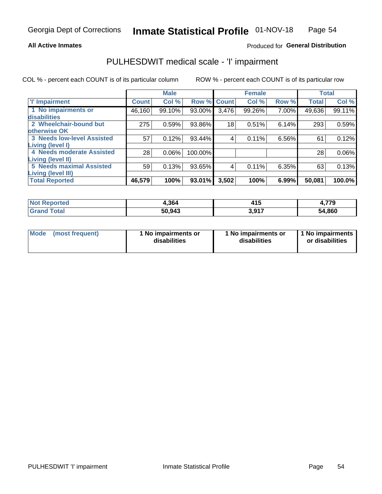#### **All Active Inmates**

### Produced for General Distribution

## PULHESDWIT medical scale - 'I' impairment

COL % - percent each COUNT is of its particular column

|                                                       |              | <b>Male</b> |         |                 | <b>Female</b> |       |              | <b>Total</b> |
|-------------------------------------------------------|--------------|-------------|---------|-----------------|---------------|-------|--------------|--------------|
| <b>T' Impairment</b>                                  | <b>Count</b> | Col %       |         | Row % Count     | Col %         | Row % | <b>Total</b> | Col %        |
| 1 No impairments or<br>disabilities                   | 46,160       | 99.10%      | 93.00%  | 3,476           | 99.26%        | 7.00% | 49,636       | 99.11%       |
| 2 Wheelchair-bound but<br>otherwise OK                | 275          | 0.59%       | 93.86%  | 18 <sub>1</sub> | 0.51%         | 6.14% | 293          | 0.59%        |
| <b>3 Needs low-level Assisted</b><br>Living (level I) | 57           | 0.12%       | 93.44%  | 4               | 0.11%         | 6.56% | 61           | 0.12%        |
| 4 Needs moderate Assisted<br><b>Living (level II)</b> | 28           | 0.06%       | 100.00% |                 |               |       | 28           | $0.06\%$     |
| <b>5 Needs maximal Assisted</b>                       | 59           | 0.13%       | 93.65%  | 4               | 0.11%         | 6.35% | 63           | 0.13%        |
| <b>Living (level III)</b><br><b>Total Reported</b>    | 46,579       | 100%        | 93.01%  | 3,502           | 100%          | 6.99% | 50,081       | 100.0%       |

| :ported<br><b>NOT</b> | 4,364  | 11 F<br>,,,  | 4,779  |
|-----------------------|--------|--------------|--------|
| `otal<br>$-$ Green    | 50,943 | <b>2.017</b> | 54,860 |

| Mode | (most frequent) | 1 No impairments or<br>disabilities | 1 No impairments or<br>disabilities | 1 No impairments<br>or disabilities |
|------|-----------------|-------------------------------------|-------------------------------------|-------------------------------------|
|------|-----------------|-------------------------------------|-------------------------------------|-------------------------------------|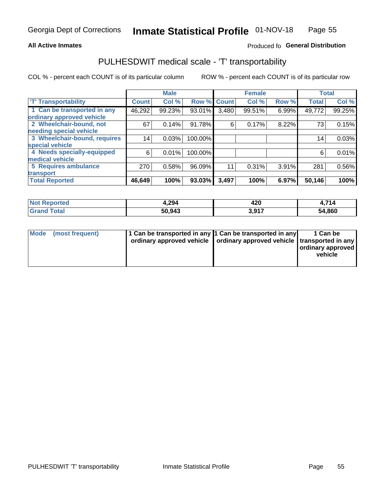#### **All Active Inmates**

### Produced fo General Distribution

### PULHESDWIT medical scale - 'T' transportability

COL % - percent each COUNT is of its particular column

|                              |              | <b>Male</b> |         |              | <b>Female</b> |          |              | <b>Total</b> |
|------------------------------|--------------|-------------|---------|--------------|---------------|----------|--------------|--------------|
| <b>T' Transportability</b>   | <b>Count</b> | Col %       | Row %   | <b>Count</b> | Col %         | Row %    | <b>Total</b> | Col %        |
| 1 Can be transported in any  | 46,292       | 99.23%      | 93.01%  | 3,480        | 99.51%        | 6.99%    | 49,772       | 99.25%       |
| ordinary approved vehicle    |              |             |         |              |               |          |              |              |
| 2 Wheelchair-bound, not      | 67           | 0.14%       | 91.78%  | 6            | 0.17%         | 8.22%    | 73           | 0.15%        |
| needing special vehicle      |              |             |         |              |               |          |              |              |
| 3 Wheelchair-bound, requires | 14           | 0.03%       | 100.00% |              |               |          | 14           | 0.03%        |
| special vehicle              |              |             |         |              |               |          |              |              |
| 4 Needs specially-equipped   | 6            | 0.01%       | 100.00% |              |               |          | 6            | 0.01%        |
| medical vehicle              |              |             |         |              |               |          |              |              |
| <b>5 Requires ambulance</b>  | 270          | 0.58%       | 96.09%  | 11           | 0.31%         | $3.91\%$ | 281          | 0.56%        |
| transport                    |              |             |         |              |               |          |              |              |
| <b>Total Reported</b>        | 46,649       | 100%        | 93.03%  | 3,497        | 100%          | 6.97%    | 50,146       | 100%         |

| <b>Not</b><br>Reported | 4,294  | 420<br>__ | 714    |
|------------------------|--------|-----------|--------|
| Total                  | 50.943 | 2017<br>  | 54,860 |

|  | Mode (most frequent) | 1 Can be transported in any 1 Can be transported in any<br>ordinary approved vehicle   ordinary approved vehicle   transported in any |  | 1 Can be<br>  ordinary approved  <br>vehicle |
|--|----------------------|---------------------------------------------------------------------------------------------------------------------------------------|--|----------------------------------------------|
|--|----------------------|---------------------------------------------------------------------------------------------------------------------------------------|--|----------------------------------------------|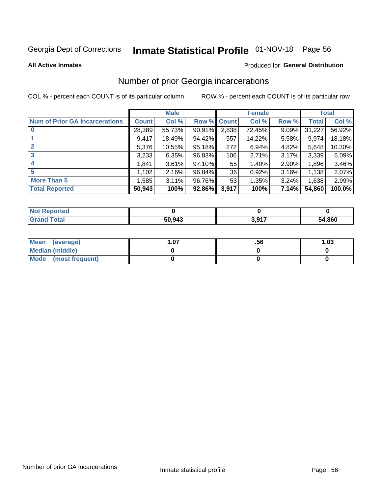# Inmate Statistical Profile 01-NOV-18 Page 56

#### **All Active Inmates**

#### Produced for General Distribution

### Number of prior Georgia incarcerations

COL % - percent each COUNT is of its particular column

|                                       |              | <b>Male</b> |             |       | <b>Female</b> |       |        | <b>Total</b> |
|---------------------------------------|--------------|-------------|-------------|-------|---------------|-------|--------|--------------|
| <b>Num of Prior GA Incarcerations</b> | <b>Count</b> | Col %       | Row % Count |       | Col %         | Row % | Total  | Col %        |
| $\bf{0}$                              | 28,389       | 55.73%      | 90.91%      | 2,838 | 72.45%        | 9.09% | 31,227 | 56.92%       |
|                                       | 9,417        | 18.49%      | 94.42%      | 557   | 14.22%        | 5.58% | 9,974  | 18.18%       |
| $\mathbf{2}$                          | 5,376        | 10.55%      | 95.18%      | 272   | 6.94%         | 4.82% | 5,648  | 10.30%       |
| 3                                     | 3,233        | 6.35%       | 96.83%      | 106   | 2.71%         | 3.17% | 3,339  | 6.09%        |
| $\boldsymbol{4}$                      | 1,841        | 3.61%       | 97.10%      | 55    | 1.40%         | 2.90% | 1,896  | 3.46%        |
| 5                                     | 1,102        | 2.16%       | 96.84%      | 36    | 0.92%         | 3.16% | 1,138  | 2.07%        |
| <b>More Than 5</b>                    | 1.585        | 3.11%       | 96.76%      | 53    | 1.35%         | 3.24% | 1,638  | 2.99%        |
| <b>Total Reported</b>                 | 50,943       | 100%        | 92.86%      | 3,917 | 100%          | 7.14% | 54,860 | 100.0%       |

| orted<br>NO.      |        |       |        |
|-------------------|--------|-------|--------|
| <b>otal</b><br>Gr | 50,943 | 2 047 | 54,860 |

| Mean (average)       | . .07 | .56 | 1.03 |
|----------------------|-------|-----|------|
| Median (middle)      |       |     |      |
| Mode (most frequent) |       |     |      |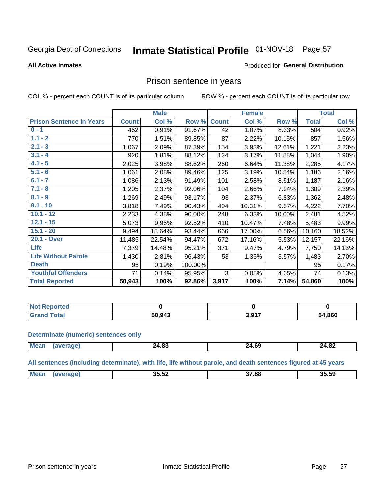#### Inmate Statistical Profile 01-NOV-18 Page 57

#### **All Active Inmates**

#### Produced for General Distribution

### Prison sentence in years

COL % - percent each COUNT is of its particular column

ROW % - percent each COUNT is of its particular row

|                                 |              | <b>Male</b> |         |              | <b>Female</b> |        |              | <b>Total</b> |
|---------------------------------|--------------|-------------|---------|--------------|---------------|--------|--------------|--------------|
| <b>Prison Sentence In Years</b> | <b>Count</b> | Col %       | Row %   | <b>Count</b> | Col %         | Row %  | <b>Total</b> | Col %        |
| $0 - 1$                         | 462          | 0.91%       | 91.67%  | 42           | 1.07%         | 8.33%  | 504          | 0.92%        |
| $1.1 - 2$                       | 770          | 1.51%       | 89.85%  | 87           | 2.22%         | 10.15% | 857          | 1.56%        |
| $2.1 - 3$                       | 1,067        | 2.09%       | 87.39%  | 154          | 3.93%         | 12.61% | 1,221        | 2.23%        |
| $3.1 - 4$                       | 920          | 1.81%       | 88.12%  | 124          | 3.17%         | 11.88% | 1,044        | 1.90%        |
| $4.1 - 5$                       | 2,025        | 3.98%       | 88.62%  | 260          | 6.64%         | 11.38% | 2,285        | 4.17%        |
| $5.1 - 6$                       | 1,061        | 2.08%       | 89.46%  | 125          | 3.19%         | 10.54% | 1,186        | 2.16%        |
| $6.1 - 7$                       | 1,086        | 2.13%       | 91.49%  | 101          | 2.58%         | 8.51%  | 1,187        | 2.16%        |
| $7.1 - 8$                       | 1,205        | 2.37%       | 92.06%  | 104          | 2.66%         | 7.94%  | 1,309        | 2.39%        |
| $8.1 - 9$                       | 1,269        | 2.49%       | 93.17%  | 93           | 2.37%         | 6.83%  | 1,362        | 2.48%        |
| $9.1 - 10$                      | 3,818        | 7.49%       | 90.43%  | 404          | 10.31%        | 9.57%  | 4,222        | 7.70%        |
| $10.1 - 12$                     | 2,233        | 4.38%       | 90.00%  | 248          | 6.33%         | 10.00% | 2,481        | 4.52%        |
| $12.1 - 15$                     | 5,073        | 9.96%       | 92.52%  | 410          | 10.47%        | 7.48%  | 5,483        | 9.99%        |
| $15.1 - 20$                     | 9,494        | 18.64%      | 93.44%  | 666          | 17.00%        | 6.56%  | 10,160       | 18.52%       |
| 20.1 - Over                     | 11,485       | 22.54%      | 94.47%  | 672          | 17.16%        | 5.53%  | 12,157       | 22.16%       |
| <b>Life</b>                     | 7,379        | 14.48%      | 95.21%  | 371          | 9.47%         | 4.79%  | 7,750        | 14.13%       |
| <b>Life Without Parole</b>      | 1,430        | 2.81%       | 96.43%  | 53           | 1.35%         | 3.57%  | 1,483        | 2.70%        |
| <b>Death</b>                    | 95           | 0.19%       | 100.00% |              |               |        | 95           | 0.17%        |
| <b>Youthful Offenders</b>       | 71           | 0.14%       | 95.95%  | 3            | 0.08%         | 4.05%  | 74           | 0.13%        |
| <b>Total Reported</b>           | 50,943       | 100%        | 92.86%  | 3,917        | 100%          | 7.14%  | 54,860       | 100%         |

| <b>Not Reported</b> |        |                    |        |
|---------------------|--------|--------------------|--------|
| $\sim$<br>. Care    | 50.943 | 2017<br>J.J<br>. . | 54,860 |

#### **Determinate (numeric) sentences only**

| <b>Mean</b> | <b>100</b><br>Z4.0J | $\sim$<br>24.69 | 24.82<br>$\sim$ |
|-------------|---------------------|-----------------|-----------------|
|             |                     |                 |                 |

All sentences (including determinate), with life, life without parole, and death sentences figured at 45 years

| Me: | <br>35.52 | הה דה | 35.59 |
|-----|-----------|-------|-------|
|     |           |       |       |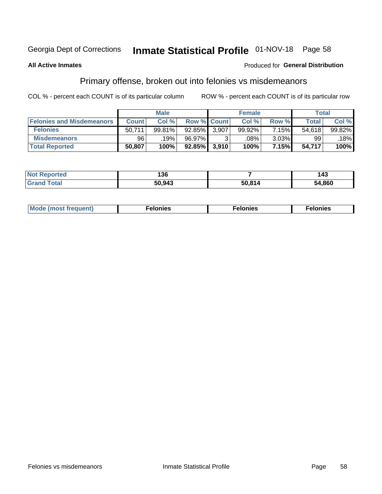## Inmate Statistical Profile 01-NOV-18 Page 58

#### **All Active Inmates**

#### Produced for General Distribution

### Primary offense, broken out into felonies vs misdemeanors

COL % - percent each COUNT is of its particular column

|                                  |              | <b>Male</b> |                 |                    | <b>Female</b> |          | Total  |        |
|----------------------------------|--------------|-------------|-----------------|--------------------|---------------|----------|--------|--------|
| <b>Felonies and Misdemeanors</b> | <b>Count</b> | Col%        |                 | <b>Row % Count</b> | Col %         | Row %    | Total  | Col %  |
| <b>Felonies</b>                  | 50,711       | 99.81%      | 92.85%          | 3,907              | 99.92%        | 7.15%    | 54.618 | 99.82% |
| <b>Misdemeanors</b>              | 96           | .19%        | 96.97%          |                    | .08%          | $3.03\%$ | 99     | .18%   |
| <b>Total Reported</b>            | 50,807       | 100%        | $92.85\%$ 3.910 |                    | 100%          | 7.15%    | 54,717 | 100%   |

| <b>Not Reported</b>   | 136    |              | 143    |
|-----------------------|--------|--------------|--------|
| <b>Grand</b><br>Total | 50,943 | <b>NA 07</b> | 54,860 |

| Mo | ____ | 11 C.S<br>. | onies<br>. |
|----|------|-------------|------------|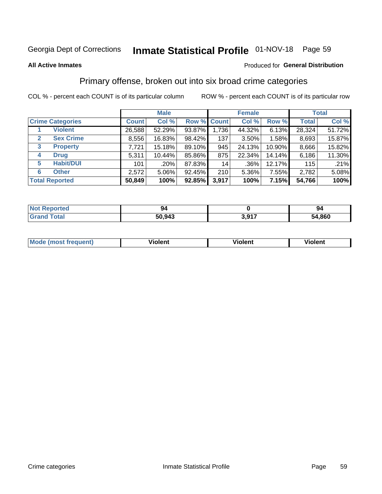## Inmate Statistical Profile 01-NOV-18 Page 59

#### **All Active Inmates**

#### Produced for General Distribution

### Primary offense, broken out into six broad crime categories

COL % - percent each COUNT is of its particular column

|                                  |              | <b>Male</b> |        |             | <b>Female</b> |        | <b>Total</b> |        |  |
|----------------------------------|--------------|-------------|--------|-------------|---------------|--------|--------------|--------|--|
| <b>Crime Categories</b>          | <b>Count</b> | Col %       |        | Row % Count | Col %         | Row %  | <b>Total</b> | Col %  |  |
| <b>Violent</b>                   | 26,588       | 52.29%      | 93.87% | 1,736       | 44.32%        | 6.13%  | 28,324       | 51.72% |  |
| <b>Sex Crime</b><br>$\mathbf{2}$ | 8,556        | 16.83%      | 98.42% | 137         | $3.50\%$      | 1.58%  | 8,693        | 15.87% |  |
| 3<br><b>Property</b>             | 7,721        | 15.18%      | 89.10% | 945         | 24.13%        | 10.90% | 8,666        | 15.82% |  |
| <b>Drug</b><br>4                 | 5,311        | 10.44%      | 85.86% | 875         | 22.34%        | 14.14% | 6,186        | 11.30% |  |
| <b>Habit/DUI</b><br>5            | 101          | .20%        | 87.83% | 14          | $.36\%$       | 12.17% | 115          | .21%   |  |
| <b>Other</b><br>6                | 2,572        | 5.06%       | 92.45% | 210         | 5.36%         | 7.55%  | 2,782        | 5.08%  |  |
| <b>Total Reported</b>            | 50,849       | 100%        | 92.85% | 3,917       | 100%          | 7.15%  | 54,766       | 100%   |  |

| <b>Not</b><br><b>Reported</b> | 94     |                       | 94     |
|-------------------------------|--------|-----------------------|--------|
| <b>cotal</b>                  | 50,943 | 2 Q17<br><b>U.JII</b> | 54,860 |

| M | - --<br>100011 | .<br><b>VIOIGIIL</b> | 1.91311 |
|---|----------------|----------------------|---------|
|   |                |                      |         |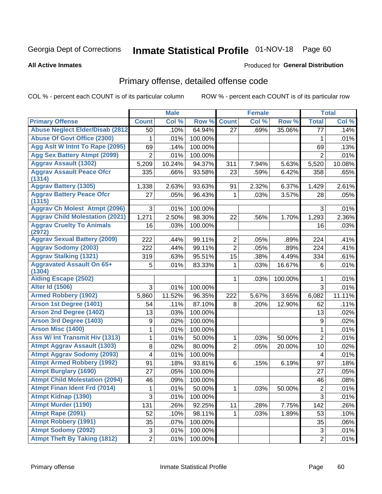# Inmate Statistical Profile 01-NOV-18 Page 60

#### **All Active Inmates**

### **Produced for General Distribution**

### Primary offense, detailed offense code

COL % - percent each COUNT is of its particular column

|                                            |                | <b>Male</b> |         |                | <b>Female</b> |         |                  | <b>Total</b> |
|--------------------------------------------|----------------|-------------|---------|----------------|---------------|---------|------------------|--------------|
| <b>Primary Offense</b>                     | <b>Count</b>   | Col %       | Row %   | <b>Count</b>   | Col %         | Row %   | <b>Total</b>     | Col %        |
| <b>Abuse Neglect Elder/Disab (2812)</b>    | 50             | .10%        | 64.94%  | 27             | .69%          | 35.06%  | $\overline{77}$  | .14%         |
| <b>Abuse Of Govt Office (2300)</b>         | 1              | .01%        | 100.00% |                |               |         | 1                | .01%         |
| Agg Aslt W Intnt To Rape (2095)            | 69             | .14%        | 100.00% |                |               |         | 69               | .13%         |
| <b>Agg Sex Battery Atmpt (2099)</b>        | $\overline{2}$ | .01%        | 100.00% |                |               |         | $\overline{2}$   | .01%         |
| <b>Aggrav Assault (1302)</b>               | 5,209          | 10.24%      | 94.37%  | 311            | 7.94%         | 5.63%   | 5,520            | 10.08%       |
| <b>Aggrav Assault Peace Ofcr</b><br>(1314) | 335            | .66%        | 93.58%  | 23             | .59%          | 6.42%   | 358              | .65%         |
| <b>Aggrav Battery (1305)</b>               | 1,338          | 2.63%       | 93.63%  | 91             | 2.32%         | 6.37%   | 1,429            | 2.61%        |
| <b>Aggrav Battery Peace Ofcr</b><br>(1315) | 27             | .05%        | 96.43%  | 1              | .03%          | 3.57%   | 28               | .05%         |
| <b>Aggrav Ch Molest Atmpt (2096)</b>       | 3              | .01%        | 100.00% |                |               |         | 3                | .01%         |
| <b>Aggrav Child Molestation (2021)</b>     | 1,271          | 2.50%       | 98.30%  | 22             | .56%          | 1.70%   | 1,293            | 2.36%        |
| <b>Aggrav Cruelty To Animals</b><br>(2972) | 16             | .03%        | 100.00% |                |               |         | 16               | .03%         |
| <b>Aggrav Sexual Battery (2009)</b>        | 222            | .44%        | 99.11%  | $\overline{2}$ | .05%          | .89%    | 224              | .41%         |
| <b>Aggrav Sodomy (2003)</b>                | 222            | .44%        | 99.11%  | $\overline{2}$ | .05%          | .89%    | 224              | .41%         |
| <b>Aggrav Stalking (1321)</b>              | 319            | .63%        | 95.51%  | 15             | .38%          | 4.49%   | 334              | .61%         |
| <b>Aggravated Assault On 65+</b><br>(1304) | 5              | .01%        | 83.33%  | 1              | .03%          | 16.67%  | 6                | .01%         |
| <b>Aiding Escape (2502)</b>                |                |             |         | 1              | .03%          | 100.00% | 1                | .01%         |
| <b>Alter Id (1506)</b>                     | 3              | .01%        | 100.00% |                |               |         | 3                | .01%         |
| <b>Armed Robbery (1902)</b>                | 5,860          | 11.52%      | 96.35%  | 222            | 5.67%         | 3.65%   | 6,082            | 11.11%       |
| Arson 1st Degree (1401)                    | 54             | .11%        | 87.10%  | 8              | .20%          | 12.90%  | 62               | .11%         |
| <b>Arson 2nd Degree (1402)</b>             | 13             | .03%        | 100.00% |                |               |         | 13               | .02%         |
| <b>Arson 3rd Degree (1403)</b>             | 9              | .02%        | 100.00% |                |               |         | $\boldsymbol{9}$ | .02%         |
| <b>Arson Misc (1400)</b>                   | 1              | .01%        | 100.00% |                |               |         | $\mathbf{1}$     | .01%         |
| Ass W/ Int Transmit Hiv (1313)             | 1              | .01%        | 50.00%  | 1              | .03%          | 50.00%  | $\overline{2}$   | .01%         |
| <b>Atmpt Aggrav Assault (1303)</b>         | 8              | .02%        | 80.00%  | $\overline{2}$ | .05%          | 20.00%  | 10               | .02%         |
| <b>Atmpt Aggrav Sodomy (2093)</b>          | 4              | .01%        | 100.00% |                |               |         | 4                | .01%         |
| <b>Atmpt Armed Robbery (1992)</b>          | 91             | .18%        | 93.81%  | 6              | .15%          | 6.19%   | 97               | .18%         |
| <b>Atmpt Burglary (1690)</b>               | 27             | .05%        | 100.00% |                |               |         | 27               | .05%         |
| <b>Atmpt Child Molestation (2094)</b>      | 46             | .09%        | 100.00% |                |               |         | 46               | .08%         |
| <b>Atmpt Finan Ident Frd (7014)</b>        | $\mathbf 1$    | .01%        | 50.00%  | $\mathbf 1$    | .03%          | 50.00%  | $\overline{2}$   | .01%         |
| <b>Atmpt Kidnap (1390)</b>                 | 3              | .01%        | 100.00% |                |               |         | 3                | .01%         |
| <b>Atmpt Murder (1190)</b>                 | 131            | .26%        | 92.25%  | 11             | .28%          | 7.75%   | 142              | .26%         |
| Atmpt Rape (2091)                          | 52             | .10%        | 98.11%  | $\mathbf{1}$   | .03%          | 1.89%   | 53               | .10%         |
| <b>Atmpt Robbery (1991)</b>                | 35             | .07%        | 100.00% |                |               |         | 35               | .06%         |
| <b>Atmpt Sodomy (2092)</b>                 | 3              | .01%        | 100.00% |                |               |         | $\sqrt{3}$       | .01%         |
| <b>Atmpt Theft By Taking (1812)</b>        | $\overline{c}$ | .01%        | 100.00% |                |               |         | $\overline{2}$   | .01%         |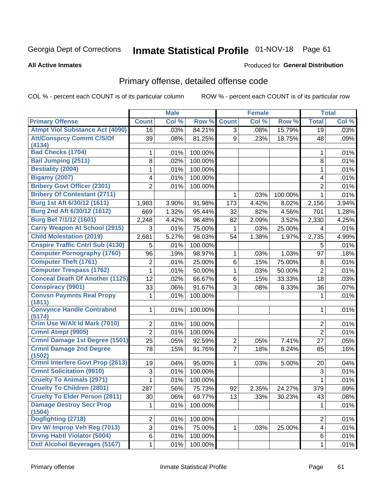# Inmate Statistical Profile 01-NOV-18 Page 61

#### **All Active Inmates**

#### Produced for General Distribution

## Primary offense, detailed offense code

COL % - percent each COUNT is of its particular column

|                                            |                | <b>Male</b> |         |                | <b>Female</b> |         |                | <b>Total</b> |
|--------------------------------------------|----------------|-------------|---------|----------------|---------------|---------|----------------|--------------|
| <b>Primary Offense</b>                     | <b>Count</b>   | Col %       | Row %   | <b>Count</b>   | Col %         | Row %   | <b>Total</b>   | Col %        |
| <b>Atmpt Viol Substance Act (4090)</b>     | 16             | .03%        | 84.21%  | $\overline{3}$ | .08%          | 15.79%  | 19             | .03%         |
| <b>Att/Consprcy Commt C/S/Of</b><br>(4134) | 39             | .08%        | 81.25%  | 9              | .23%          | 18.75%  | 48             | .09%         |
| <b>Bad Checks (1704)</b>                   | 1              | .01%        | 100.00% |                |               |         | 1              | .01%         |
| <b>Bail Jumping (2511)</b>                 | 8              | .02%        | 100.00% |                |               |         | 8              | .01%         |
| <b>Bestiality (2004)</b>                   | 1              | .01%        | 100.00% |                |               |         | 1              | .01%         |
| <b>Bigamy (2007)</b>                       | 4              | .01%        | 100.00% |                |               |         | 4              | .01%         |
| <b>Bribery Govt Officer (2301)</b>         | $\overline{2}$ | .01%        | 100.00% |                |               |         | $\overline{2}$ | .01%         |
| <b>Bribery Of Contestant (2711)</b>        |                |             |         | 1              | .03%          | 100.00% | 1              | .01%         |
| Burg 1st Aft 6/30/12 (1611)                | 1,983          | 3.90%       | 91.98%  | 173            | 4.42%         | 8.02%   | 2,156          | 3.94%        |
| Burg 2nd Aft 6/30/12 (1612)                | 669            | 1.32%       | 95.44%  | 32             | .82%          | 4.56%   | 701            | 1.28%        |
| Burg Bef 7/1/12 (1601)                     | 2,248          | 4.42%       | 96.48%  | 82             | 2.09%         | 3.52%   | 2,330          | 4.25%        |
| <b>Carry Weapon At School (2915)</b>       | 3              | .01%        | 75.00%  | 1              | .03%          | 25.00%  | 4              | .01%         |
| <b>Child Molestation (2019)</b>            | 2,681          | 5.27%       | 98.03%  | 54             | 1.38%         | 1.97%   | 2,735          | 4.99%        |
| <b>Cnspire Traffic Cntrl Sub (4130)</b>    | 5              | .01%        | 100.00% |                |               |         | 5              | .01%         |
| <b>Computer Pornography (1760)</b>         | 96             | .19%        | 98.97%  | 1              | .03%          | 1.03%   | 97             | .18%         |
| <b>Computer Theft (1761)</b>               | $\overline{2}$ | .01%        | 25.00%  | 6              | .15%          | 75.00%  | 8              | .01%         |
| <b>Computer Trespass (1762)</b>            | 1              | .01%        | 50.00%  | 1              | .03%          | 50.00%  | $\overline{2}$ | .01%         |
| <b>Conceal Death Of Another (1125)</b>     | 12             | .02%        | 66.67%  | 6              | .15%          | 33.33%  | 18             | .03%         |
| <b>Conspiracy (9901)</b>                   | 33             | .06%        | 91.67%  | 3              | .08%          | 8.33%   | 36             | .07%         |
| <b>Convsn Paymnts Real Propy</b><br>(1811) | 1              | .01%        | 100.00% |                |               |         | 1              | .01%         |
| <b>Convynce Handle Contrabnd</b><br>(5174) | 1              | .01%        | 100.00% |                |               |         | 1              | .01%         |
| Crim Use W/Alt Id Mark (7010)              | 2              | .01%        | 100.00% |                |               |         | 2              | .01%         |
| Crmnl Atmpt (9905)                         | $\overline{2}$ | .01%        | 100.00% |                |               |         | $\overline{2}$ | .01%         |
| <b>Crmnl Damage 1st Degree (1501)</b>      | 25             | .05%        | 92.59%  | $\overline{2}$ | .05%          | 7.41%   | 27             | .05%         |
| <b>Crmnl Damage 2nd Degree</b><br>(1502)   | 78             | .15%        | 91.76%  | $\overline{7}$ | .18%          | 8.24%   | 85             | .16%         |
| <b>Crmnl Interfere Govt Prop (2613)</b>    | 19             | .04%        | 95.00%  | 1              | .03%          | 5.00%   | 20             | .04%         |
| <b>Crmnl Solicitation (9910)</b>           | 3              | .01%        | 100.00% |                |               |         | 3              | .01%         |
| <b>Cruelty To Animals (2971)</b>           | 1              | .01%        | 100.00% |                |               |         | 1              | .01%         |
| <b>Cruelty To Children (2801)</b>          | 287            | .56%        | 75.73%  | 92             | 2.35%         | 24.27%  | 379            | .69%         |
| <b>Cruelty To Elder Person (2811)</b>      | 30             | .06%        | 69.77%  | 13             | .33%          | 30.23%  | 43             | .08%         |
| <b>Damage Destroy Secr Prop</b><br>(1504)  | 1              | .01%        | 100.00% |                |               |         | 1              | .01%         |
| Dogfighting (2718)                         | $\overline{2}$ | .01%        | 100.00% |                |               |         | $\overline{2}$ | .01%         |
| Drv W/ Improp Veh Reg (7013)               | $\overline{3}$ | .01%        | 75.00%  | 1.             | .03%          | 25.00%  | 4              | .01%         |
| <b>Drvng Habtl Violator (5004)</b>         | 6              | .01%        | 100.00% |                |               |         | 6              | .01%         |
| <b>Dstl Alcohol Beverages (5167)</b>       | $\mathbf 1$    | .01%        | 100.00% |                |               |         | 1              | .01%         |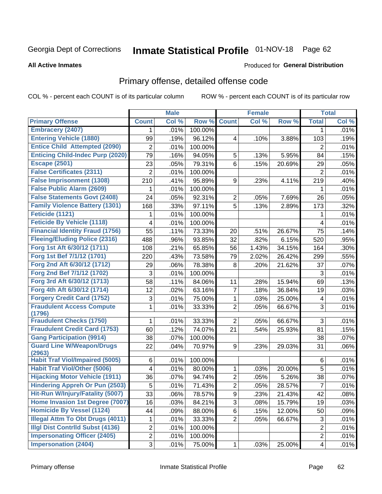# Inmate Statistical Profile 01-NOV-18 Page 62

#### **All Active Inmates**

### **Produced for General Distribution**

## Primary offense, detailed offense code

COL % - percent each COUNT is of its particular column

|                                            |                         | <b>Male</b> |         |                         | <b>Female</b> |        |                | <b>Total</b> |
|--------------------------------------------|-------------------------|-------------|---------|-------------------------|---------------|--------|----------------|--------------|
| <b>Primary Offense</b>                     | <b>Count</b>            | Col %       | Row %   | <b>Count</b>            | Col %         | Row %  | <b>Total</b>   | Col %        |
| <b>Embracery (2407)</b>                    | 1.                      | .01%        | 100.00% |                         |               |        | 1              | .01%         |
| <b>Entering Vehicle (1880)</b>             | 99                      | .19%        | 96.12%  | $\overline{\mathbf{4}}$ | .10%          | 3.88%  | 103            | .19%         |
| <b>Entice Child Attempted (2090)</b>       | $\overline{2}$          | .01%        | 100.00% |                         |               |        | 2              | .01%         |
| <b>Enticing Child-Indec Purp (2020)</b>    | 79                      | .16%        | 94.05%  | 5                       | .13%          | 5.95%  | 84             | .15%         |
| <b>Escape (2501)</b>                       | 23                      | .05%        | 79.31%  | 6                       | .15%          | 20.69% | 29             | .05%         |
| <b>False Certificates (2311)</b>           | $\overline{2}$          | .01%        | 100.00% |                         |               |        | 2              | .01%         |
| <b>False Imprisonment (1308)</b>           | 210                     | .41%        | 95.89%  | 9                       | .23%          | 4.11%  | 219            | .40%         |
| <b>False Public Alarm (2609)</b>           | 1                       | .01%        | 100.00% |                         |               |        | 1              | .01%         |
| <b>False Statements Govt (2408)</b>        | 24                      | .05%        | 92.31%  | $\overline{2}$          | .05%          | 7.69%  | 26             | .05%         |
| <b>Family Violence Battery (1301)</b>      | 168                     | .33%        | 97.11%  | $\overline{5}$          | .13%          | 2.89%  | 173            | .32%         |
| Feticide (1121)                            | 1                       | .01%        | 100.00% |                         |               |        | 1              | .01%         |
| <b>Feticide By Vehicle (1118)</b>          | 4                       | .01%        | 100.00% |                         |               |        | 4              | .01%         |
| <b>Financial Identity Fraud (1756)</b>     | 55                      | .11%        | 73.33%  | 20                      | .51%          | 26.67% | 75             | .14%         |
| <b>Fleeing/Eluding Police (2316)</b>       | 488                     | .96%        | 93.85%  | 32                      | .82%          | 6.15%  | 520            | .95%         |
| Forg 1st Aft 6/30/12 (1711)                | 108                     | .21%        | 65.85%  | 56                      | 1.43%         | 34.15% | 164            | .30%         |
| Forg 1st Bef 7/1/12 (1701)                 | 220                     | .43%        | 73.58%  | 79                      | 2.02%         | 26.42% | 299            | .55%         |
| Forg 2nd Aft 6/30/12 (1712)                | 29                      | .06%        | 78.38%  | 8                       | .20%          | 21.62% | 37             | .07%         |
| Forg 2nd Bef 7/1/12 (1702)                 | 3                       | .01%        | 100.00% |                         |               |        | 3              | .01%         |
| Forg 3rd Aft 6/30/12 (1713)                | 58                      | .11%        | 84.06%  | 11                      | .28%          | 15.94% | 69             | .13%         |
| Forg 4th Aft 6/30/12 (1714)                | 12                      | .02%        | 63.16%  | $\overline{7}$          | .18%          | 36.84% | 19             | .03%         |
| <b>Forgery Credit Card (1752)</b>          | $\sqrt{3}$              | .01%        | 75.00%  | $\mathbf{1}$            | .03%          | 25.00% | 4              | .01%         |
| <b>Fraudulent Access Compute</b>           | 1                       | .01%        | 33.33%  | $\overline{2}$          | .05%          | 66.67% | 3              | .01%         |
| (1796)                                     |                         |             |         |                         |               |        |                |              |
| <b>Fraudulent Checks (1750)</b>            | 1                       | .01%        | 33.33%  | $\overline{2}$          | .05%          | 66.67% | $\mathbf{3}$   | .01%         |
| <b>Fraudulent Credit Card (1753)</b>       | 60                      | .12%        | 74.07%  | 21                      | .54%          | 25.93% | 81             | .15%         |
| <b>Gang Participation (9914)</b>           | 38                      | .07%        | 100.00% |                         |               |        | 38             | .07%         |
| <b>Guard Line W/Weapon/Drugs</b><br>(2963) | 22                      | .04%        | 70.97%  | 9                       | .23%          | 29.03% | 31             | .06%         |
| <b>Habit Traf Viol/Impaired (5005)</b>     | 6                       | .01%        | 100.00% |                         |               |        | 6              | .01%         |
| <b>Habit Traf Viol/Other (5006)</b>        | $\overline{\mathbf{4}}$ | .01%        | 80.00%  | $\mathbf 1$             | .03%          | 20.00% | 5              | .01%         |
| <b>Hijacking Motor Vehicle (1911)</b>      | 36                      | .07%        | 94.74%  | $\overline{2}$          | .05%          | 5.26%  | 38             | .07%         |
| <b>Hindering Appreh Or Pun (2503)</b>      | 5                       | .01%        | 71.43%  | $\overline{2}$          | .05%          | 28.57% | $\overline{7}$ | .01%         |
| Hit-Run W/Injury/Fatality (5007)           | 33                      | .06%        | 78.57%  | 9                       | .23%          | 21.43% | 42             | .08%         |
| Home Invasion 1st Degree (7007)            | 16                      | .03%        | 84.21%  | 3                       | .08%          | 15.79% | 19             | .03%         |
| <b>Homicide By Vessel (1124)</b>           | 44                      | .09%        | 88.00%  | 6                       | .15%          | 12.00% | 50             | .09%         |
| <b>Illegal Attm To Obt Drugs (4011)</b>    | 1                       | .01%        | 33.33%  | $\overline{2}$          | .05%          | 66.67% | 3              | .01%         |
| <b>Illgl Dist Contrild Subst (4136)</b>    | $\overline{c}$          | .01%        | 100.00% |                         |               |        | $\overline{2}$ | .01%         |
| <b>Impersonating Officer (2405)</b>        | $\overline{c}$          | .01%        | 100.00% |                         |               |        | $\overline{2}$ | .01%         |
| <b>Impersonation (2404)</b>                | 3                       | .01%        | 75.00%  | $\mathbf{1}$            | .03%          | 25.00% | 4              | .01%         |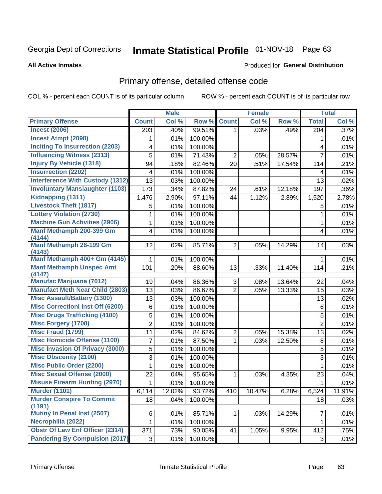# Inmate Statistical Profile 01-NOV-18 Page 63

#### **All Active Inmates**

#### Produced for General Distribution

## Primary offense, detailed offense code

COL % - percent each COUNT is of its particular column

|                                            |                | <b>Male</b> |         |                | <b>Female</b> |        |                  | <b>Total</b> |
|--------------------------------------------|----------------|-------------|---------|----------------|---------------|--------|------------------|--------------|
| <b>Primary Offense</b>                     | <b>Count</b>   | Col %       | Row %   | <b>Count</b>   | Col %         | Row %  | <b>Total</b>     | Col%         |
| <b>Incest (2006)</b>                       | 203            | .40%        | 99.51%  | 1 <sup>1</sup> | .03%          | .49%   | $\overline{204}$ | .37%         |
| <b>Incest Atmpt (2098)</b>                 | 1              | .01%        | 100.00% |                |               |        | 1                | .01%         |
| <b>Inciting To Insurrection (2203)</b>     | 4              | .01%        | 100.00% |                |               |        | 4                | .01%         |
| <b>Influencing Witness (2313)</b>          | 5              | .01%        | 71.43%  | $\overline{2}$ | .05%          | 28.57% | $\overline{7}$   | .01%         |
| <b>Injury By Vehicle (1318)</b>            | 94             | .18%        | 82.46%  | 20             | .51%          | 17.54% | 114              | .21%         |
| <b>Insurrection (2202)</b>                 | 4              | .01%        | 100.00% |                |               |        | 4                | .01%         |
| <b>Interference With Custody (1312)</b>    | 13             | .03%        | 100.00% |                |               |        | 13               | .02%         |
| <b>Involuntary Manslaughter (1103)</b>     | 173            | .34%        | 87.82%  | 24             | .61%          | 12.18% | 197              | .36%         |
| Kidnapping (1311)                          | 1,476          | 2.90%       | 97.11%  | 44             | 1.12%         | 2.89%  | 1,520            | 2.78%        |
| <b>Livestock Theft (1817)</b>              | 5              | .01%        | 100.00% |                |               |        | 5                | .01%         |
| <b>Lottery Violation (2730)</b>            | 1              | .01%        | 100.00% |                |               |        | 1                | .01%         |
| <b>Machine Gun Activities (2906)</b>       | 1              | .01%        | 100.00% |                |               |        | 1                | .01%         |
| Manf Methamph 200-399 Gm                   | 4              | .01%        | 100.00% |                |               |        | 4                | .01%         |
| (4144)                                     |                |             |         |                |               |        |                  |              |
| Manf Methamph 28-199 Gm<br>(4143)          | 12             | .02%        | 85.71%  | 2 <sup>1</sup> | .05%          | 14.29% | 14               | .03%         |
| Manf Methamph 400+ Gm (4145)               | 1              | .01%        | 100.00% |                |               |        | 1                | .01%         |
| <b>Manf Methamph Unspec Amt</b>            | 101            | .20%        | 88.60%  | 13             | .33%          | 11.40% | 114              | .21%         |
| (4147)                                     |                |             |         |                |               |        |                  |              |
| <b>Manufac Marijuana (7012)</b>            | 19             | .04%        | 86.36%  | 3              | .08%          | 13.64% | 22               | .04%         |
| <b>Manufact Meth Near Child (2803)</b>     | 13             | .03%        | 86.67%  | $\overline{2}$ | .05%          | 13.33% | 15               | .03%         |
| <b>Misc Assault/Battery (1300)</b>         | 13             | .03%        | 100.00% |                |               |        | 13               | .02%         |
| <b>Misc Correctionl Inst Off (6200)</b>    | 6              | .01%        | 100.00% |                |               |        | $\,6$            | .01%         |
| <b>Misc Drugs Trafficking (4100)</b>       | 5              | .01%        | 100.00% |                |               |        | $\mathbf 5$      | .01%         |
| <b>Misc Forgery (1700)</b>                 | $\overline{2}$ | .01%        | 100.00% |                |               |        | $\overline{2}$   | .01%         |
| <b>Misc Fraud (1799)</b>                   | 11             | .02%        | 84.62%  | $\overline{c}$ | .05%          | 15.38% | 13               | .02%         |
| <b>Misc Homicide Offense (1100)</b>        | 7              | .01%        | 87.50%  | $\mathbf{1}$   | .03%          | 12.50% | $\,8\,$          | .01%         |
| <b>Misc Invasion Of Privacy (3000)</b>     | 5              | .01%        | 100.00% |                |               |        | $\sqrt{5}$       | .01%         |
| <b>Misc Obscenity (2100)</b>               | 3              | .01%        | 100.00% |                |               |        | 3                | .01%         |
| <b>Misc Public Order (2200)</b>            | 1              | .01%        | 100.00% |                |               |        | 1                | .01%         |
| <b>Misc Sexual Offense (2000)</b>          | 22             | .04%        | 95.65%  | 1              | .03%          | 4.35%  | 23               | .04%         |
| <b>Misuse Firearm Hunting (2970)</b>       | 1              | .01%        | 100.00% |                |               |        | 1                | .01%         |
| <b>Murder (1101)</b>                       | 6,114          | 12.02%      | 93.72%  | 410            | 10.47%        | 6.28%  | 6,524            | 11.91%       |
| <b>Murder Conspire To Commit</b><br>(1191) | 18             | .04%        | 100.00% |                |               |        | 18               | .03%         |
| <b>Mutiny In Penal Inst (2507)</b>         | 6              | .01%        | 85.71%  | $\mathbf{1}$   | .03%          | 14.29% | 7                | .01%         |
| Necrophilia (2022)                         | $\mathbf{1}$   | .01%        | 100.00% |                |               |        | $\mathbf{1}$     | .01%         |
| <b>Obstr Of Law Enf Officer (2314)</b>     | 371            | .73%        | 90.05%  | 41             | 1.05%         | 9.95%  | 412              | .75%         |
| <b>Pandering By Compulsion (2017)</b>      | 3 <sup>1</sup> | .01%        | 100.00% |                |               |        | 3                | .01%         |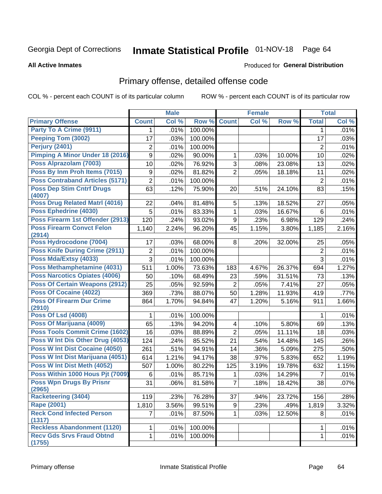# Inmate Statistical Profile 01-NOV-18 Page 64

#### **All Active Inmates**

### **Produced for General Distribution**

### Primary offense, detailed offense code

COL % - percent each COUNT is of its particular column

|                                            |                         | <b>Male</b> |         |                         | <b>Female</b> |        |                 | <b>Total</b> |
|--------------------------------------------|-------------------------|-------------|---------|-------------------------|---------------|--------|-----------------|--------------|
| <b>Primary Offense</b>                     | <b>Count</b>            | Col %       | Row %   | <b>Count</b>            | Col %         | Row %  | <b>Total</b>    | Col %        |
| Party To A Crime (9911)                    | 1                       | .01%        | 100.00% |                         |               |        | 1               | .01%         |
| Peeping Tom (3002)                         | 17                      | .03%        | 100.00% |                         |               |        | 17              | .03%         |
| Perjury (2401)                             | $\overline{2}$          | .01%        | 100.00% |                         |               |        | $\overline{2}$  | .01%         |
| Pimping A Minor Under 18 (2016)            | 9                       | .02%        | 90.00%  | 1                       | .03%          | 10.00% | 10              | .02%         |
| Poss Alprazolam (7003)                     | 10                      | .02%        | 76.92%  | 3                       | .08%          | 23.08% | 13              | .02%         |
| Poss By Inm Proh Items (7015)              | $\boldsymbol{9}$        | .02%        | 81.82%  | $\overline{2}$          | .05%          | 18.18% | 11              | .02%         |
| <b>Poss Contraband Articles (5171)</b>     | $\overline{2}$          | .01%        | 100.00% |                         |               |        | $\overline{2}$  | .01%         |
| <b>Poss Dep Stim Cntrf Drugs</b><br>(4007) | 63                      | .12%        | 75.90%  | 20                      | .51%          | 24.10% | 83              | .15%         |
| <b>Poss Drug Related Matri (4016)</b>      | 22                      | .04%        | 81.48%  | 5                       | .13%          | 18.52% | 27              | .05%         |
| Poss Ephedrine (4030)                      | 5                       | .01%        | 83.33%  | $\mathbf{1}$            | .03%          | 16.67% | $6\phantom{1}6$ | .01%         |
| Poss Firearm 1st Offender (2913)           | 120                     | .24%        | 93.02%  | 9                       | .23%          | 6.98%  | 129             | .24%         |
| <b>Poss Firearm Convct Felon</b><br>(2914) | 1,140                   | 2.24%       | 96.20%  | 45                      | 1.15%         | 3.80%  | 1,185           | 2.16%        |
| Poss Hydrocodone (7004)                    | 17                      | .03%        | 68.00%  | 8                       | .20%          | 32.00% | 25              | .05%         |
| <b>Poss Knife During Crime (2911)</b>      | $\overline{\mathbf{c}}$ | .01%        | 100.00% |                         |               |        | $\overline{2}$  | .01%         |
| Poss Mda/Extsy (4033)                      | $\overline{3}$          | .01%        | 100.00% |                         |               |        | $\overline{3}$  | .01%         |
| Poss Methamphetamine (4031)                | 511                     | 1.00%       | 73.63%  | 183                     | 4.67%         | 26.37% | 694             | 1.27%        |
| <b>Poss Narcotics Opiates (4006)</b>       | 50                      | .10%        | 68.49%  | 23                      | .59%          | 31.51% | 73              | .13%         |
| <b>Poss Of Certain Weapons (2912)</b>      | 25                      | .05%        | 92.59%  | $\overline{2}$          | .05%          | 7.41%  | 27              | .05%         |
| <b>Poss Of Cocaine (4022)</b>              | 369                     | .73%        | 88.07%  | 50                      | 1.28%         | 11.93% | 419             | .77%         |
| <b>Poss Of Firearm Dur Crime</b><br>(2910) | 864                     | 1.70%       | 94.84%  | 47                      | 1.20%         | 5.16%  | 911             | 1.66%        |
| <b>Poss Of Lsd (4008)</b>                  | 1                       | .01%        | 100.00% |                         |               |        | 1               | .01%         |
| Poss Of Marijuana (4009)                   | 65                      | .13%        | 94.20%  | $\overline{\mathbf{4}}$ | .10%          | 5.80%  | 69              | .13%         |
| <b>Poss Tools Commit Crime (1602)</b>      | 16                      | .03%        | 88.89%  | $\overline{2}$          | .05%          | 11.11% | 18              | .03%         |
| Poss W Int Dis Other Drug (4053)           | 124                     | .24%        | 85.52%  | 21                      | .54%          | 14.48% | 145             | .26%         |
| Poss W Int Dist Cocaine (4050)             | 261                     | .51%        | 94.91%  | 14                      | .36%          | 5.09%  | 275             | .50%         |
| Poss W Int Dist Marijuana (4051)           | 614                     | 1.21%       | 94.17%  | 38                      | .97%          | 5.83%  | 652             | 1.19%        |
| Poss W Int Dist Meth (4052)                | 507                     | 1.00%       | 80.22%  | 125                     | 3.19%         | 19.78% | 632             | 1.15%        |
| Poss Within 1000 Hous Pjt (7009)           | 6                       | .01%        | 85.71%  | 1                       | .03%          | 14.29% | $\overline{7}$  | .01%         |
| <b>Poss Wpn Drugs By Prisnr</b>            | $\overline{31}$         | .06%        | 81.58%  | $\overline{7}$          | .18%          | 18.42% | 38              | .07%         |
| (2965)                                     |                         |             |         |                         |               |        |                 |              |
| <b>Racketeering (3404)</b>                 | 119                     | .23%        | 76.28%  | 37                      | .94%          | 23.72% | 156             | .28%         |
| <b>Rape (2001)</b>                         | 1,810                   | 3.56%       | 99.51%  | 9                       | .23%          | .49%   | 1,819           | 3.32%        |
| <b>Reck Cond Infected Person</b><br>(1317) | $\overline{7}$          | .01%        | 87.50%  | $\mathbf{1}$            | .03%          | 12.50% | 8               | .01%         |
| <b>Reckless Abandonment (1120)</b>         | 1                       | .01%        | 100.00% |                         |               |        | 1               | .01%         |
| <b>Recv Gds Srvs Fraud Obtnd</b><br>(1755) | $\mathbf 1$             | .01%        | 100.00% |                         |               |        | 1               | .01%         |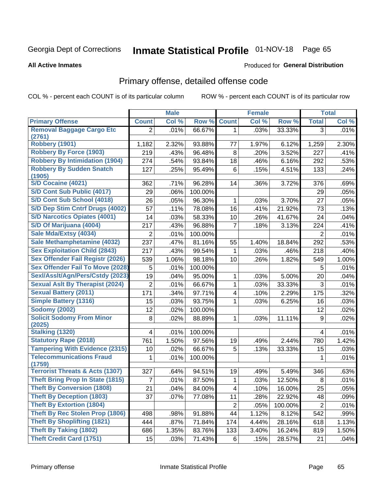# Inmate Statistical Profile 01-NOV-18 Page 65

#### **All Active Inmates**

#### Produced for General Distribution

### Primary offense, detailed offense code

COL % - percent each COUNT is of its particular column

|                                            |                 | <b>Male</b> |         |                         | <b>Female</b> |         |                 | <b>Total</b> |
|--------------------------------------------|-----------------|-------------|---------|-------------------------|---------------|---------|-----------------|--------------|
| <b>Primary Offense</b>                     | <b>Count</b>    | Col %       | Row %   | <b>Count</b>            | Col %         | Row %   | <b>Total</b>    | Col %        |
| <b>Removal Baggage Cargo Etc</b>           | $\overline{2}$  | .01%        | 66.67%  | $\mathbf{1}$            | .03%          | 33.33%  | 3               | .01%         |
| (2761)                                     |                 |             |         |                         |               |         |                 |              |
| <b>Robbery (1901)</b>                      | 1,182           | 2.32%       | 93.88%  | 77                      | 1.97%         | 6.12%   | 1,259           | 2.30%        |
| <b>Robbery By Force (1903)</b>             | 219             | .43%        | 96.48%  | 8                       | .20%          | 3.52%   | 227             | .41%         |
| <b>Robbery By Intimidation (1904)</b>      | 274             | .54%        | 93.84%  | 18                      | .46%          | 6.16%   | 292             | .53%         |
| <b>Robbery By Sudden Snatch</b><br>(1905)  | 127             | .25%        | 95.49%  | 6                       | .15%          | 4.51%   | 133             | .24%         |
| S/D Cocaine (4021)                         | 362             | .71%        | 96.28%  | 14                      | .36%          | 3.72%   | 376             | .69%         |
| S/D Cont Sub Public (4017)                 | 29              | .06%        | 100.00% |                         |               |         | 29              | .05%         |
| S/D Cont Sub School (4018)                 | 26              | .05%        | 96.30%  | 1                       | .03%          | 3.70%   | 27              | .05%         |
| S/D Dep Stim Cntrf Drugs (4002)            | 57              | .11%        | 78.08%  | 16                      | .41%          | 21.92%  | 73              | .13%         |
| <b>S/D Narcotics Opiates (4001)</b>        | 14              | .03%        | 58.33%  | 10                      | .26%          | 41.67%  | 24              | .04%         |
| S/D Of Marijuana (4004)                    | 217             | .43%        | 96.88%  | 7                       | .18%          | 3.13%   | 224             | .41%         |
| Sale Mda/Extsy (4034)                      | $\overline{2}$  | .01%        | 100.00% |                         |               |         | $\overline{2}$  | .01%         |
| Sale Methamphetamine (4032)                | 237             | .47%        | 81.16%  | 55                      | 1.40%         | 18.84%  | 292             | .53%         |
| <b>Sex Exploitation Child (2843)</b>       | 217             | .43%        | 99.54%  | 1                       | .03%          | .46%    | 218             | .40%         |
| Sex Offender Fail Registr (2026)           | 539             | 1.06%       | 98.18%  | 10                      | .26%          | 1.82%   | 549             | 1.00%        |
| <b>Sex Offender Fail To Move (2028)</b>    | 5               | .01%        | 100.00% |                         |               |         | 5               | .01%         |
| Sexl/Asslt/Agn/Pers/Cstdy (2023)           | 19              | .04%        | 95.00%  | 1                       | .03%          | 5.00%   | 20              | .04%         |
| <b>Sexual Aslt By Therapist (2024)</b>     | $\overline{2}$  | .01%        | 66.67%  | $\mathbf{1}$            | .03%          | 33.33%  | 3               | .01%         |
| <b>Sexual Battery (2011)</b>               | 171             | .34%        | 97.71%  | 4                       | .10%          | 2.29%   | 175             | .32%         |
| <b>Simple Battery (1316)</b>               | 15              | .03%        | 93.75%  | 1                       | .03%          | 6.25%   | 16              | .03%         |
| <b>Sodomy (2002)</b>                       | 12              | .02%        | 100.00% |                         |               |         | 12              | .02%         |
| <b>Solicit Sodomy From Minor</b><br>(2025) | 8               | .02%        | 88.89%  | 1                       | .03%          | 11.11%  | 9               | .02%         |
| <b>Stalking (1320)</b>                     | 4               | .01%        | 100.00% |                         |               |         | $\overline{4}$  | .01%         |
| <b>Statutory Rape (2018)</b>               | 761             | 1.50%       | 97.56%  | 19                      | .49%          | 2.44%   | 780             | 1.42%        |
| <b>Tampering With Evidence (2315)</b>      | 10              | .02%        | 66.67%  | 5                       | .13%          | 33.33%  | 15              | .03%         |
| <b>Telecommunications Fraud</b><br>(1759)  | 1               | .01%        | 100.00% |                         |               |         | 1               | .01%         |
| <b>Terrorist Threats &amp; Acts (1307)</b> | 327             | .64%        | 94.51%  | 19                      | .49%          | 5.49%   | 346             | .63%         |
| <b>Theft Bring Prop In State (1815)</b>    | 7               | .01%        | 87.50%  | 1                       | .03%          | 12.50%  | 8               | .01%         |
| <b>Theft By Conversion (1808)</b>          | $\overline{21}$ | .04%        | 84.00%  | $\overline{\mathbf{4}}$ | .10%          | 16.00%  | $\overline{25}$ | .05%         |
| <b>Theft By Deception (1803)</b>           | 37              | .07%        | 77.08%  | 11                      | .28%          | 22.92%  | 48              | .09%         |
| <b>Theft By Extortion (1804)</b>           |                 |             |         | $\overline{2}$          | .05%          | 100.00% | $\overline{2}$  | .01%         |
| Theft By Rec Stolen Prop (1806)            | 498             | .98%        | 91.88%  | 44                      | 1.12%         | 8.12%   | 542             | .99%         |
| <b>Theft By Shoplifting (1821)</b>         | 444             | .87%        | 71.84%  | 174                     | 4.44%         | 28.16%  | 618             | 1.13%        |
| <b>Theft By Taking (1802)</b>              | 686             | 1.35%       | 83.76%  | 133                     | 3.40%         | 16.24%  | 819             | 1.50%        |
| <b>Theft Credit Card (1751)</b>            | 15              | .03%        | 71.43%  | 6                       | .15%          | 28.57%  | 21              | .04%         |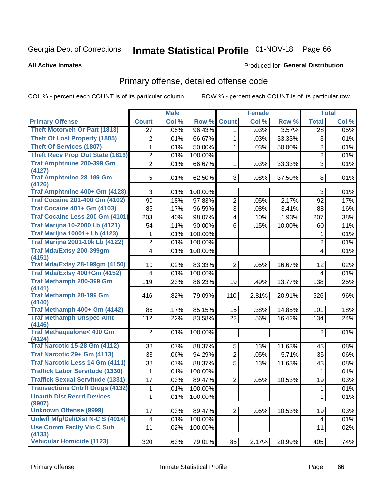# Inmate Statistical Profile 01-NOV-18 Page 66

#### **All Active Inmates**

### **Produced for General Distribution**

## Primary offense, detailed offense code

COL % - percent each COUNT is of its particular column

|                                            |                 | <b>Male</b> |         |                         | <b>Female</b> |        |                         | <b>Total</b> |
|--------------------------------------------|-----------------|-------------|---------|-------------------------|---------------|--------|-------------------------|--------------|
| <b>Primary Offense</b>                     | <b>Count</b>    | Col %       | Row %   | <b>Count</b>            | Col %         | Row %  | <b>Total</b>            | Col %        |
| Theft Motorveh Or Part (1813)              | $\overline{27}$ | .05%        | 96.43%  | $\mathbf{1}$            | .03%          | 3.57%  | 28                      | .05%         |
| <b>Theft Of Lost Property (1805)</b>       | 2               | .01%        | 66.67%  | 1                       | .03%          | 33.33% | 3                       | .01%         |
| <b>Theft Of Services (1807)</b>            | 1               | .01%        | 50.00%  | $\mathbf 1$             | .03%          | 50.00% | $\overline{2}$          | .01%         |
| <b>Theft Recv Prop Out State (1816)</b>    | 2               | .01%        | 100.00% |                         |               |        | $\overline{2}$          | .01%         |
| <b>Traf Amphtmine 200-399 Gm</b>           | $\overline{2}$  | .01%        | 66.67%  | $\mathbf{1}$            | .03%          | 33.33% | 3                       | .01%         |
| (4127)                                     |                 |             |         |                         |               |        |                         |              |
| <b>Traf Amphtmine 28-199 Gm</b>            | 5               | .01%        | 62.50%  | 3 <sup>1</sup>          | .08%          | 37.50% | 8                       | .01%         |
| (4126)<br>Traf Amphtmine 400+ Gm (4128)    | 3               |             | 100.00% |                         |               |        | 3                       |              |
| <b>Traf Cocaine 201-400 Gm (4102)</b>      |                 | .01%        |         |                         |               |        |                         | .01%         |
|                                            | 90              | .18%        | 97.83%  | $\overline{2}$          | .05%          | 2.17%  | 92                      | .17%         |
| <b>Traf Cocaine 401+ Gm (4103)</b>         | 85              | .17%        | 96.59%  | $\overline{3}$          | .08%          | 3.41%  | 88                      | .16%         |
| Traf Cocaine Less 200 Gm (4101)            | 203             | .40%        | 98.07%  | $\overline{\mathbf{4}}$ | .10%          | 1.93%  | 207                     | .38%         |
| <b>Traf Marijna 10-2000 Lb (4121)</b>      | 54              | .11%        | 90.00%  | 6                       | .15%          | 10.00% | 60                      | .11%         |
| <b>Traf Marijna 10001+ Lb (4123)</b>       | 1               | .01%        | 100.00% |                         |               |        | 1                       | .01%         |
| <b>Traf Marijna 2001-10k Lb (4122)</b>     | $\overline{2}$  | .01%        | 100.00% |                         |               |        | $\overline{2}$          | .01%         |
| <b>Traf Mda/Extsy 200-399gm</b>            | 4               | .01%        | 100.00% |                         |               |        | 4                       | .01%         |
| (4151)                                     |                 |             |         |                         |               |        |                         |              |
| <b>Traf Mda/Extsy 28-199gm (4150)</b>      | 10              | .02%        | 83.33%  | $\overline{2}$          | .05%          | 16.67% | 12                      | .02%         |
| Traf Mda/Extsy 400+Gm (4152)               | 4               | .01%        | 100.00% |                         |               |        | 4                       | .01%         |
| <b>Traf Methamph 200-399 Gm</b>            | 119             | .23%        | 86.23%  | 19                      | .49%          | 13.77% | 138                     | .25%         |
| (4141)<br><b>Traf Methamph 28-199 Gm</b>   | 416             | .82%        | 79.09%  | 110                     | 2.81%         | 20.91% | 526                     | .96%         |
| (4140)                                     |                 |             |         |                         |               |        |                         |              |
| Traf Methamph 400+ Gm (4142)               | 86              | .17%        | 85.15%  | 15                      | .38%          | 14.85% | 101                     | .18%         |
| <b>Traf Methamph Unspec Amt</b>            | 112             | .22%        | 83.58%  | 22                      | .56%          | 16.42% | 134                     | .24%         |
| (4146)                                     |                 |             |         |                         |               |        |                         |              |
| <b>Traf Methaqualone&lt; 400 Gm</b>        | $\overline{2}$  | .01%        | 100.00% |                         |               |        | $\overline{2}$          | .01%         |
| (4124)                                     |                 |             |         |                         |               |        |                         |              |
| <b>Traf Narcotic 15-28 Gm (4112)</b>       | 38              | .07%        | 88.37%  | 5                       | .13%          | 11.63% | 43                      | .08%         |
| Traf Narcotic 29+ Gm (4113)                | 33              | .06%        | 94.29%  | $\overline{2}$          | .05%          | 5.71%  | 35                      | .06%         |
| Traf Narcotic Less 14 Gm (4111)            | 38              | .07%        | 88.37%  | 5                       | .13%          | 11.63% | 43                      | .08%         |
| <b>Traffick Labor Servitude (1330)</b>     | 1               | .01%        | 100.00% |                         |               |        | 1                       | .01%         |
| <b>Traffick Sexual Servitude (1331)</b>    | 17              | .03%        | 89.47%  | $\overline{2}$          | .05%          | 10.53% | 19                      | .03%         |
| <b>Transactions Cntrft Drugs (4132)</b>    | $\mathbf 1$     | .01%        | 100.00% |                         |               |        | $\overline{1}$          | .01%         |
| <b>Unauth Dist Recrd Devices</b>           | 1               | .01%        | 100.00% |                         |               |        | $\mathbf{1}$            | .01%         |
| (9907)                                     |                 |             |         |                         |               |        |                         |              |
| <b>Unknown Offense (9999)</b>              | 17              | .03%        | 89.47%  | 2 <sup>1</sup>          | .05%          | 10.53% | 19                      | .03%         |
| Uniwfl Mfg/Del/Dist N-C S (4014)           | 4               | .01%        | 100.00% |                         |               |        | $\overline{\mathbf{4}}$ | .01%         |
| <b>Use Comm Facity Vio C Sub</b><br>(4133) | 11              | .02%        | 100.00% |                         |               |        | 11                      | .02%         |
| Vehicular Homicide (1123)                  | 320             | .63%        | 79.01%  | 85                      | 2.17%         | 20.99% | 405                     | .74%         |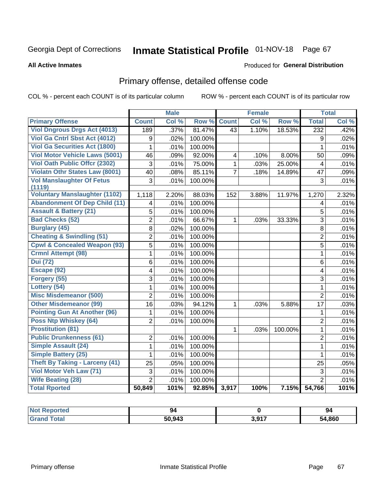# Inmate Statistical Profile 01-NOV-18 Page 67

#### **All Active Inmates**

### **Produced for General Distribution**

## Primary offense, detailed offense code

COL % - percent each COUNT is of its particular column

|                                            |                | <b>Male</b> |              |                 | <b>Female</b> |         |                         | <b>Total</b> |
|--------------------------------------------|----------------|-------------|--------------|-----------------|---------------|---------|-------------------------|--------------|
| <b>Primary Offense</b>                     | <b>Count</b>   | Col %       | Row %        | <b>Count</b>    | Col %         | Row %   | <b>Total</b>            | Col %        |
| <b>Viol Dngrous Drgs Act (4013)</b>        | 189            | .37%        | 81.47%       | $\overline{43}$ | 1.10%         | 18.53%  | 232                     | .42%         |
| Viol Ga Cntrl Sbst Act (4012)              | 9              | .02%        | 100.00%      |                 |               |         | 9                       | .02%         |
| <b>Viol Ga Securities Act (1800)</b>       | 1              | .01%        | 100.00%      |                 |               |         | 1                       | .01%         |
| <b>Viol Motor Vehicle Laws (5001)</b>      | 46             | .09%        | 92.00%       | 4               | .10%          | 8.00%   | 50                      | .09%         |
| <b>Viol Oath Public Offcr (2302)</b>       | 3              | .01%        | 75.00%       | $\mathbf{1}$    | .03%          | 25.00%  | $\overline{\mathbf{4}}$ | .01%         |
| Violatn Othr States Law (8001)             | 40             | .08%        | 85.11%       | $\overline{7}$  | .18%          | 14.89%  | 47                      | .09%         |
| <b>Vol Manslaughter Of Fetus</b><br>(1119) | 3              | .01%        | 100.00%      |                 |               |         | 3                       | .01%         |
| <b>Voluntary Manslaughter (1102)</b>       | 1,118          | 2.20%       | 88.03%       | 152             | 3.88%         | 11.97%  | 1,270                   | 2.32%        |
| <b>Abandonment Of Dep Child (11)</b>       | 4              | .01%        | 100.00%      |                 |               |         | 4                       | .01%         |
| <b>Assault &amp; Battery (21)</b>          | 5              | .01%        | 100.00%      |                 |               |         | 5                       | .01%         |
| <b>Bad Checks (52)</b>                     | $\overline{2}$ | .01%        | 66.67%       | $\mathbf 1$     | .03%          | 33.33%  | $\overline{3}$          | .01%         |
| <b>Burglary (45)</b>                       | 8              | .02%        | 100.00%      |                 |               |         | 8                       | .01%         |
| <b>Cheating &amp; Swindling (51)</b>       | $\overline{2}$ | .01%        | 100.00%      |                 |               |         | $\overline{2}$          | .01%         |
| <b>Cpwl &amp; Concealed Weapon (93)</b>    | $\overline{5}$ | .01%        | 100.00%      |                 |               |         | $\overline{5}$          | .01%         |
| <b>Crmnl Attempt (98)</b>                  | 1              | .01%        | 100.00%      |                 |               |         | $\mathbf{1}$            | .01%         |
| <b>Dui</b> (72)                            | 6              | .01%        | 100.00%      |                 |               |         | 6                       | .01%         |
| Escape (92)                                | 4              | .01%        | 100.00%      |                 |               |         | 4                       | .01%         |
| Forgery (55)                               | $\overline{3}$ | .01%        | 100.00%      |                 |               |         | $\overline{3}$          | .01%         |
| Lottery (54)                               | $\mathbf{1}$   | .01%        | 100.00%      |                 |               |         | $\mathbf{1}$            | .01%         |
| <b>Misc Misdemeanor (500)</b>              | $\overline{2}$ | .01%        | 100.00%      |                 |               |         | $\overline{2}$          | .01%         |
| <b>Other Misdemeanor (99)</b>              | 16             | .03%        | 94.12%       | $\mathbf 1$     | .03%          | 5.88%   | 17                      | .03%         |
| <b>Pointing Gun At Another (96)</b>        | 1              | .01%        | 100.00%      |                 |               |         | 1                       | .01%         |
| Poss Ntp Whiskey (64)                      | $\overline{2}$ | .01%        | 100.00%      |                 |               |         | $\overline{2}$          | .01%         |
| <b>Prostitution (81)</b>                   |                |             |              | $\mathbf{1}$    | .03%          | 100.00% | $\mathbf{1}$            | .01%         |
| <b>Public Drunkenness (61)</b>             | $\overline{2}$ | .01%        | 100.00%      |                 |               |         | $\overline{2}$          | .01%         |
| <b>Simple Assault (24)</b>                 | $\mathbf 1$    | .01%        | 100.00%      |                 |               |         | $\mathbf{1}$            | .01%         |
| <b>Simple Battery (25)</b>                 | 1              | .01%        | 100.00%      |                 |               |         | $\mathbf{1}$            | .01%         |
| <b>Theft By Taking - Larceny (41)</b>      | 25             | .05%        | 100.00%      |                 |               |         | 25                      | .05%         |
| Viol Motor Veh Law (71)                    | 3              | .01%        | 100.00%      |                 |               |         | $\overline{3}$          | .01%         |
| <b>Wife Beating (28)</b>                   | $\overline{2}$ | .01%        | 100.00%      |                 |               |         | $\overline{2}$          | .01%         |
| <b>Total Rported</b>                       | 50,849         | 101%        | 92.85% 3,917 |                 | 100%          | 7.15%   | 54,766                  | 101%         |

| <b>ceported</b><br>' NOL<br>. | 94     |       | -94         |
|-------------------------------|--------|-------|-------------|
| $T = 4 - 1$                   | 50.943 | 3,917 | 4,860<br>ാക |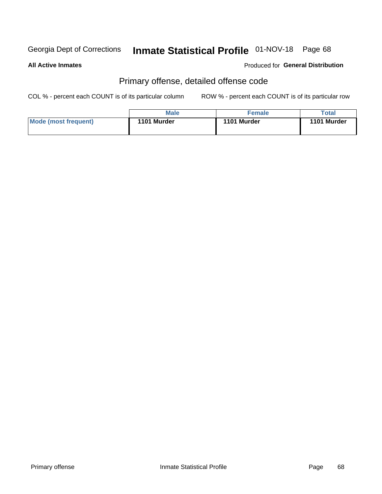# Inmate Statistical Profile 01-NOV-18 Page 68

#### **All Active Inmates**

### **Produced for General Distribution**

## Primary offense, detailed offense code

COL % - percent each COUNT is of its particular column

|                      | <b>Male</b> | <b>Female</b> | Total       |
|----------------------|-------------|---------------|-------------|
| Mode (most frequent) | 1101 Murder | 1101 Murder   | 1101 Murder |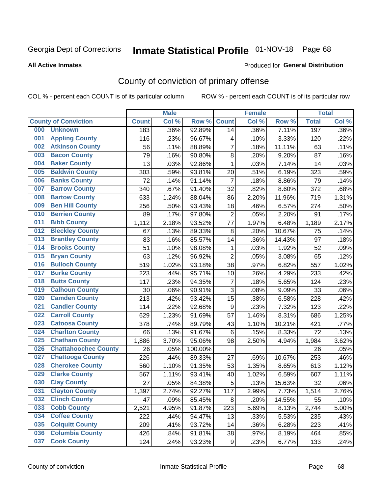# Inmate Statistical Profile 01-NOV-18 Page 68

#### **All Active Inmates**

#### Produced for General Distribution

## County of conviction of primary offense

COL % - percent each COUNT is of its particular column

|     |                             |              | <b>Male</b> |         |                  | <b>Female</b> |        |              | <b>Total</b> |
|-----|-----------------------------|--------------|-------------|---------|------------------|---------------|--------|--------------|--------------|
|     | <b>County of Conviction</b> | <b>Count</b> | Col %       | Row %   | <b>Count</b>     | Col %         | Row %  | <b>Total</b> | Col %        |
| 000 | <b>Unknown</b>              | 183          | .36%        | 92.89%  | 14               | .36%          | 7.11%  | 197          | .36%         |
| 001 | <b>Appling County</b>       | 116          | .23%        | 96.67%  | 4                | .10%          | 3.33%  | 120          | .22%         |
| 002 | <b>Atkinson County</b>      | 56           | .11%        | 88.89%  | $\overline{7}$   | .18%          | 11.11% | 63           | .11%         |
| 003 | <b>Bacon County</b>         | 79           | .16%        | 90.80%  | 8                | .20%          | 9.20%  | 87           | .16%         |
| 004 | <b>Baker County</b>         | 13           | .03%        | 92.86%  | $\mathbf{1}$     | .03%          | 7.14%  | 14           | .03%         |
| 005 | <b>Baldwin County</b>       | 303          | .59%        | 93.81%  | 20               | .51%          | 6.19%  | 323          | .59%         |
| 006 | <b>Banks County</b>         | 72           | .14%        | 91.14%  | $\overline{7}$   | .18%          | 8.86%  | 79           | .14%         |
| 007 | <b>Barrow County</b>        | 340          | .67%        | 91.40%  | 32               | .82%          | 8.60%  | 372          | .68%         |
| 008 | <b>Bartow County</b>        | 633          | 1.24%       | 88.04%  | 86               | 2.20%         | 11.96% | 719          | 1.31%        |
| 009 | <b>Ben Hill County</b>      | 256          | .50%        | 93.43%  | 18               | .46%          | 6.57%  | 274          | .50%         |
| 010 | <b>Berrien County</b>       | 89           | .17%        | 97.80%  | $\mathbf 2$      | .05%          | 2.20%  | 91           | .17%         |
| 011 | <b>Bibb County</b>          | 1,112        | 2.18%       | 93.52%  | 77               | 1.97%         | 6.48%  | 1,189        | 2.17%        |
| 012 | <b>Bleckley County</b>      | 67           | .13%        | 89.33%  | 8                | .20%          | 10.67% | 75           | .14%         |
| 013 | <b>Brantley County</b>      | 83           | .16%        | 85.57%  | 14               | .36%          | 14.43% | 97           | .18%         |
| 014 | <b>Brooks County</b>        | 51           | .10%        | 98.08%  | 1                | .03%          | 1.92%  | 52           | .09%         |
| 015 | <b>Bryan County</b>         | 63           | .12%        | 96.92%  | $\overline{2}$   | .05%          | 3.08%  | 65           | .12%         |
| 016 | <b>Bulloch County</b>       | 519          | 1.02%       | 93.18%  | 38               | .97%          | 6.82%  | 557          | 1.02%        |
| 017 | <b>Burke County</b>         | 223          | .44%        | 95.71%  | 10               | .26%          | 4.29%  | 233          | .42%         |
| 018 | <b>Butts County</b>         | 117          | .23%        | 94.35%  | $\overline{7}$   | .18%          | 5.65%  | 124          | .23%         |
| 019 | <b>Calhoun County</b>       | 30           | .06%        | 90.91%  | 3                | .08%          | 9.09%  | 33           | .06%         |
| 020 | <b>Camden County</b>        | 213          | .42%        | 93.42%  | 15               | .38%          | 6.58%  | 228          | .42%         |
| 021 | <b>Candler County</b>       | 114          | .22%        | 92.68%  | $\boldsymbol{9}$ | .23%          | 7.32%  | 123          | .22%         |
| 022 | <b>Carroll County</b>       | 629          | 1.23%       | 91.69%  | 57               | 1.46%         | 8.31%  | 686          | 1.25%        |
| 023 | <b>Catoosa County</b>       | 378          | .74%        | 89.79%  | 43               | 1.10%         | 10.21% | 421          | .77%         |
| 024 | <b>Charlton County</b>      | 66           | .13%        | 91.67%  | 6                | .15%          | 8.33%  | 72           | .13%         |
| 025 | <b>Chatham County</b>       | 1,886        | 3.70%       | 95.06%  | 98               | 2.50%         | 4.94%  | 1,984        | 3.62%        |
| 026 | <b>Chattahoochee County</b> | 26           | .05%        | 100.00% |                  |               |        | 26           | .05%         |
| 027 | <b>Chattooga County</b>     | 226          | .44%        | 89.33%  | 27               | .69%          | 10.67% | 253          | .46%         |
| 028 | <b>Cherokee County</b>      | 560          | 1.10%       | 91.35%  | 53               | 1.35%         | 8.65%  | 613          | 1.12%        |
| 029 | <b>Clarke County</b>        | 567          | 1.11%       | 93.41%  | 40               | 1.02%         | 6.59%  | 607          | 1.11%        |
| 030 | <b>Clay County</b>          | 27           | .05%        | 84.38%  | 5                | .13%          | 15.63% | 32           | .06%         |
| 031 | <b>Clayton County</b>       | 1,397        | 2.74%       | 92.27%  | 117              | 2.99%         | 7.73%  | 1,514        | 2.76%        |
| 032 | <b>Clinch County</b>        | 47           | .09%        | 85.45%  | 8                | .20%          | 14.55% | 55           | .10%         |
| 033 | <b>Cobb County</b>          | 2,521        | 4.95%       | 91.87%  | 223              | 5.69%         | 8.13%  | 2,744        | 5.00%        |
| 034 | <b>Coffee County</b>        | 222          | .44%        | 94.47%  | 13               | .33%          | 5.53%  | 235          | .43%         |
| 035 | <b>Colquitt County</b>      | 209          | .41%        | 93.72%  | 14               | .36%          | 6.28%  | 223          | .41%         |
| 036 | <b>Columbia County</b>      | 426          | .84%        | 91.81%  | 38               | .97%          | 8.19%  | 464          | .85%         |
| 037 | <b>Cook County</b>          | 124          | .24%        | 93.23%  | 9                | .23%          | 6.77%  | 133          | .24%         |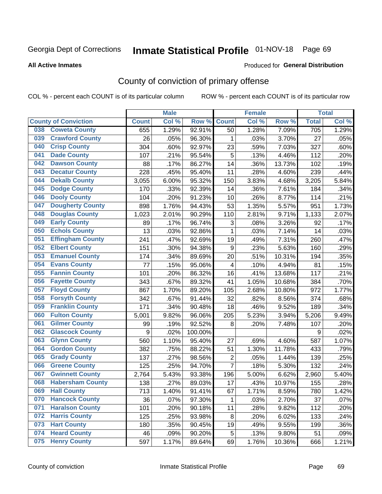## Inmate Statistical Profile 01-NOV-18 Page 69

#### **All Active Inmates**

#### Produced for General Distribution

## County of conviction of primary offense

COL % - percent each COUNT is of its particular column

|                                |              | <b>Male</b> |         |                         | <b>Female</b> |          |              | <b>Total</b> |
|--------------------------------|--------------|-------------|---------|-------------------------|---------------|----------|--------------|--------------|
| <b>County of Conviction</b>    | <b>Count</b> | Col %       | Row %   | <b>Count</b>            | Col %         | Row %    | <b>Total</b> | Col %        |
| <b>Coweta County</b><br>038    | 655          | 1.29%       | 92.91%  | 50                      | 1.28%         | 7.09%    | 705          | 1.29%        |
| <b>Crawford County</b><br>039  | 26           | .05%        | 96.30%  | 1                       | .03%          | 3.70%    | 27           | .05%         |
| <b>Crisp County</b><br>040     | 304          | .60%        | 92.97%  | 23                      | .59%          | 7.03%    | 327          | .60%         |
| <b>Dade County</b><br>041      | 107          | .21%        | 95.54%  | 5                       | .13%          | 4.46%    | 112          | .20%         |
| <b>Dawson County</b><br>042    | 88           | .17%        | 86.27%  | 14                      | .36%          | 13.73%   | 102          | .19%         |
| 043<br><b>Decatur County</b>   | 228          | .45%        | 95.40%  | 11                      | .28%          | 4.60%    | 239          | .44%         |
| <b>Dekalb County</b><br>044    | 3,055        | 6.00%       | 95.32%  | 150                     | 3.83%         | 4.68%    | 3,205        | 5.84%        |
| <b>Dodge County</b><br>045     | 170          | .33%        | 92.39%  | 14                      | .36%          | 7.61%    | 184          | .34%         |
| <b>Dooly County</b><br>046     | 104          | .20%        | 91.23%  | 10                      | .26%          | 8.77%    | 114          | .21%         |
| 047<br><b>Dougherty County</b> | 898          | 1.76%       | 94.43%  | 53                      | 1.35%         | 5.57%    | 951          | 1.73%        |
| <b>Douglas County</b><br>048   | 1,023        | 2.01%       | 90.29%  | 110                     | 2.81%         | 9.71%    | 1,133        | 2.07%        |
| <b>Early County</b><br>049     | 89           | .17%        | 96.74%  | 3                       | .08%          | 3.26%    | 92           | .17%         |
| <b>Echols County</b><br>050    | 13           | .03%        | 92.86%  | $\mathbf{1}$            | .03%          | 7.14%    | 14           | .03%         |
| 051<br><b>Effingham County</b> | 241          | .47%        | 92.69%  | 19                      | .49%          | 7.31%    | 260          | .47%         |
| <b>Elbert County</b><br>052    | 151          | .30%        | 94.38%  | $\boldsymbol{9}$        | .23%          | 5.63%    | 160          | .29%         |
| <b>Emanuel County</b><br>053   | 174          | .34%        | 89.69%  | 20                      | .51%          | 10.31%   | 194          | .35%         |
| <b>Evans County</b><br>054     | 77           | .15%        | 95.06%  | $\overline{\mathbf{4}}$ | .10%          | 4.94%    | 81           | .15%         |
| <b>Fannin County</b><br>055    | 101          | .20%        | 86.32%  | 16                      | .41%          | 13.68%   | 117          | .21%         |
| <b>Fayette County</b><br>056   | 343          | .67%        | 89.32%  | 41                      | 1.05%         | 10.68%   | 384          | .70%         |
| <b>Floyd County</b><br>057     | 867          | 1.70%       | 89.20%  | 105                     | 2.68%         | 10.80%   | 972          | 1.77%        |
| <b>Forsyth County</b><br>058   | 342          | .67%        | 91.44%  | 32                      | .82%          | 8.56%    | 374          | .68%         |
| <b>Franklin County</b><br>059  | 171          | .34%        | 90.48%  | 18                      | .46%          | 9.52%    | 189          | .34%         |
| <b>Fulton County</b><br>060    | 5,001        | 9.82%       | 96.06%  | 205                     | 5.23%         | 3.94%    | 5,206        | 9.49%        |
| <b>Gilmer County</b><br>061    | 99           | .19%        | 92.52%  | 8                       | .20%          | 7.48%    | 107          | .20%         |
| <b>Glascock County</b><br>062  | 9            | .02%        | 100.00% |                         |               |          | 9            | .02%         |
| 063<br><b>Glynn County</b>     | 560          | 1.10%       | 95.40%  | 27                      | .69%          | 4.60%    | 587          | 1.07%        |
| <b>Gordon County</b><br>064    | 382          | .75%        | 88.22%  | 51                      | 1.30%         | 11.78%   | 433          | .79%         |
| <b>Grady County</b><br>065     | 137          | .27%        | 98.56%  | $\mathbf 2$             | .05%          | 1.44%    | 139          | .25%         |
| <b>Greene County</b><br>066    | 125          | .25%        | 94.70%  | $\overline{7}$          | .18%          | 5.30%    | 132          | .24%         |
| <b>Gwinnett County</b><br>067  | 2,764        | 5.43%       | 93.38%  | 196                     | 5.00%         | 6.62%    | 2,960        | 5.40%        |
| <b>Habersham County</b><br>068 | 138          | .27%        | 89.03%  | 17                      | .43%          | 10.97%   | 155          | .28%         |
| 069<br><b>Hall County</b>      | 713          | 1.40%       | 91.41%  | 67                      | 1.71%         | 8.59%    | 780          | 1.42%        |
| <b>Hancock County</b><br>070   | 36           | .07%        | 97.30%  | 1                       | .03%          | 2.70%    | 37           | .07%         |
| <b>Haralson County</b><br>071  | 101          | .20%        | 90.18%  | 11                      | .28%          | 9.82%    | 112          | .20%         |
| <b>Harris County</b><br>072    | 125          | .25%        | 93.98%  | 8                       | .20%          | 6.02%    | 133          | .24%         |
| <b>Hart County</b><br>073      | 180          | .35%        | 90.45%  | 19                      | .49%          | 9.55%    | 199          | .36%         |
| <b>Heard County</b><br>074     | 46           | .09%        | 90.20%  | 5                       | .13%          | $9.80\%$ | 51           | .09%         |
| <b>Henry County</b><br>075     | 597          | 1.17%       | 89.64%  | 69                      | 1.76%         | 10.36%   | 666          | 1.21%        |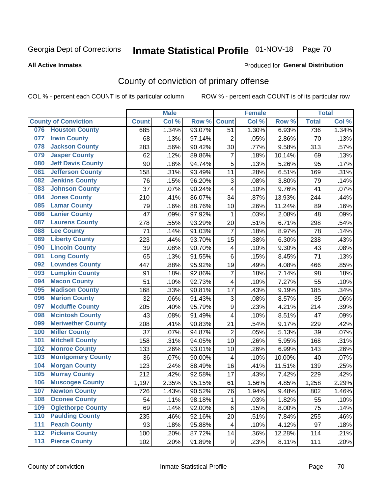# Inmate Statistical Profile 01-NOV-18 Page 70

#### **All Active Inmates**

#### Produced for General Distribution

## County of conviction of primary offense

COL % - percent each COUNT is of its particular column

|     |                             |              | <b>Male</b> |        |                           | <b>Female</b> |        |              | <b>Total</b> |
|-----|-----------------------------|--------------|-------------|--------|---------------------------|---------------|--------|--------------|--------------|
|     | <b>County of Conviction</b> | <b>Count</b> | Col %       | Row %  | <b>Count</b>              | Col %         | Row %  | <b>Total</b> | Col %        |
| 076 | <b>Houston County</b>       | 685          | 1.34%       | 93.07% | 51                        | 1.30%         | 6.93%  | 736          | 1.34%        |
| 077 | <b>Irwin County</b>         | 68           | .13%        | 97.14% | $\overline{2}$            | .05%          | 2.86%  | 70           | .13%         |
| 078 | <b>Jackson County</b>       | 283          | .56%        | 90.42% | 30                        | .77%          | 9.58%  | 313          | .57%         |
| 079 | <b>Jasper County</b>        | 62           | .12%        | 89.86% | $\overline{7}$            | .18%          | 10.14% | 69           | .13%         |
| 080 | <b>Jeff Davis County</b>    | 90           | .18%        | 94.74% | 5                         | .13%          | 5.26%  | 95           | .17%         |
| 081 | <b>Jefferson County</b>     | 158          | .31%        | 93.49% | 11                        | .28%          | 6.51%  | 169          | .31%         |
| 082 | <b>Jenkins County</b>       | 76           | .15%        | 96.20% | $\ensuremath{\mathsf{3}}$ | .08%          | 3.80%  | 79           | .14%         |
| 083 | <b>Johnson County</b>       | 37           | .07%        | 90.24% | 4                         | .10%          | 9.76%  | 41           | .07%         |
| 084 | <b>Jones County</b>         | 210          | .41%        | 86.07% | 34                        | .87%          | 13.93% | 244          | .44%         |
| 085 | <b>Lamar County</b>         | 79           | .16%        | 88.76% | 10                        | .26%          | 11.24% | 89           | .16%         |
| 086 | <b>Lanier County</b>        | 47           | .09%        | 97.92% | 1                         | .03%          | 2.08%  | 48           | .09%         |
| 087 | <b>Laurens County</b>       | 278          | .55%        | 93.29% | 20                        | .51%          | 6.71%  | 298          | .54%         |
| 088 | <b>Lee County</b>           | 71           | .14%        | 91.03% | $\overline{7}$            | .18%          | 8.97%  | 78           | .14%         |
| 089 | <b>Liberty County</b>       | 223          | .44%        | 93.70% | 15                        | .38%          | 6.30%  | 238          | .43%         |
| 090 | <b>Lincoln County</b>       | 39           | .08%        | 90.70% | $\overline{\mathbf{4}}$   | .10%          | 9.30%  | 43           | .08%         |
| 091 | <b>Long County</b>          | 65           | .13%        | 91.55% | 6                         | .15%          | 8.45%  | 71           | .13%         |
| 092 | <b>Lowndes County</b>       | 447          | .88%        | 95.92% | 19                        | .49%          | 4.08%  | 466          | .85%         |
| 093 | <b>Lumpkin County</b>       | 91           | .18%        | 92.86% | $\overline{7}$            | .18%          | 7.14%  | 98           | .18%         |
| 094 | <b>Macon County</b>         | 51           | .10%        | 92.73% | 4                         | .10%          | 7.27%  | 55           | .10%         |
| 095 | <b>Madison County</b>       | 168          | .33%        | 90.81% | 17                        | .43%          | 9.19%  | 185          | .34%         |
| 096 | <b>Marion County</b>        | 32           | .06%        | 91.43% | 3                         | .08%          | 8.57%  | 35           | .06%         |
| 097 | <b>Mcduffie County</b>      | 205          | .40%        | 95.79% | 9                         | .23%          | 4.21%  | 214          | .39%         |
| 098 | <b>Mcintosh County</b>      | 43           | .08%        | 91.49% | 4                         | .10%          | 8.51%  | 47           | .09%         |
| 099 | <b>Meriwether County</b>    | 208          | .41%        | 90.83% | 21                        | .54%          | 9.17%  | 229          | .42%         |
| 100 | <b>Miller County</b>        | 37           | .07%        | 94.87% | $\overline{2}$            | .05%          | 5.13%  | 39           | .07%         |
| 101 | <b>Mitchell County</b>      | 158          | .31%        | 94.05% | 10                        | .26%          | 5.95%  | 168          | .31%         |
| 102 | <b>Monroe County</b>        | 133          | .26%        | 93.01% | 10                        | .26%          | 6.99%  | 143          | .26%         |
| 103 | <b>Montgomery County</b>    | 36           | .07%        | 90.00% | $\overline{\mathbf{4}}$   | .10%          | 10.00% | 40           | .07%         |
| 104 | <b>Morgan County</b>        | 123          | .24%        | 88.49% | 16                        | .41%          | 11.51% | 139          | .25%         |
| 105 | <b>Murray County</b>        | 212          | .42%        | 92.58% | 17                        | .43%          | 7.42%  | 229          | .42%         |
| 106 | <b>Muscogee County</b>      | 1,197        | 2.35%       | 95.15% | 61                        | 1.56%         | 4.85%  | 1,258        | 2.29%        |
| 107 | <b>Newton County</b>        | 726          | 1.43%       | 90.52% | 76                        | 1.94%         | 9.48%  | 802          | 1.46%        |
| 108 | <b>Oconee County</b>        | 54           | .11%        | 98.18% | 1                         | .03%          | 1.82%  | 55           | .10%         |
| 109 | <b>Oglethorpe County</b>    | 69           | .14%        | 92.00% | 6                         | .15%          | 8.00%  | 75           | .14%         |
| 110 | <b>Paulding County</b>      | 235          | .46%        | 92.16% | 20                        | .51%          | 7.84%  | 255          | .46%         |
| 111 | <b>Peach County</b>         | 93           | .18%        | 95.88% | 4                         | .10%          | 4.12%  | 97           | .18%         |
| 112 | <b>Pickens County</b>       | 100          | .20%        | 87.72% | 14                        | .36%          | 12.28% | 114          | .21%         |
| 113 | <b>Pierce County</b>        | 102          | .20%        | 91.89% | 9                         | .23%          | 8.11%  | 111          | .20%         |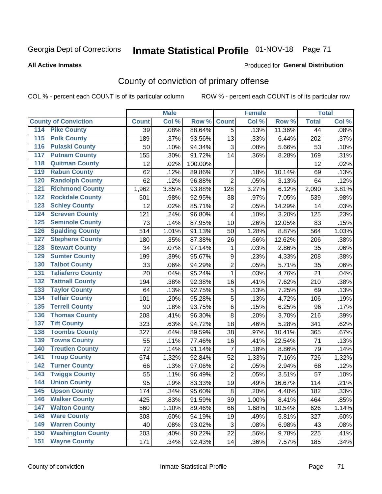# Inmate Statistical Profile 01-NOV-18 Page 71

#### **All Active Inmates**

#### Produced for General Distribution

## County of conviction of primary offense

COL % - percent each COUNT is of its particular column

|                                          |              | <b>Male</b> |         |                | <b>Female</b> |        |              | <b>Total</b> |
|------------------------------------------|--------------|-------------|---------|----------------|---------------|--------|--------------|--------------|
| <b>County of Conviction</b>              | <b>Count</b> | Col %       | Row %   | <b>Count</b>   | Col %         | Row %  | <b>Total</b> | Col %        |
| <b>Pike County</b><br>114                | 39           | .08%        | 88.64%  | 5              | .13%          | 11.36% | 44           | .08%         |
| <b>Polk County</b><br>$\overline{115}$   | 189          | .37%        | 93.56%  | 13             | .33%          | 6.44%  | 202          | .37%         |
| <b>Pulaski County</b><br>116             | 50           | .10%        | 94.34%  | 3              | .08%          | 5.66%  | 53           | .10%         |
| <b>Putnam County</b><br>117              | 155          | .30%        | 91.72%  | 14             | .36%          | 8.28%  | 169          | .31%         |
| <b>Quitman County</b><br>118             | 12           | .02%        | 100.00% |                |               |        | 12           | .02%         |
| <b>Rabun County</b><br>119               | 62           | .12%        | 89.86%  | $\overline{7}$ | .18%          | 10.14% | 69           | .13%         |
| <b>Randolph County</b><br>120            | 62           | .12%        | 96.88%  | $\overline{2}$ | .05%          | 3.13%  | 64           | .12%         |
| <b>Richmond County</b><br>121            | 1,962        | 3.85%       | 93.88%  | 128            | 3.27%         | 6.12%  | 2,090        | 3.81%        |
| <b>Rockdale County</b><br>122            | 501          | .98%        | 92.95%  | 38             | .97%          | 7.05%  | 539          | .98%         |
| <b>Schley County</b><br>123              | 12           | .02%        | 85.71%  | $\overline{2}$ | .05%          | 14.29% | 14           | .03%         |
| <b>Screven County</b><br>124             | 121          | .24%        | 96.80%  | 4              | .10%          | 3.20%  | 125          | .23%         |
| <b>Seminole County</b><br>125            | 73           | .14%        | 87.95%  | 10             | .26%          | 12.05% | 83           | .15%         |
| <b>Spalding County</b><br>126            | 514          | 1.01%       | 91.13%  | 50             | 1.28%         | 8.87%  | 564          | 1.03%        |
| <b>Stephens County</b><br>127            | 180          | .35%        | 87.38%  | 26             | .66%          | 12.62% | 206          | .38%         |
| <b>Stewart County</b><br>128             | 34           | .07%        | 97.14%  | 1              | .03%          | 2.86%  | 35           | .06%         |
| <b>Sumter County</b><br>129              | 199          | .39%        | 95.67%  | 9              | .23%          | 4.33%  | 208          | .38%         |
| <b>Talbot County</b><br>130              | 33           | .06%        | 94.29%  | $\overline{2}$ | .05%          | 5.71%  | 35           | .06%         |
| <b>Taliaferro County</b><br>131          | 20           | .04%        | 95.24%  | 1              | .03%          | 4.76%  | 21           | .04%         |
| <b>Tattnall County</b><br>132            | 194          | .38%        | 92.38%  | 16             | .41%          | 7.62%  | 210          | .38%         |
| <b>Taylor County</b><br>133              | 64           | .13%        | 92.75%  | 5              | .13%          | 7.25%  | 69           | .13%         |
| <b>Telfair County</b><br>134             | 101          | .20%        | 95.28%  | 5              | .13%          | 4.72%  | 106          | .19%         |
| <b>Terrell County</b><br>135             | 90           | .18%        | 93.75%  | 6              | .15%          | 6.25%  | 96           | .17%         |
| <b>Thomas County</b><br>136              | 208          | .41%        | 96.30%  | 8              | .20%          | 3.70%  | 216          | .39%         |
| <b>Tift County</b><br>137                | 323          | .63%        | 94.72%  | 18             | .46%          | 5.28%  | 341          | .62%         |
| <b>Toombs County</b><br>138              | 327          | .64%        | 89.59%  | 38             | .97%          | 10.41% | 365          | .67%         |
| <b>Towns County</b><br>139               | 55           | .11%        | 77.46%  | 16             | .41%          | 22.54% | 71           | .13%         |
| <b>Treutlen County</b><br>140            | 72           | .14%        | 91.14%  | $\overline{7}$ | .18%          | 8.86%  | 79           | .14%         |
| <b>Troup County</b><br>141               | 674          | 1.32%       | 92.84%  | 52             | 1.33%         | 7.16%  | 726          | 1.32%        |
| <b>Turner County</b><br>142              | 66           | .13%        | 97.06%  | $\overline{2}$ | .05%          | 2.94%  | 68           | .12%         |
| <b>Twiggs County</b><br>$\overline{143}$ | 55           | .11%        | 96.49%  | $\overline{2}$ | .05%          | 3.51%  | 57           | .10%         |
| <b>Union County</b><br>144               | 95           | .19%        | 83.33%  | 19             | .49%          | 16.67% | 114          | .21%         |
| 145<br><b>Upson County</b>               | 174          | .34%        | 95.60%  | 8              | .20%          | 4.40%  | 182          | .33%         |
| <b>Walker County</b><br>146              | 425          | .83%        | 91.59%  | 39             | 1.00%         | 8.41%  | 464          | .85%         |
| <b>Walton County</b><br>147              | 560          | 1.10%       | 89.46%  | 66             | 1.68%         | 10.54% | 626          | 1.14%        |
| <b>Ware County</b><br>148                | 308          | .60%        | 94.19%  | 19             | .49%          | 5.81%  | 327          | .60%         |
| <b>Warren County</b><br>149              | 40           | .08%        | 93.02%  | 3              | .08%          | 6.98%  | 43           | .08%         |
| <b>Washington County</b><br>150          | 203          | .40%        | 90.22%  | 22             | .56%          | 9.78%  | 225          | .41%         |
| <b>Wayne County</b><br>151               | 171          | .34%        | 92.43%  | 14             | .36%          | 7.57%  | 185          | .34%         |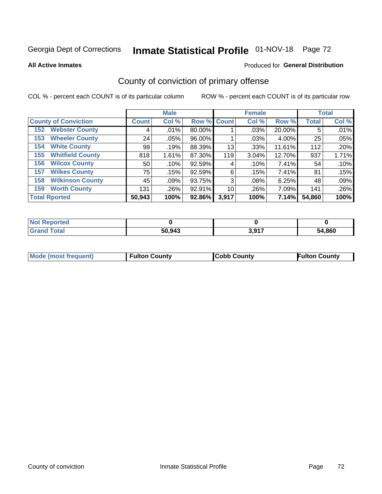# Inmate Statistical Profile 01-NOV-18 Page 72

#### **All Active Inmates**

#### Produced for General Distribution

## County of conviction of primary offense

COL % - percent each COUNT is of its particular column

|                                | <b>Male</b>  |         |             | <b>Female</b> |       |        | <b>Total</b> |       |
|--------------------------------|--------------|---------|-------------|---------------|-------|--------|--------------|-------|
| <b>County of Conviction</b>    | <b>Count</b> | Col %   | Row % Count |               | Col % | Row %  | <b>Total</b> | Col % |
| <b>Webster County</b><br>152   | 4            | .01%    | 80.00%      |               | .03%  | 20.00% | 5            | .01%  |
| <b>Wheeler County</b><br>153   | 24           | $.05\%$ | 96.00%      |               | .03%  | 4.00%  | 25           | .05%  |
| <b>White County</b><br>154     | 99           | .19%    | 88.39%      | 13            | .33%  | 11.61% | 112          | .20%  |
| <b>Whitfield County</b><br>155 | 818          | 1.61%   | 87.30%      | 119           | 3.04% | 12.70% | 937          | 1.71% |
| <b>Wilcox County</b><br>156    | 50           | .10%    | 92.59%      | 4             | .10%  | 7.41%  | 54           | .10%  |
| <b>Wilkes County</b><br>157    | 75           | .15%    | 92.59%      | 6             | .15%  | 7.41%  | 81           | .15%  |
| <b>Wilkinson County</b><br>158 | 45           | .09%    | 93.75%      | 3             | .08%  | 6.25%  | 48           | .09%  |
| <b>Worth County</b><br>159     | 131          | .26%    | 92.91%      | 10            | .26%  | 7.09%  | 141          | .26%  |
| <b>Total Rported</b>           | 50,943       | 100%    | 92.86%      | 3,917         | 100%  | 7.14%  | 54,860       | 100%  |

| <b>Not Reported</b> |        |       |        |
|---------------------|--------|-------|--------|
| Total               | 50,943 | 3,917 | 54,860 |

| <b>Mode (most frequent)</b> | <b>Fulton County</b> | <b>ICobb County</b> | <b>Fulton County</b> |
|-----------------------------|----------------------|---------------------|----------------------|
|                             |                      |                     |                      |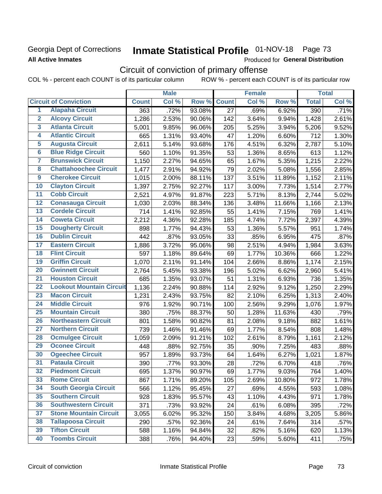### Georgia Dept of Corrections **All Active Inmates**

# Inmate Statistical Profile 01-NOV-18 Page 73

Produced for General Distribution

## Circuit of conviction of primary offense

COL % - percent each COUNT is of its particular column ROW % - percent each COUNT is of its particular row

|                         |                                 |              | <b>Male</b> |        |                 | <b>Female</b> |        |              | <b>Total</b> |
|-------------------------|---------------------------------|--------------|-------------|--------|-----------------|---------------|--------|--------------|--------------|
|                         | <b>Circuit of Conviction</b>    | <b>Count</b> | Col %       | Row %  | <b>Count</b>    | Col %         | Row %  | <b>Total</b> | Col %        |
| 1                       | <b>Alapaha Circuit</b>          | 363          | .72%        | 93.08% | $\overline{27}$ | .69%          | 6.92%  | 390          | .71%         |
| $\overline{2}$          | <b>Alcovy Circuit</b>           | 1,286        | 2.53%       | 90.06% | 142             | 3.64%         | 9.94%  | 1,428        | 2.61%        |
| $\overline{\mathbf{3}}$ | <b>Atlanta Circuit</b>          | 5,001        | 9.85%       | 96.06% | 205             | 5.25%         | 3.94%  | 5,206        | 9.52%        |
| 4                       | <b>Atlantic Circuit</b>         | 665          | 1.31%       | 93.40% | 47              | 1.20%         | 6.60%  | 712          | 1.30%        |
| $\overline{\mathbf{5}}$ | <b>Augusta Circuit</b>          | 2,611        | 5.14%       | 93.68% | 176             | 4.51%         | 6.32%  | 2,787        | 5.10%        |
| $\overline{\bf{6}}$     | <b>Blue Ridge Circuit</b>       | 560          | 1.10%       | 91.35% | 53              | 1.36%         | 8.65%  | 613          | 1.12%        |
| 7                       | <b>Brunswick Circuit</b>        | 1,150        | 2.27%       | 94.65% | 65              | 1.67%         | 5.35%  | 1,215        | 2.22%        |
| $\overline{\mathbf{8}}$ | <b>Chattahoochee Circuit</b>    | 1,477        | 2.91%       | 94.92% | 79              | 2.02%         | 5.08%  | 1,556        | 2.85%        |
| $\overline{9}$          | <b>Cherokee Circuit</b>         | 1,015        | 2.00%       | 88.11% | 137             | 3.51%         | 11.89% | 1,152        | 2.11%        |
| 10                      | <b>Clayton Circuit</b>          | 1,397        | 2.75%       | 92.27% | 117             | 3.00%         | 7.73%  | 1,514        | 2.77%        |
| $\overline{11}$         | <b>Cobb Circuit</b>             | 2,521        | 4.97%       | 91.87% | 223             | 5.71%         | 8.13%  | 2,744        | 5.02%        |
| $\overline{12}$         | <b>Conasauga Circuit</b>        | 1,030        | 2.03%       | 88.34% | 136             | 3.48%         | 11.66% | 1,166        | 2.13%        |
| 13                      | <b>Cordele Circuit</b>          | 714          | 1.41%       | 92.85% | 55              | 1.41%         | 7.15%  | 769          | 1.41%        |
| $\overline{14}$         | <b>Coweta Circuit</b>           | 2,212        | 4.36%       | 92.28% | 185             | 4.74%         | 7.72%  | 2,397        | 4.39%        |
| 15                      | <b>Dougherty Circuit</b>        | 898          | 1.77%       | 94.43% | 53              | 1.36%         | 5.57%  | 951          | 1.74%        |
| 16                      | <b>Dublin Circuit</b>           | 442          | .87%        | 93.05% | 33              | .85%          | 6.95%  | 475          | .87%         |
| 17                      | <b>Eastern Circuit</b>          | 1,886        | 3.72%       | 95.06% | 98              | 2.51%         | 4.94%  | 1,984        | 3.63%        |
| $\overline{18}$         | <b>Flint Circuit</b>            | 597          | 1.18%       | 89.64% | 69              | 1.77%         | 10.36% | 666          | 1.22%        |
| 19                      | <b>Griffin Circuit</b>          | 1,070        | 2.11%       | 91.14% | 104             | 2.66%         | 8.86%  | 1,174        | 2.15%        |
| $\overline{20}$         | <b>Gwinnett Circuit</b>         | 2,764        | 5.45%       | 93.38% | 196             | 5.02%         | 6.62%  | 2,960        | 5.41%        |
| $\overline{21}$         | <b>Houston Circuit</b>          | 685          | 1.35%       | 93.07% | 51              | 1.31%         | 6.93%  | 736          | 1.35%        |
| $\overline{22}$         | <b>Lookout Mountain Circuit</b> | 1,136        | 2.24%       | 90.88% | 114             | 2.92%         | 9.12%  | 1,250        | 2.29%        |
| 23                      | <b>Macon Circuit</b>            | 1,231        | 2.43%       | 93.75% | 82              | 2.10%         | 6.25%  | 1,313        | 2.40%        |
| $\overline{24}$         | <b>Middle Circuit</b>           | 976          | 1.92%       | 90.71% | 100             | 2.56%         | 9.29%  | 1,076        | 1.97%        |
| $\overline{25}$         | <b>Mountain Circuit</b>         | 380          | .75%        | 88.37% | 50              | 1.28%         | 11.63% | 430          | .79%         |
| 26                      | <b>Northeastern Circuit</b>     | 801          | 1.58%       | 90.82% | 81              | 2.08%         | 9.18%  | 882          | 1.61%        |
| $\overline{27}$         | <b>Northern Circuit</b>         | 739          | 1.46%       | 91.46% | 69              | 1.77%         | 8.54%  | 808          | 1.48%        |
| 28                      | <b>Ocmulgee Circuit</b>         | 1,059        | 2.09%       | 91.21% | 102             | 2.61%         | 8.79%  | 1,161        | 2.12%        |
| 29                      | <b>Oconee Circuit</b>           | 448          | .88%        | 92.75% | 35              | .90%          | 7.25%  | 483          | .88%         |
| 30                      | <b>Ogeechee Circuit</b>         | 957          | 1.89%       | 93.73% | 64              | 1.64%         | 6.27%  | 1,021        | 1.87%        |
| $\overline{31}$         | <b>Pataula Circuit</b>          | 390          | .77%        | 93.30% | 28              | .72%          | 6.70%  | 418          | .76%         |
| 32                      | <b>Piedmont Circuit</b>         | 695          | 1.37%       | 90.97% | 69              | 1.77%         | 9.03%  | 764          | 1.40%        |
| 33                      | <b>Rome Circuit</b>             | 867          | 1.71%       | 89.20% | 105             | 2.69%         | 10.80% | 972          | 1.78%        |
| 34                      | <b>South Georgia Circuit</b>    | 566          | 1.12%       | 95.45% | 27              | .69%          | 4.55%  | 593          | 1.08%        |
| 35                      | <b>Southern Circuit</b>         | 928          | 1.83%       | 95.57% | 43              | 1.10%         | 4.43%  | 971          | 1.78%        |
| 36                      | <b>Southwestern Circuit</b>     | 371          | .73%        | 93.92% | 24              | .61%          | 6.08%  | 395          | .72%         |
| 37                      | <b>Stone Mountain Circuit</b>   | 3,055        | 6.02%       | 95.32% | 150             | 3.84%         | 4.68%  | 3,205        | 5.86%        |
| 38                      | <b>Tallapoosa Circuit</b>       | 290          | .57%        | 92.36% | 24              | .61%          | 7.64%  | 314          | .57%         |
| 39                      | <b>Tifton Circuit</b>           | 588          | 1.16%       | 94.84% | 32              | .82%          | 5.16%  | 620          | 1.13%        |
| 40                      | <b>Toombs Circuit</b>           | 388          | .76%        | 94.40% | 23              | .59%          | 5.60%  | 411          | .75%         |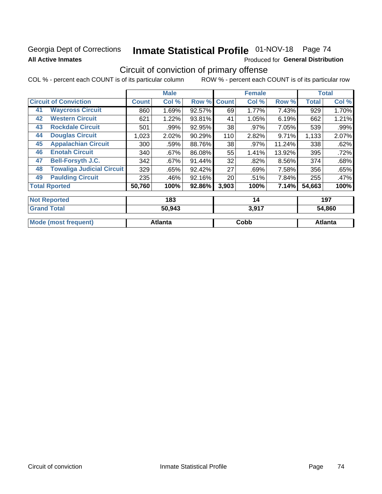### Georgia Dept of Corrections **All Active Inmates**

# Inmate Statistical Profile 01-NOV-18 Page 74

Produced for General Distribution

## Circuit of conviction of primary offense

|                              |                                  |              | <b>Male</b>   |        | <b>Female</b> |       | <b>Total</b> |              |        |
|------------------------------|----------------------------------|--------------|---------------|--------|---------------|-------|--------------|--------------|--------|
| <b>Circuit of Conviction</b> |                                  | <b>Count</b> | Col %         | Row %  | <b>Count</b>  | Col % | Row %        | <b>Total</b> | Col %  |
| 41                           | <b>Waycross Circuit</b>          | 860          | 1.69%         | 92.57% | 69            | 1.77% | 7.43%        | 929          | 1.70%  |
| 42                           | <b>Western Circuit</b>           | 621          | 1.22%         | 93.81% | 41            | 1.05% | 6.19%        | 662          | 1.21%  |
| 43                           | <b>Rockdale Circuit</b>          | 501          | .99%          | 92.95% | 38            | .97%  | 7.05%        | 539          | .99%   |
| 44                           | <b>Douglas Circuit</b>           | 1,023        | 2.02%         | 90.29% | 110           | 2.82% | 9.71%        | 1,133        | 2.07%  |
| 45                           | <b>Appalachian Circuit</b>       | 300          | .59%          | 88.76% | 38            | .97%  | 11.24%       | 338          | .62%   |
| 46                           | <b>Enotah Circuit</b>            | 340          | $.67\%$       | 86.08% | 55            | 1.41% | 13.92%       | 395          | .72%   |
| 47                           | <b>Bell-Forsyth J.C.</b>         | 342          | .67%          | 91.44% | 32            | .82%  | 8.56%        | 374          | .68%   |
| 48                           | <b>Towaliga Judicial Circuit</b> | 329          | .65%          | 92.42% | 27            | .69%  | 7.58%        | 356          | .65%   |
| 49                           | <b>Paulding Circuit</b>          | 235          | .46%          | 92.16% | 20            | .51%  | 7.84%        | 255          | .47%   |
|                              | <b>Total Rported</b>             | 50,760       | 100%          | 92.86% | 3,903         | 100%  | 7.14%        | 54,663       | 100%   |
|                              |                                  |              |               |        |               |       |              |              |        |
|                              | <b>Not Reported</b>              |              | 183           |        |               | 14    |              |              | 197    |
| <b>Crond Total</b>           |                                  |              | <b>50.012</b> |        |               | 2017  |              |              | EA OGN |

| <b>50.943</b> | 3.YT 1  | 54.86U  |
|---------------|---------|---------|
|               |         |         |
|               |         | ∖tlanta |
|               | Atlanta | Cobb    |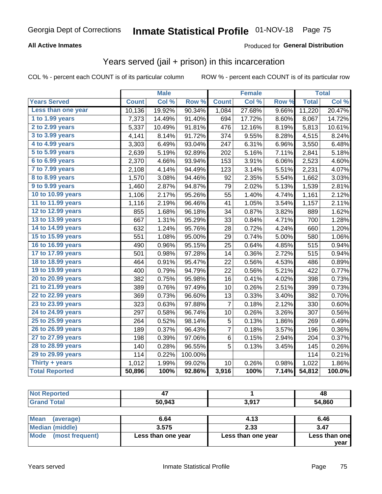### **All Active Inmates**

### Produced for **General Distribution**

### Years served (jail + prison) in this incarceration

|                        |              | <b>Male</b> |         |              | <b>Female</b> |                  |              | <b>Total</b> |
|------------------------|--------------|-------------|---------|--------------|---------------|------------------|--------------|--------------|
| <b>Years Served</b>    | <b>Count</b> | Col %       | Row %   | <b>Count</b> | Col %         | Row <sub>%</sub> | <b>Total</b> | Col %        |
| Less than one year     | 10,136       | 19.92%      | 90.34%  | 1,084        | 27.68%        | 9.66%            | 11,220       | 20.47%       |
| 1 to 1.99 years        | 7,373        | 14.49%      | 91.40%  | 694          | 17.72%        | 8.60%            | 8,067        | 14.72%       |
| 2 to 2.99 years        | 5,337        | 10.49%      | 91.81%  | 476          | 12.16%        | 8.19%            | 5,813        | 10.61%       |
| 3 to 3.99 years        | 4,141        | 8.14%       | 91.72%  | 374          | 9.55%         | 8.28%            | 4,515        | 8.24%        |
| 4 to 4.99 years        | 3,303        | 6.49%       | 93.04%  | 247          | 6.31%         | 6.96%            | 3,550        | 6.48%        |
| 5 to 5.99 years        | 2,639        | 5.19%       | 92.89%  | 202          | 5.16%         | 7.11%            | 2,841        | 5.18%        |
| $6$ to $6.99$ years    | 2,370        | 4.66%       | 93.94%  | 153          | 3.91%         | 6.06%            | 2,523        | 4.60%        |
| 7 to 7.99 years        | 2,108        | 4.14%       | 94.49%  | 123          | 3.14%         | 5.51%            | 2,231        | 4.07%        |
| <b>8 to 8.99 years</b> | 1,570        | 3.08%       | 94.46%  | 92           | 2.35%         | 5.54%            | 1,662        | 3.03%        |
| 9 to 9.99 years        | 1,460        | 2.87%       | 94.87%  | 79           | 2.02%         | 5.13%            | 1,539        | 2.81%        |
| 10 to 10.99 years      | 1,106        | 2.17%       | 95.26%  | 55           | 1.40%         | 4.74%            | 1,161        | 2.12%        |
| 11 to 11.99 years      | 1,116        | 2.19%       | 96.46%  | 41           | 1.05%         | 3.54%            | 1,157        | 2.11%        |
| 12 to 12.99 years      | 855          | 1.68%       | 96.18%  | 34           | 0.87%         | 3.82%            | 889          | 1.62%        |
| 13 to 13.99 years      | 667          | 1.31%       | 95.29%  | 33           | 0.84%         | 4.71%            | 700          | 1.28%        |
| 14 to 14.99 years      | 632          | 1.24%       | 95.76%  | 28           | 0.72%         | 4.24%            | 660          | 1.20%        |
| 15 to 15.99 years      | 551          | 1.08%       | 95.00%  | 29           | 0.74%         | 5.00%            | 580          | 1.06%        |
| 16 to 16.99 years      | 490          | 0.96%       | 95.15%  | 25           | 0.64%         | 4.85%            | 515          | 0.94%        |
| 17 to 17.99 years      | 501          | 0.98%       | 97.28%  | 14           | 0.36%         | 2.72%            | 515          | 0.94%        |
| 18 to 18.99 years      | 464          | 0.91%       | 95.47%  | 22           | 0.56%         | 4.53%            | 486          | 0.89%        |
| 19 to 19.99 years      | 400          | 0.79%       | 94.79%  | 22           | 0.56%         | 5.21%            | 422          | 0.77%        |
| 20 to 20.99 years      | 382          | 0.75%       | 95.98%  | 16           | 0.41%         | 4.02%            | 398          | 0.73%        |
| 21 to 21.99 years      | 389          | 0.76%       | 97.49%  | 10           | 0.26%         | 2.51%            | 399          | 0.73%        |
| 22 to 22.99 years      | 369          | 0.73%       | 96.60%  | 13           | 0.33%         | 3.40%            | 382          | 0.70%        |
| 23 to 23.99 years      | 323          | 0.63%       | 97.88%  | 7            | 0.18%         | 2.12%            | 330          | 0.60%        |
| 24 to 24.99 years      | 297          | 0.58%       | 96.74%  | 10           | 0.26%         | 3.26%            | 307          | 0.56%        |
| 25 to 25.99 years      | 264          | 0.52%       | 98.14%  | 5            | 0.13%         | 1.86%            | 269          | 0.49%        |
| 26 to 26.99 years      | 189          | 0.37%       | 96.43%  | 7            | 0.18%         | 3.57%            | 196          | 0.36%        |
| 27 to 27.99 years      | 198          | 0.39%       | 97.06%  | $\,6$        | 0.15%         | 2.94%            | 204          | 0.37%        |
| 28 to 28.99 years      | 140          | 0.28%       | 96.55%  | 5            | 0.13%         | 3.45%            | 145          | 0.26%        |
| 29 to 29.99 years      | 114          | 0.22%       | 100.00% |              |               |                  | 114          | 0.21%        |
| Thirty + years         | 1,012        | 1.99%       | 99.02%  | 10           | 0.26%         | 0.98%            | 1,022        | 1.86%        |
| <b>Total Reported</b>  | 50,896       | 100%        | 92.86%  | 3,916        | 100%          | 7.14%            | 54,812       | 100.0%       |

| <b>Not Reported</b>      |        |       | 48     |
|--------------------------|--------|-------|--------|
| <b>Grand Total</b>       | 50,943 | 3,917 | 54,860 |
|                          |        |       |        |
| <b>Mean</b><br>(average) | 6.64   | 4.13  | 6.46   |

| 3.575              | 2.33               | 3.47                  |
|--------------------|--------------------|-----------------------|
| Less than one year | Less than one year | Less than one<br>vear |
|                    |                    |                       |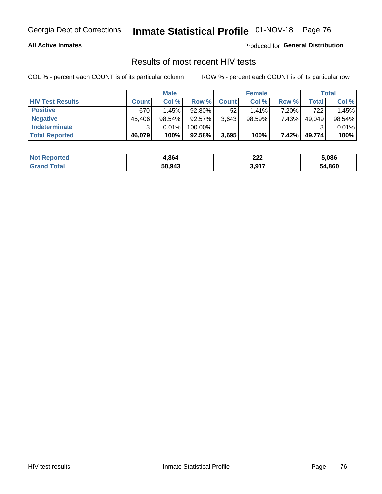#### **All Active Inmates**

Produced for **General Distribution**

### Results of most recent HIV tests

|                         | <b>Male</b>  |        | <b>Female</b> |              |           | Total |        |        |
|-------------------------|--------------|--------|---------------|--------------|-----------|-------|--------|--------|
| <b>HIV Test Results</b> | <b>Count</b> | Col %  | Row %I        | <b>Count</b> | Col %     | Row % | Total  | Col %  |
| <b>Positive</b>         | 670          | 1.45%  | 92.80%        | 52           | $1.41\%$  | 7.20% | 722    | 1.45%  |
| <b>Negative</b>         | 45,406       | 98.54% | 92.57%        | 3,643        | $98.59\%$ | 7.43% | 49,049 | 98.54% |
| Indeterminate           | ີ            | 0.01%  | 100.00%       |              |           |       |        | 0.01%  |
| <b>Total Reported</b>   | 46,079       | 100%   | 92.58%        | 3,695        | 100%      | 7.42% | 49,774 | 100%   |

| <b>Not Reported</b>   | 4,864  | 222             | 5,086  |
|-----------------------|--------|-----------------|--------|
| Total<br><b>Grand</b> | 50,943 | 2017<br>וו ש, ט | 54,860 |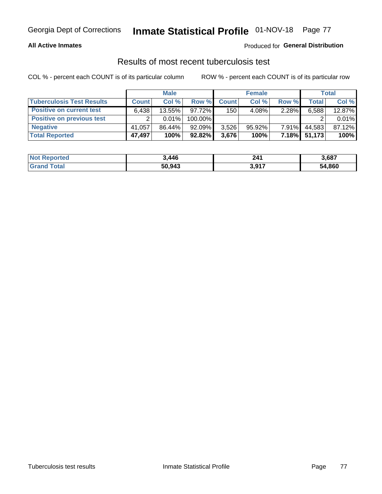#### **All Active Inmates**

### Produced for **General Distribution**

### Results of most recent tuberculosis test

|                                  | <b>Male</b>  |          |           | <b>Female</b> |           |          | Total  |        |
|----------------------------------|--------------|----------|-----------|---------------|-----------|----------|--------|--------|
| <b>Tuberculosis Test Results</b> | <b>Count</b> | Col%     | Row %I    | <b>Count</b>  | Col%      | Row %    | Total  | Col %  |
| <b>Positive on current test</b>  | 6.438        | 13.55%   | 97.72%    | 150           | 4.08%     | 2.28%    | 6,588  | 12.87% |
| <b>Positive on previous test</b> | ົ            | $0.01\%$ | 100.00%   |               |           |          |        | 0.01%  |
| <b>Negative</b>                  | 41.057       | 86.44%   | 92.09%    | 3,526         | $95.92\%$ | $7.91\%$ | 44,583 | 87.12% |
| <b>Total Reported</b>            | 47,497       | 100%     | $92.82\%$ | 3,676         | 100%      | $7.18\%$ | 51.173 | 100%   |

| <b>Not Reported</b>   | 3,446  | 241             | 3,687  |
|-----------------------|--------|-----------------|--------|
| Total<br><b>Grand</b> | 50,943 | 2017<br>וו ש, ט | 54,860 |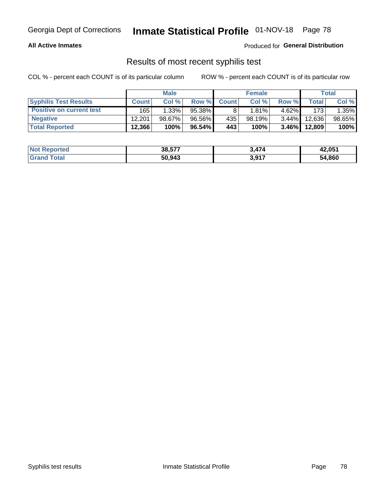#### **All Active Inmates**

Produced for **General Distribution**

### Results of most recent syphilis test

|                                 | <b>Male</b>  |           | <b>Female</b> |              |          | Total    |        |        |
|---------------------------------|--------------|-----------|---------------|--------------|----------|----------|--------|--------|
| <b>Syphilis Test Results</b>    | <b>Count</b> | Col%      | Row %         | <b>Count</b> | Col %    | Row %    | Total  | Col %  |
| <b>Positive on current test</b> | 165          | 1.33%     | 95.38%        |              | $1.81\%$ | $4.62\%$ | 173    | 1.35%  |
| <b>Negative</b>                 | 12.201       | $98.67\%$ | 96.56%        | 435          | 98.19%   | $3.44\%$ | 12.636 | 98.65% |
| <b>Total Reported</b>           | 12,366       | 100%      | $96.54\%$     | 443          | 100%     | $3.46\%$ | 12,809 | 100%   |

| <b>Not Reported</b> | 38,577 | 3.474 | 42,051 |
|---------------------|--------|-------|--------|
| <b>Grand Total</b>  | 50,943 | 3,917 | 54,860 |